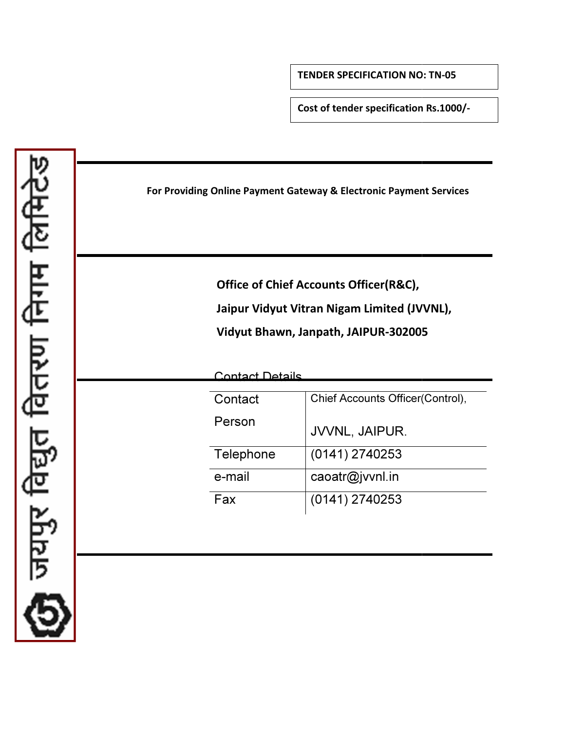TENDER SPECIFICATION NO: TN

Cost of tender specification Rs.1000 Rs.1000/-

(Control),TN-05 For Providing Online Payment Gateway & Electronic Payment Services जयपुर विद्युत वितरण निगम लि Office of Chief Accounts Officer(R&C), Jaipur Vidyut Vitran Nigam Limited (JVVNL), Vidyut Bhawn, Janpath, JAIPUR-302005 302005Contact Details Chief Accounts Officer(Control), **Contact** Person JVVNL, JAIPUR. Telephone (0141) 2740253 e-mail caoatr@jvvnl.in Fax (0141) 2740253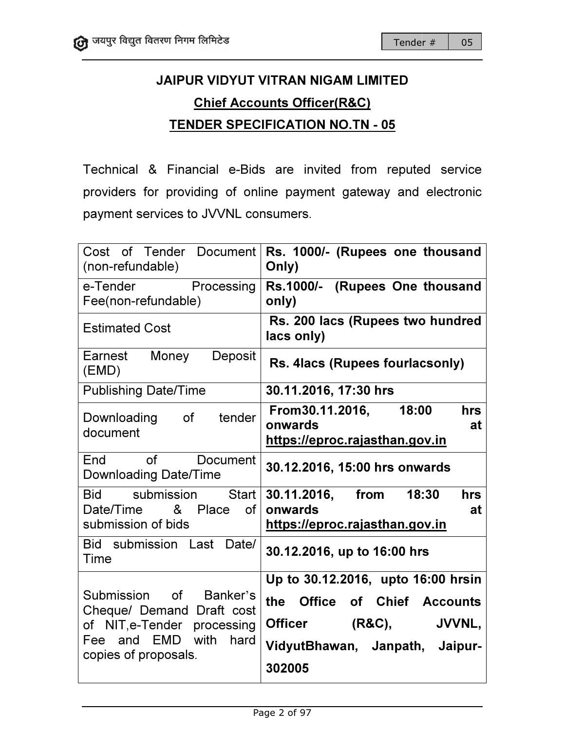\_05

# JAIPUR VIDYUT VITRAN NIGAM LIMITED JAIPUR LIMITED **Chief Accounts Officer(R&C)** TENDE TENDER SPECIFICATION NO.TN - 05

Technical & Financial e-Bids are invited from reputed service Technical & Financial e-Bids are invited from reputed service<br>providers for providing of online payment gateway and electronic payment services to JVVNL consumers.

| Cost of Tender Document<br>(non-refundable)                                                                                                            | Rs. 1000/- (Rupees one thousand<br>Only)                                                                                                                                       |
|--------------------------------------------------------------------------------------------------------------------------------------------------------|--------------------------------------------------------------------------------------------------------------------------------------------------------------------------------|
| e-Tender<br>Processing<br>Fee(non-refundable)                                                                                                          | Rs.1000/- (Rupees One thousand<br>only)                                                                                                                                        |
| <b>Estimated Cost</b>                                                                                                                                  | Rs. 200 lacs (Rupees two hundred<br>lacs only)                                                                                                                                 |
| Money<br>Earnest<br>Deposit<br>(EMD)                                                                                                                   | Rs. 4lacs (Rupees fourlacsonly)                                                                                                                                                |
| <b>Publishing Date/Time</b>                                                                                                                            | 30.11.2016, 17:30 hrs                                                                                                                                                          |
| tender<br>Downloading<br><b>of</b><br>document                                                                                                         | From 30.11.2016, 18:00<br><b>hrs</b><br>onwards<br>at<br><u>https://eproc.rajasthan.gov.in</u>                                                                                 |
| $\Omega$<br>End<br><b>Document</b><br><b>Downloading Date/Time</b>                                                                                     | 30.12.2016, 15:00 hrs onwards                                                                                                                                                  |
| <b>Bid</b><br>submission<br>Start<br>Date/Time & Place of<br>submission of bids                                                                        | 30.11.2016, from<br>18:30<br>hrs<br>onwards<br>at<br>https://eproc.rajasthan.gov.in                                                                                            |
| Bid submission Last Date/<br>Time                                                                                                                      | 30.12.2016, up to 16:00 hrs                                                                                                                                                    |
| Submission of<br>Banker's<br>Cheque/ Demand Draft cost<br>of NIT, e-Tender processing<br>with<br>hard<br>Fee and<br><b>EMD</b><br>copies of proposals. | Up to 30.12.2016, upto 16:00 hrsin<br>the<br><b>Office</b><br>of Chief Accounts<br>$(R&C)$ ,<br><b>Officer</b><br><b>JVVNL,</b><br>VidyutBhawan, Janpath,<br>Jaipur-<br>302005 |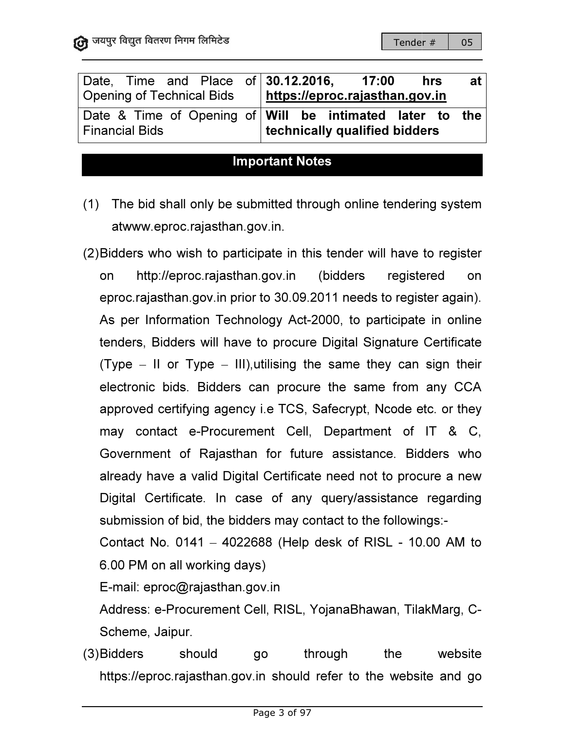| Date, Time and Place of 30.12.2016,<br>Opening of Technical Bids |  |  | 17:00<br>https://eproc.rajasthan.gov.in                                                     | hrs | at l |
|------------------------------------------------------------------|--|--|---------------------------------------------------------------------------------------------|-----|------|
| <b>Financial Bids</b>                                            |  |  | Date & Time of Opening of   Will be intimated later to the<br>technically qualified bidders |     |      |

### Important Notes

- atwww.eproc.rajasthan.gov.in.
- (1) The bid shall only be submitted through online tendering system<br>atwww.eproc.rajasthan.gov.in.<br>(2)Bidders who wish to participate in this tender will have to register<br>on http://eproc.rajasthan.gov.in (bidders registered (2) Bidders who wish to participate in this tender will have to register on http://eproc.rajasthan.gov.in (bidders registered on eproc.rajasthan.gov.in prior to 30.09.2011 needs to register again). As per Information Technology Act-2000, to participate in online tenders, Bidders will have to procure Digital Signature Certificate (Type  $-$  II or Type  $-$  III), utilising the same they can sign their electronic bids. Bidders c Bidders can procure the same from any CCA approved certifying agency i.e TCS, Safecrypt, Ncode etc. or they<br>may contact e-Procurement Cell, Department of IT & C,<br>Government of Rajasthan for future assistance. Bidders who<br>already have a valid Digital Certificate ne may contact e-Procurement Cell, Department of IT & C, Government of Rajasthan for future assistance. Bidders who already have a valid Digital Certificate nee Digital Certificate. In case of any query/assistance regarding submission of bid, the bidders may contact to the followings: Time and Place of 30.12.2016, 17:00 hrs<br>
Time and Place of 30.12.2016, 17:00 hrs<br>
& Time of Opening of Technical Bids<br> **MILI** be internal and and the to the state of opening of will be infinited later to the<br>
& Time of Op ov.in prior to 30.09.2011 needs to register again).<br>
In Technology Act-2000, to participate in online<br>
will have to procure Digital Signature Certificate<br>
pe – III), utilising the same they can sign their<br>
Bidders can proc

Contact No. 0141 – 4022688 (Help desk of RISL - 10.00 AM to 6.00 PM on all working days) Contact No. 0141 – 4022688 (Help desk of RISL - 10.00 AM to<br>6.00 PM on all working days)<br>E-mail: eproc@rajasthan.gov.in<br>Address: e-Procurement Cell, RISL, YojanaBhawan, TilakMarg, C-

E-mail: eproc@rajasthan.gov.in

Scheme, Jaipur.

(3) Bidders should go through the website https://eproc.rajasthan.gov.in should refer to the website and go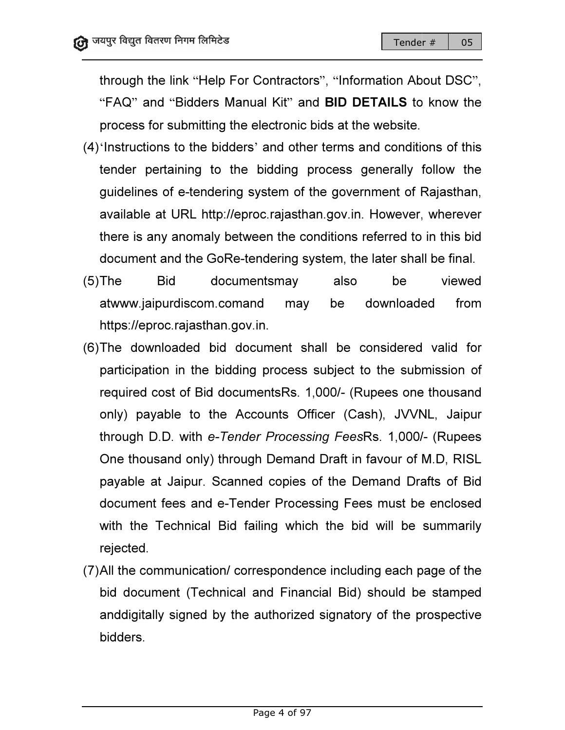\_05

through the link "Help For Contractors", "Information About DSC", "FAQ" and "Bidders Manual Kit" and BID DETAILS to know the process for submitting the electronic bids at the website.

- (4) 'Instructions to the bidders' and other terms and conditions of this tender pertaining to the bidding process generally follow the guidelines of e-tendering system of the government of Rajasthan,<br>available at URL http://eproc.rajasthan.gov.in. However, wherever available at URL http://eproc.rajasthan.gov.in there is any anomaly between the conditions referred to in this there is any anomaly between the conditions referred to in this bi<br>document and the GoRe-tendering system, the later shall be final. Il Kit" and **BID DETAILS** to know the<br>ectronic bids at the website.<br>and other terms and conditions of this<br>idding process generally follow the<br>stem of the government of Rajasthan,<br>c.rajasthan.gov.in. However, wherever<br>en t
- (5) The Bid documentsmay also be viewed atwww.jaipurdiscom.comand may be downloaded from https://eproc.rajasthan.gov.in https://eproc.rajasthan.gov.in.
- (6) The downloaded bid document shall be considered valid for participation in the bidding process subject to the submission of participation in the bidding process subject to the submission of required cost of Bid documentsRs. 1,000/- (Rupees one only) payable to the Accounts Officer (Cash), JVVNL, Jaipur through D.D. with e-Tender Processing FeesRs. 1,000/- (Rupees One thousand only) through Demand Draft in favour of M.D, RISL payable at Jaipur. Scanned copies of the Demand Drafts of B Bid document fees and e-Tender Processing Fees must be enclosed with the Technical Bid failing which the bid will be summarily<br>rejected.<br>All the communication/ correspondence including each page of the rejected. r shall be final.<br>be viewed<br>nloaded from<br>dered valid for<br>esubmission of<br>s one thousand
- (7) All the communication/ correspondence including each page of bid document (Technical and Financial Bid) should be stamped bid document (Technical and Financial Bid) should be stamped<br>anddigitally signed by the authorized signatory of the prospective bidders.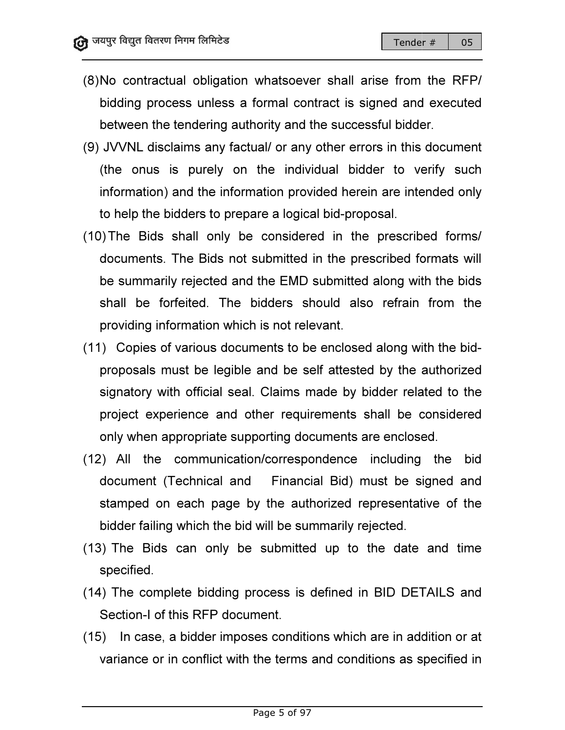- (8) No contractual obligation whatsoever shall arise from the RFP/ bidding process unless a formal contract is signed and executed between the tendering authority and the successful bidder.
- (9) JVVNL disclaims any factual/ or any other errors in this document (the onus is purely on the individual bidder to verify such information) and the information provided herein are intended only to help the bidders to prepare a logical bid Wo contractual obligation whatsoever shall arise from the F<br>bidding process unless a formal contract is signed and exec<br>between the tendering authority and the successful bidder.<br>JVVNL disclaims any factual/ or any other e
- (10) The Bids shall only be considered in the prescribed forms/ documents. The Bids not submitted in the prescribed formats will documents. The Bids not submitted in the prescribed formats will<br>be summarily rejected and the EMD submitted along with the bids shall be forfeited. The bidders should also refrain from providing information which is not relevant. Trander \* 1958<br>
IT Trander \* 1958<br>
IT Trander \* 1958<br>
IT Trander \* 1959<br>
IT Trander \* 1959<br>
IT Trander is signed and executed<br>
the tendering authority and the successful bidder.<br>
It is clocument<br>
us is purely on the indivi submitted along with the bids<br>nould also refrain from the
- (11) Copies of various documents to be enclosed along with the bid-<br>proposals must be legible and be self attested by the authorized<br>signatory with official seal. Claims made by bidder related to the<br>project experience and proposals must be legible and be self attested by the authorized signatory with official seal. Claims made by bidder related to the project experience and other requirements shall be considered only when appropriate supporting documents are enclosed.
- (12) All the communication/correspondence including the bid document (Technical and Financial Bid) must be signed and stamped on each page by the authorized representative of the bidder failing which failing which the bid will be summarily rejected. the communication/correspondence including the bid<br>ent (Technical and Financial Bid) must be signed and<br>d on each page by the authorized representative of the
- (13) The Bids can only be submitted up to the date and time specified.
- (14) The complete bidding process is defined in BID DETAILS and Section-I of this RFP document. uthorized representative of the<br>summarily rejected.<br>ted up to the date and time<br>s defined in BID DETAILS and<br>litions which are in addition or at
- (15) In case, a bidder imposes conditions which are in addition variance or in conflict with the terms and conditions as specified in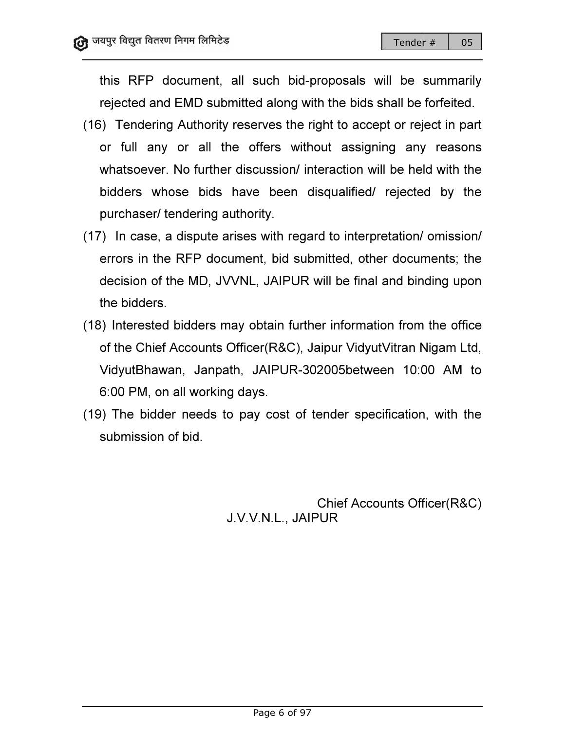जयपुर विद्युत वितरण निगम लिमिटेड

\_05

this RFP document, all such bid-proposals will be summarily rejected and EMD submitted along with the bids shall be forfeited.

- (16) Tendering Authority reserves the right to accept or reject in part or full any or all the offers without assigning any reasons<br>whatsoever. No further discussion/ interaction will be held with the<br>bidders whose bids have been disqualified/ rejected by the<br>purchaser/ tendering authority.<br>') whatsoever. No further discussion/ interaction will be held with the bidders whose bids have been disqualified/ rejected by the purchaser/ tendering authority. nt, all such bid-proposals will be summarily<br>submitted along with the bids shall be forfeited.<br>prity reserves the right to accept or reject in part<br>I the offers without assigning any reasons<br>ther discussion/interaction wil
- (17) In case, a dispute arises with regard to interpretation/ omission/ errors in the RFP document, bid submitted, other documents; the decision of the MD, JVVNL, JAIPUR will be final and binding upon the bidders. rors in the RFP document, bid submitted, other documents; the<br>ecision of the MD, JVVNL, JAIPUR will be final and binding upon<br>e bidders.<br>Interested bidders may obtain further information from the office<br>the Chief Accounts
- (18) Interested bidders may obtain further information from the office of the Chief Accounts Officer(R&C), Jaipur VidyutVitran Nigam Ltd, VidyutBhawan, Janpath, JAIPUR-302005between 10:00 AM to 6:00 PM, on all working days.
- (19) The bidder needs to pay cost of tender specification submission of bid.

Chief Accounts Officer(R&C) J.V.V.N.L., JAIPUR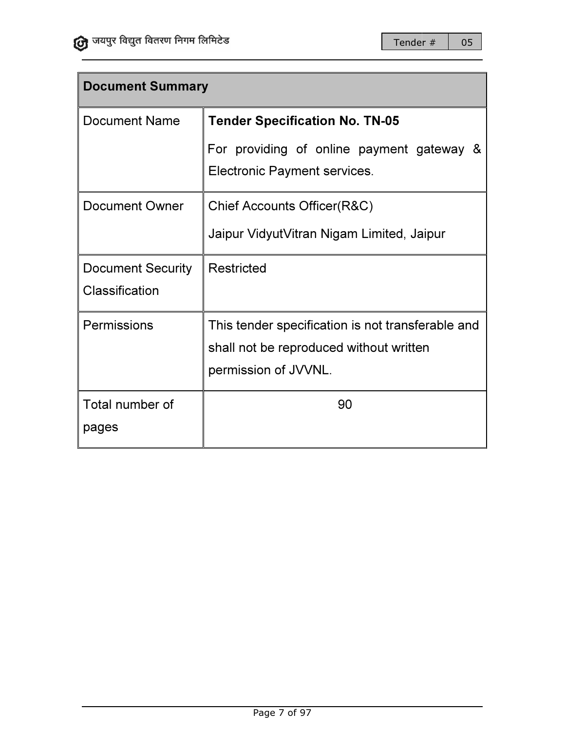

\_05

| <b>Document Summary</b> |                                                                           |  |  |  |  |
|-------------------------|---------------------------------------------------------------------------|--|--|--|--|
| <b>Document Name</b>    | <b>Tender Specification No. TN-05</b>                                     |  |  |  |  |
|                         | For providing of online payment gateway &<br>Electronic Payment services. |  |  |  |  |
| Document Owner          | Chief Accounts Officer(R&C)                                               |  |  |  |  |
|                         | Jaipur VidyutVitran Nigam Limited, Jaipur                                 |  |  |  |  |
| Document Security       | <b>Restricted</b>                                                         |  |  |  |  |
| Classification          |                                                                           |  |  |  |  |
| Permissions             | This tender specification is not transferable and                         |  |  |  |  |
|                         | shall not be reproduced without written                                   |  |  |  |  |
|                         | permission of JVVNL.                                                      |  |  |  |  |
| Total number of         | 90                                                                        |  |  |  |  |
| pages                   |                                                                           |  |  |  |  |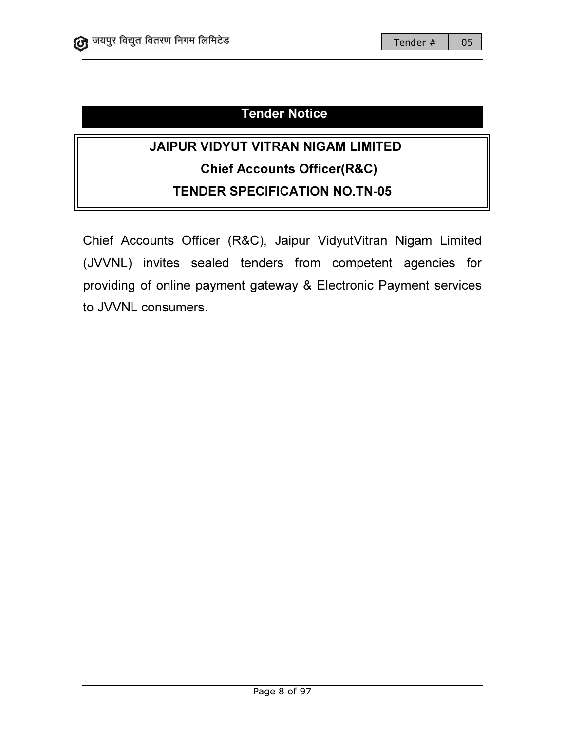# Tender Notice

# JAIPUR VIDYUT VITRAN NIGAM LIMITED Chief Accounts Officer( Officer(R&C) TENDER SPECIFICATION NO.TN NO.TN-05

Chief Accounts Officer (R&C), Jaipur VidyutVitran Nigam Limited (JVVNL) invites sealed tenders from competent agencies for providing of online payment gateway & Electronic Payment services to JVVNL consumers. Tender # | 05<br> **TED<br>
05<br>
And Nigam Limite<br>
Payment service**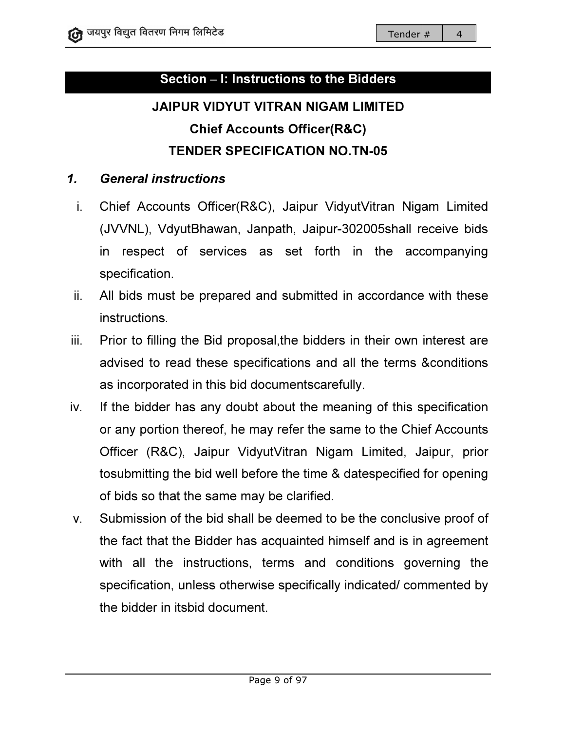### Section – I: Instructions to the Bidders

# JAIPUR VIDYUT VITRAN NIGAM LIMITED R VIDYUT VITRAN NIGAM LIN<br>Chief Accounts Officer(R&C) TENDER SPECIFICATION NO.TN NO.TN-05

#### *1. General instructions*

- i. Chief Accounts Officer(R&C), Jaipur VidyutVitran Nigam Limited (JVVNL), VdyutBhawan, Janpath, Jaipur-302005shall receive bids in respect of services as set forth in the accompanying specification. in respect of services as set forth in the accompanying<br>specification.<br>ii. All bids must be prepared and submitted in accordance with these
- instructions. cordance with these<br>neir own interest are
- iii. Prior to filling the Bid proposal, the bidders in their own interest advised to read these specifications and all the terms &conditions as incorporated in this bid documentscarefully.
- iv. If the bidder has any doubt about the meaning of this specification or any portion thereof, he may refer the same to the Chief Accounts Officer (R&C), Jaipur VidyutVitran Nigam Limited, Jaipur, prior tosubmitting the bid well before the time & datespecified for of bids so that the same may be clarified. bout the meaning of this specification<br>t refer the same to the Chief Accounts<br>tVitran Nigam Limited, Jaipur, prior<br>te the time & datespecified for opening
- v. Submission of the bid shall be deemed to be the conclusive proof of the fact that the Bidder has acquainted himself and is in agreement with all the instructions, terms and conditions governing the instructions, specification, unless otherwise specifically indicated/ commented by the bidder in itsbid document. e deemed to be the conclusive proof<br>icquainted himself and is in agreeme<br>erms and conditions governing t<br>e specifically indicated/commented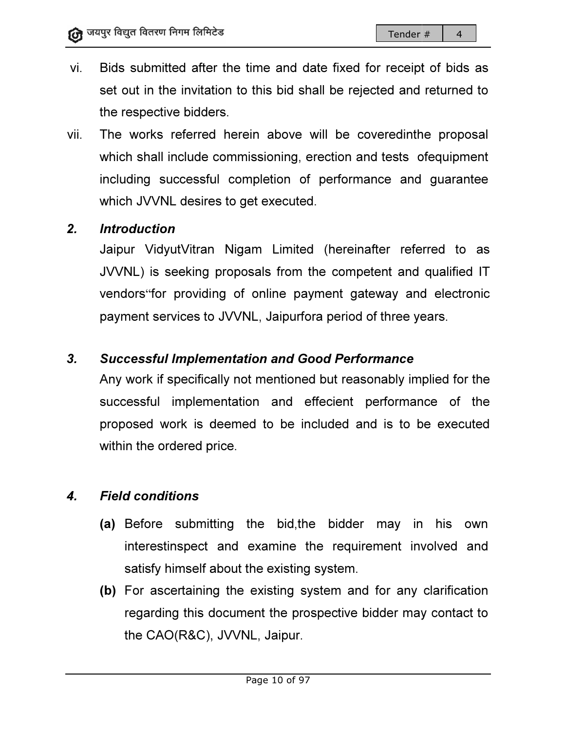- vi. Bids submitted after the time and date fixed for receipt of bids as set out in the invitation to this bid shall be rejected and returned to the respective bidders. set out in the invitation to this bid shall be rejected and returned to<br>the respective bidders.<br>vii. The works referred herein above will be coveredinthe proposal
- which shall include commissioning, erection and tests ofequipment including successful completion of performance and guarantee which JVVNL desires to get executed.

#### *2. Introduction*

Jaipur VidyutVitran Nigam Limited (hereinafter referred to as JVVNL) is seeking proposals from the competent and qualified IT vendors "for providing of online payment gateway and electronic payment services to JVVNL, Jaipurfora period of three years. ompletion of performance and guarantee<br>onget executed.<br>igam Limited (hereinafter referred to as<br>posals from the competent and qualified IT<br>of online payment gateway and electronic

### *3. Successful Implementation Implementation and Good Performance*

Any work if specifically not mentioned but reasonably implied for the successful implementation and effecient performance of the proposed work is deemed to be included and is to be executed within the ordered price.  $\begin{tabular}{|c|c|c|c|c|} \hline \hline \textbf{under} & \# & 4 \\ \hline \end{tabular} \hline \begin{tabular}{|c|c|c|c|} \hline \textbf{under} & \# & 4 \\ \hline \end{tabular} \hline \begin{tabular}{|c|c|c|} \hline \textbf{under} & \# & 4 \\ \hline \end{tabular} \hline \begin{tabular}{|c|c|c|} \hline \textbf{begin} & \# & 4 \\ \hline \end{tabular} \hline \end{tabular} \hline \begin{tabular}{|c|c|c|} \hline \end{tabular} \hline \begin{tabular}{|c$ fora period of three years.<br> **Good Performance**<br>
ed but reasonably implied for the<br>
effecient performance of the<br>
included and is to be executed<br>
he bidder may in his own

### *4. Field conditions*

- (a) Before submitting the bid, the bidder may in interestinspect and examine the requirement involved and satisfy himself about the existing system.
- (b) For ascertaining the existing system and for any clarification regarding this document the prospective bidder may contact to the CAO(R&C), JVVNL, Jaipur.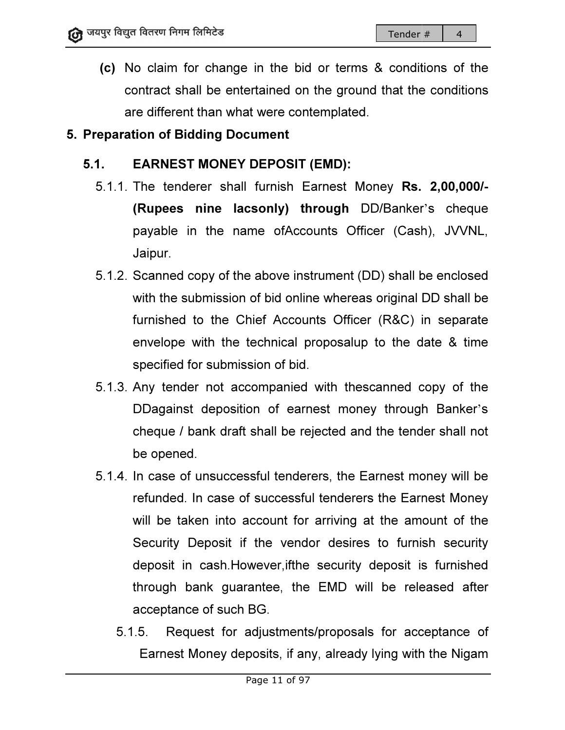(c) No claim for change in the bid or terms & conditions of the contract shall be entertained on the ground that the conditions are different than what were contemplated.

### 5. Preparation of Bidding Document

### 5.1. EARNEST MONEY DEPOSIT (EMD):

- 5.1.1. The tenderer shall furnish Earnest Money Rs. 2,00,000/-(Rupees nine lacs lacsonly) through DD/Banker DD/Banker's cheque payable in the name ofAccounts Officer (Cash), JVVNL, Jaipur.
- 5.1.2. Scanned copy of the above instrument (DD) shall be enclosed with the submission of bid online whereas original DD shall be furnished to the Chief Accounts Officer (R&C) in separate envelope with the technical proposalup to the date & time specified for submission of bid. submission of bid online whereas original DD shall be<br>d to the Chief Accounts Officer (R&C) in separate<br>e with the technical proposalup to the date & time
- 5.1.3. Any tender not accompanied with thescanned copy of the DDagainst deposition of earnest money through Banker's cheque / bank draft shall be rejected and the tender shall not be opened.
- 5.1.4. In case of unsuccessful tenderers, the Earnest money will be refunded. In case of successful tenderers the Earnest Money will be taken into account for arriving at the amount of the Security Deposit if the vendor desires to furnish security deposit in cash.However,ifthe security deposit is furnished<br>through bank guarantee, the EMD will be released after through bank guarantee, the EMD will be released after acceptance of such BG BG. bank draft shall be rejected and the tender shall not<br>d.<br>f unsuccessful tenderers, the Earnest money will be<br>ln case of successful tenderers the Earnest Money<br>ken into account for arriving at the amount of the **Example in the bid or terms & conditions of entertained on the ground that the conditions of entertained on the ground that the conditional what were contemplated.<br>
<b>Document**<br> **NEY DEPOSIT (EMD):**<br>
Shall furnish Earnest
	- 5.1.5. Request for adjustments/proposals for acceptance of Earnest Money deposits, if any, already lying with the Nigam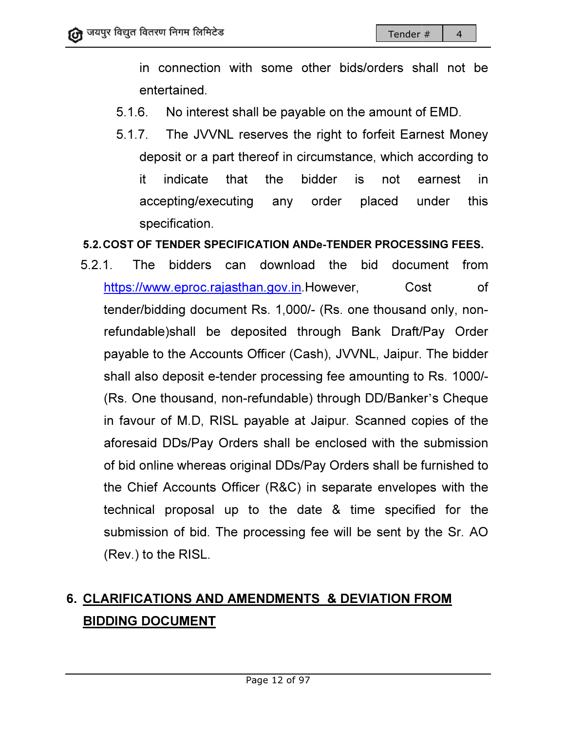in connection with some other bids/orders shall not be entertained. in connection with some other bids/orders shall not<br>entertained.<br>5.1.6. No interest shall be payable on the amount of EMD.

- 
- 5.1.7. The JVVNL reserves the right to forfeit Earnest Money deposit or a part thereof in circumstance, which according to it indicate that the bidder is not earnest in accepting/executing any order placed under specification. 7. The JVVNL reserves the right to forfeit Earnest Money<br>deposit or a part thereof in circumstance, which according to<br>it indicate that the bidder is not earnest in<br>accepting/executing any order placed under this this
- 5.2. COST OF TENDER SPECIFICATION ANDe-TENDER PROCESSING FEES.
- 5.2.1. The bidders can download the bid document from https://www.eproc.rajasthan.gov.in</u>.However, Cost of <u>https://www.eproc.rajasthan.gov.in</u>.However, Cost of<br>tender/bidding document Rs. 1,000/- (Rs. one thousand only, nonrefundable)shall be deposited through Bank Draft/Pay Order refundable)shall be deposited through Bank Draft/Pay Order<br>payable to the Accounts Officer (Cash), JVVNL, Jaipur. The bidder shall also deposit e-tender processing fee amounting to Rs. 1000/-(Rs. One thousand, non-refundable) through DD/Banker's Cheque in favour of M.D, RISL payable at Jaipur. Scanned copies of the aforesaid DDs/Pay Orders shall be enclosed with the submission of bid online whereas original DDs/Pay Orders shall be furnished to the Chief Accounts Officer (R&C) in separate envelopes with the technical proposal up to the date & time specified for the submission of bid. The processing fee will be sent by (Rev.) to the RISL. **Example 18**<br>
With some other bids/orders shall no<br>
L reserves the right to forfeit Earnest Michael L reserves the right to forfeit Earnest Michael L reserves the right to forfeit Earnest Michael the bidder is not earnest payable at Jaipur. Scanned copies of the<br>ers shall be enclosed with the submission<br>iginal DDs/Pay Orders shall be furnished to<br>cer (R&C) in separate envelopes with the<br>to the date & time specified for the<br>processing fee wi

# 6. CLARIFICATIONS AND AMENDMENTS & DEVIATION FROM BIDDING DOCUMENT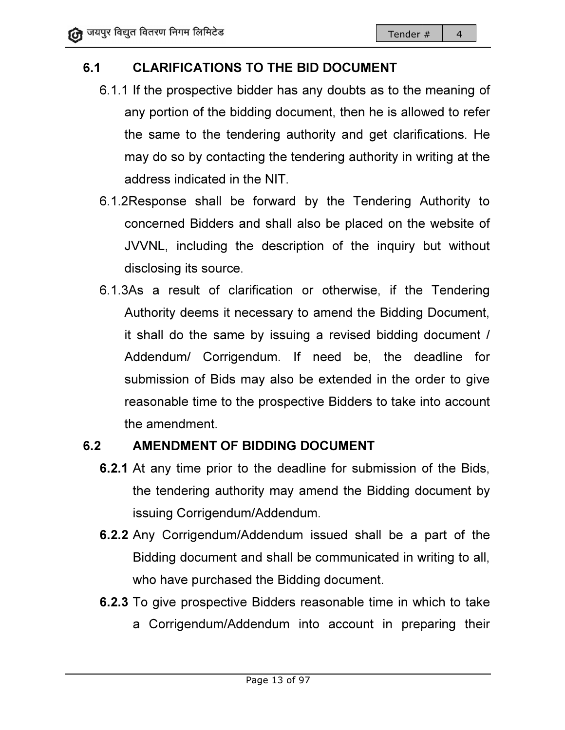# 6.1 CLARIFICATIONS TO THE BID DOCUMENT

- 6.1.1 If the prospective bidder has any doubts as to the meaning of any portion of the bidding document, then he is allowed to refer the same to the tendering authority and get clarifications. He may do so by contacting th any portion of the bidding document, then he is allowed to refer the same to the tendering authority and get clarifications. He may do so by contacting the tendering authority in writing at the address indicated in the NIT. may do so by contacting the tendering authority in writing at the<br>address indicated in the NIT.<br>6.1.2Response shall be forward by the Tendering Authority to
- concerned Bidders and shall also be placed on the website of JVVNL, including the description of the inquiry but without disclosing its source. also be placed on the website of<br>ption of the inquiry but without<br>or otherwise, if the Tendering<br>to amend the Bidding Document,
- disclosing its source.<br>6.1.3As a result of clarification or otherwise, if the Tendering Authority deems it necessary to amend the Bidding Document it shall do the same by issuing a revised bidding document / Addendum/ Corrigendum. If need be, the deadline for submission of Bids may also be extended in the order to give reasonable time to the prospective Bidders to take into account<br>the amendment. the amendment. **Ender #**  $\frac{4}{3}$ <br> **Ender #**  $\frac{4}{3}$ <br> **ARIFICATIONS TO THE BID DOCUMENT**<br>
the prospective bidder has any doubts as to the meaningortion of the bidding document, then he is allowed to<br>
same to the tendering authority a by issuing a revised bidding document<br>Idum. If need be, the deadline for<br>ay also be extended in the order to give<br>Prospective Bidders to take into accour<br>IDDING DOCUMENT<br>the deadline for submission of the Bids<br>ity may amen

# 6.2 AMENDMENT OF BIDDING DOCUMENT

- 6.2.1 At any time prior to the deadline for submission of the Bids, the tendering authority may amend the Bidding document by issuing Corrigendum/Addendum. At any time prior to the deadline for submission of the Bids,<br>the tendering authority may amend the Bidding document by<br>issuing Corrigendum/Addendum.<br>Any Corrigendum/Addendum issued shall be a part of the<br>Bidding document
- 6.2.2 Any Corrigendum/Addendum issued shall be a part of the who have purchased the Bidding document.
- 6.2.3 To give prospective Bidders reasonable time in which to take a Corrigendum/Addendum into account in preparing their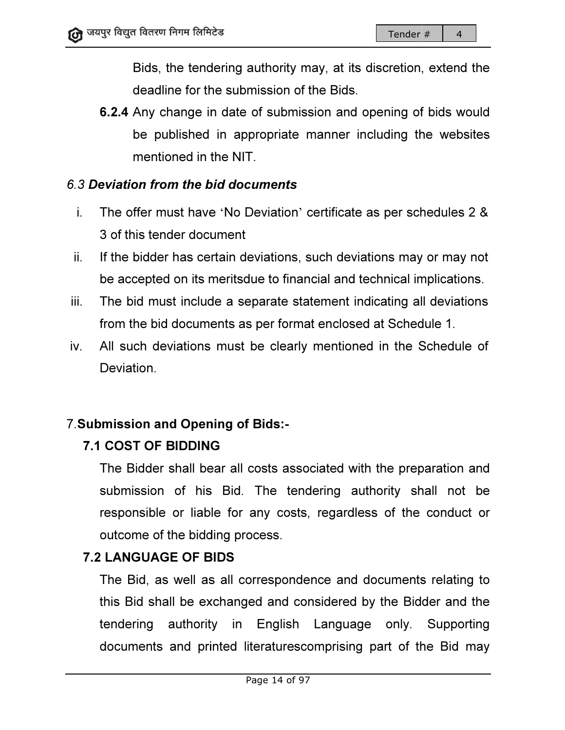Bids, the tendering authority may, at its discretion, extend the deadline for the submission of the Bids.

6.2.4 Any change in date of submission and opening of bids would be published in appropriate manner including the websites mentioned in the NIT. Bids, the tendering authority may, at its discretion, extend the<br>deadline for the submission of the Bids.<br>Any change in date of submission and opening of bids would<br>be published in appropriate manner including the websites

### 6.3 *Deviation from the bid documents*

- i. The offer must have 'No Deviation' certificate as per schedules 2 & 3 of this tender document
- 3 of this tender document<br>ii. If the bidder has certain deviations, such deviations may or may not
- be accepted on its meritsdue to financial and technical implications.<br>The bid must include a separate statement indicating all deviations<br>from the bid documents as per format enclosed at Schedule 1. iii. The bid must include a separate statement indicating all deviations from the bid documents as per format enclosed at Schedule
- from the bid documents as per format enclosed at Schedule 1.<br>iv. All such deviations must be clearly mentioned in the Schedule of Deviation.

### 7.Submission and Opening of Bids Bids:-

### 7.1 COST OF BIDDING

The Bidder shall bear all costs associated with the preparation and submission of his Bid. The tendering authority shall not be responsible or liable for any costs, regardless of the conduct or outcome of the bidding process.

### 7.2 LANGUAGE OF BIDS

The Bid, as well as all correspondence and documents relating to this Bid shall be exchanged and considered by the Bidder and the tendering authority in documents and printed literaturescomprising part of the Bid may English Language only. Supporting d with the preparation and<br>g authority shall not be<br>ardless of the conduct or<br>and documents relating to<br>red by the Bidder and the<br>guage only. Supporting<br>ising part of the Bid may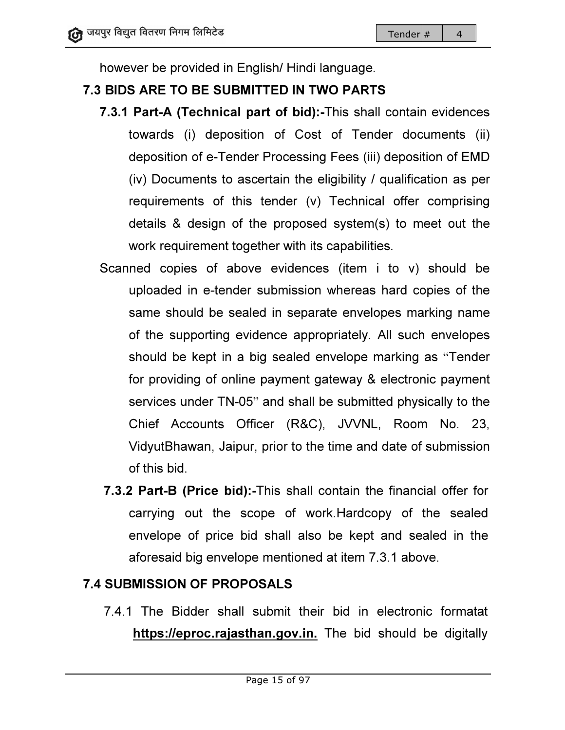however be provided in English/ Hindi language.

### 7.3 BIDS ARE TO BE SUBMITTED IN TWO PARTS

- )BIDS ARE TO BE SUBMITTED IN TWO PARTS<br>7.3.1 Part-A (Technical part of bid):-This shall contain evidences towards (i) deposition of Cost of Tender documents (ii) deposition of e e-Tender Processing Fees (iii) deposition of EMD (iv) Documents to ascertain the eligibility  $\ell$  qualification as per requirements of this tender (v) Technical offer comprising details & design of the proposed system(s) to meet out the<br>work requirement together with its capabilities.<br>ned copies of above evidences (item i to v) should be<br>uploaded in e-tender submission whereas hard copies of the work requirement together with its capabilities. ertain the eligibility / qualification as per<br>tender (v) Technical offer comprising<br>e proposed system(s) to meet out the<br>her with its capabilities.<br>evidences (item i to v) should be
- Scanned copies of above evidences (item i to v) should be uploaded in e-tender submission whereas hard copies of the<br>same should be sealed in separate envelopes marking name<br>of the supporting evidence appropriately. All such envelopes<br>should be kept in a big sealed envelope marki same should be sealed in separate envelopes marking name of the supporting evidence appropriately. All such envelopes should be kept in a big sealed envelope for providing of online payment gateway & electronic payment<br>services under TN-05" and shall be submitted physically to the services under TN-05" and shall be submitted physically to the Chief Accounts Officer (R&C), JVVNL, Room No. 23,<br>VidyutBhawan, Jaipur, prior to the time and date of submission VidyutBhawan, Jaipur, prior to the time and date of submission of this bid. ild be sealed in separate envelopes ma<br>porting evidence appropriately. All suc<br>kept in a big sealed envelope marking
- 7.3.2 Part-B (Price bid):-This shall contain the financial offer for carrying out the scope of work.Hardcopy of the sealed envelope of price bid shall also be kept and sealed in the<br>aforesaid big envelope mentioned at item 7.3.1 above. aforesaid big envelope mentioned at item 7.3.1 above. be submitted physically to the<br>), JVVNL, Room No. 23,<br>e time and date of submission<br>contain the financial offer for<br>prk.Hardcopy of the sealed<br>p be kept and sealed in the<br>d at item 7.3.1 above.

# 7.4 SUBMISSION OF PROPOSALS SUBMISSION

7.4.1 The Bidder shall submit their bid in electronic format https://eproc.rajasthan.gov.in. The bid should be digitally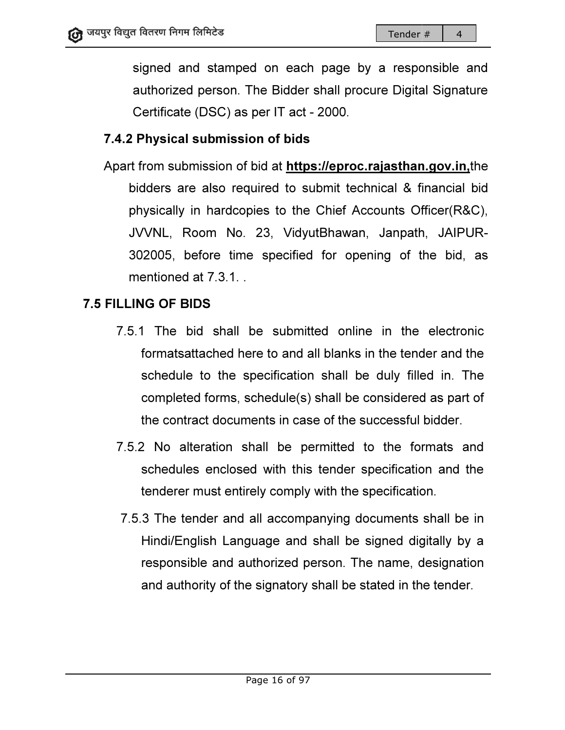signed and stamped on each page by a responsible and<br>authorized person. The Bidder shall procure Digital Signature authorized person. Digital Certificate (DSC) as per IT act - 2000.

### 7.4.2 Physical submission of bids

**7.4.2 Physical submission of bids**<br>Apart from submission of bid at <u>https://eproc.rajasthan.gov.in,</u>the bidders are also required to submit technical & financial bid physically in hardcopies to the Chief Accounts Officer(R&C), JVVNL, Room No. 23, VidyutBhawan, Janpath, JAIPUR JAIPUR-302005, before before time specified for opening of the the bid, as mentioned at 7.3.1. 7.3.1. . **Ender #** 1444 Interes **Ender #** 1444 Interes **Ender #** 1444 Interest and stamped on each page by a responsible uthorized person. The Bidder shall procure Digital Signa ertificate (DSC) as per IT act - 2000.<br> **Physical su** 

### 7.5 FILLING OF BIDS

- 7.5.1 The bid shall be submitted online in the electronic formatsattached here to and all blanks in the tender and the schedule to the specification shall be duly filled in. The completed forms, schedule(s) shall be considered as part of the contract documents in case of the successful bidder. natsattached here to and all blanks in the tender and<br>edule to the specification shall be duly filled in. T<br>npleted forms, schedule(s) shall be considered as par<br>contract documents in case of the successful bidder.
- 7.5.2 No alteration shall be permitted to the formats and schedules enclosed with this tender specification and the tenderer must entirely comply with the specification.
- 7.5.3 The tender and all accompanying documents shall be in<br>Hindi/English Language and shall be signed digitally by a Hindi/English Language and shall be signed digitally by a responsible and authorized person. The name, designation and authority of the signatory shall be stated in the tender.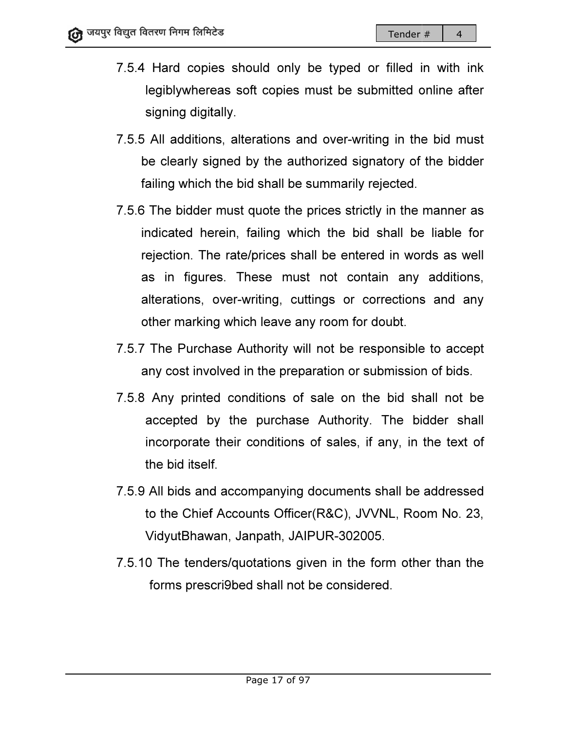- 7.5.4 Hard copies should only be typed or filled in with ink ink legiblywhereas soft copies must be submitted online after signing digitally.
- 7.5.5 All additions, alterations and over-writing in the bid must be clearly signed by the authorized signatory of the bidder failing which the bid shall be summarily rejected.
- 7.5.6 The bidder must quote the prices strictly in the manner as indicated herein, failing which the bid shall be liable for indicated herein, failing which liable for rejection. The rate/prices shall be entered in words as well<br>as in figures. These must not contain any additions, as in figures. These must not contain any additions, alterations, over-writing, cuttings or corrections and any other marking which leave any room for doubt.
- any cost involved in the preparation or submission of bids.
- 7.5.7 The Purchase Authority will not be responsible to accept<br>any cost involved in the preparation or submission of bids.<br>7.5.8 Any printed conditions of sale on the bid shall not be<br>accepted by the purchase Authority. Th 7.5.8 Any printed conditions of sale on the bid shall not be<br>accepted by the purchase Authority. The bidder shall accepted by the purchase Authority. incorporate their conditions of sales, if any, in the text of<br>the bid itself. the bid itself
- 7.5.9 All bids and accompanying documents shall be addressed All bids and accompanying documents shall be addressed<br>to the Chief Accounts Officer(R&C), JVVNL, Room No. 23, VidyutBhawan, Janpath, JAIPUR-302005.
- 7.5.10 The tenders/quotations given in the form other than the forms prescrigied shall not be considered. forms prescri9bed shall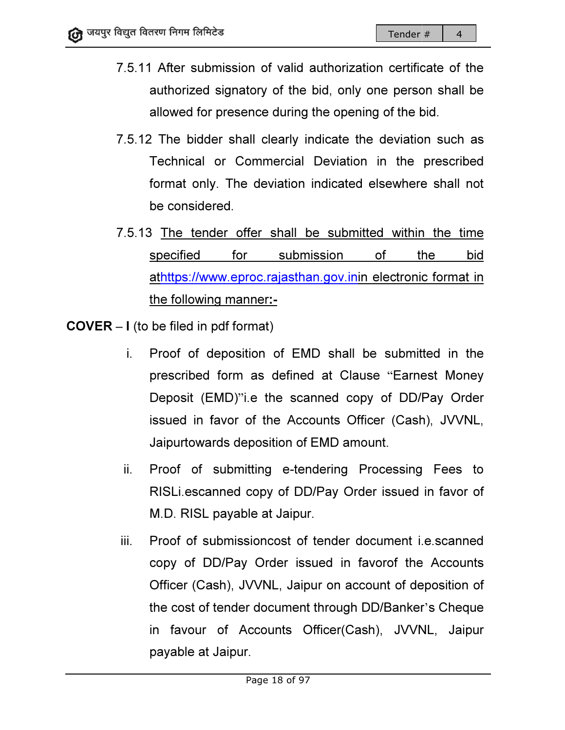- 7.5.11 After submission of valid authorization certificate of the authorized signatory of the bid, only one person shall be allowed for presence during the opening of the bid.
- allowed for presence during the opening of the bid.<br>
7.5.12 The bidder shall clearly indicate the deviation such as<br>
Technical or Commercial Deviation in the prescribed Technical or Commercial Deviation in the prescribed format only. The deviation indicated elsewhere shall not be considered.
- 7.5.13 The tender offer shall be submitted within the time specified athttps://www.eproc.rajasthan.gov.inin electronic format in <u>the following manner:-</u> for submission of the bid
- $COVER I$  (to be filed in pdf format)
	- **I** (to be filed in pdf format)<br>i. Proof of deposition of EMD shall be submitted in the prescribed form as defined at Clause "Earnest Money Deposit (EMD)"i.e the scanned copy of DD/Pay Order<br>issued in favor of the Accounts Officer (Cash), JVVNL, issued in favor of the Accounts Officer (Cash Jaipurtowards deposition of EMD amount.
	- ii. Proof of submitting e-tendering Processing Fees to RISLi.escanned copy of DD/Pay Order issued in favor of M.D. RISL payable at Jaipur.
	- M.D. RISL payable at Jaipur.<br>iii. Proof of submissioncost of tender document i.e.scanned copy of DD/Pay Order issued in favorof the Accounts Officer (Cash), JVVNL, Jaipur on account of deposition of the cost of tender document through DD/Banker 's Cheque in favour of Accounts Officer(Cash), JVVNL, Jaipur payable at Jaipur.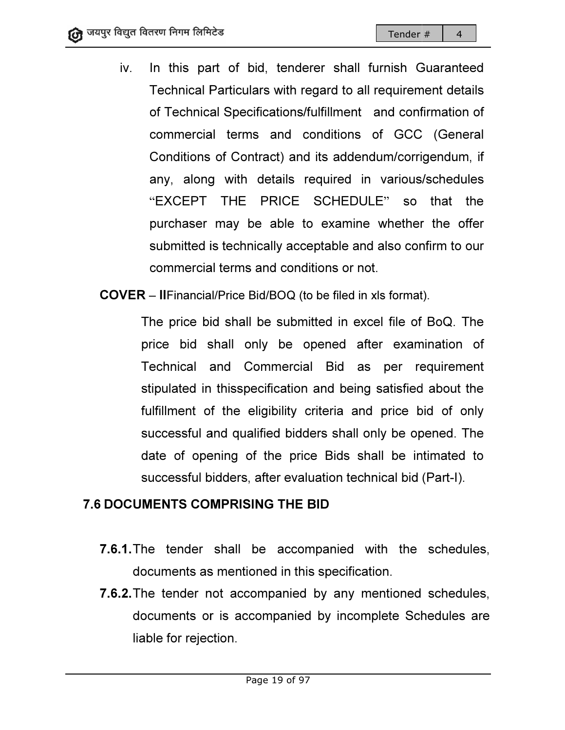- iv. In this part of bi bid, tenderer shall furnish Guaranteed Guaranteed Technical Particulars Particulars with regard to all requirement details Technical Particulars with regard to all requirement details<br>of Technical Specifications/fulfillment and confirmation of commercial terms and conditions of GCC (General Conditions of Contract) and its addendum/corrigendum, if commercial terms and conditions of GCC (General<br>Conditions of Contract) and its addendum/corrigendum, if<br>any, along with details required in various/schedules "EXCEPT THE PRICE SCHEDULE" so that the purchaser may be able to examine whether the offer submitted is technically acceptable and also confirm to our commercial terms and conditions or not. able to examine whether the offer<br>Ily acceptable and also confirm to our<br>d conditions or not.
- COVER IlFinancial/Price Bid/BOQ (to be filed in xls format).

The price bid shall be submitted in excel file of BoQ. The price bid shall only be opened after examination of Technical and Commercial Bid as per requirement stipulated in thisspecification and being satisfied about the fulfillment of the eligibility criteria and price bid of only successful and qualified bidders shall only be opened. The date of opening of the price Bids shall be intimated to successful bidders, after evaluation technical bid (Part-I).

### 7.6 DOCUMENTS COMPRISING THE BID

- **7.6.1.** The tender shall be accompanied with the schedules, documents as mentioned in this specification. documents as mentioned in this
- 7.6.2. The tender not accompanied by any mentioned schedules,<br>documents or is accompanied by incomplete Schedules are documents or is accompanied by incomplete Schedules liable for rejection.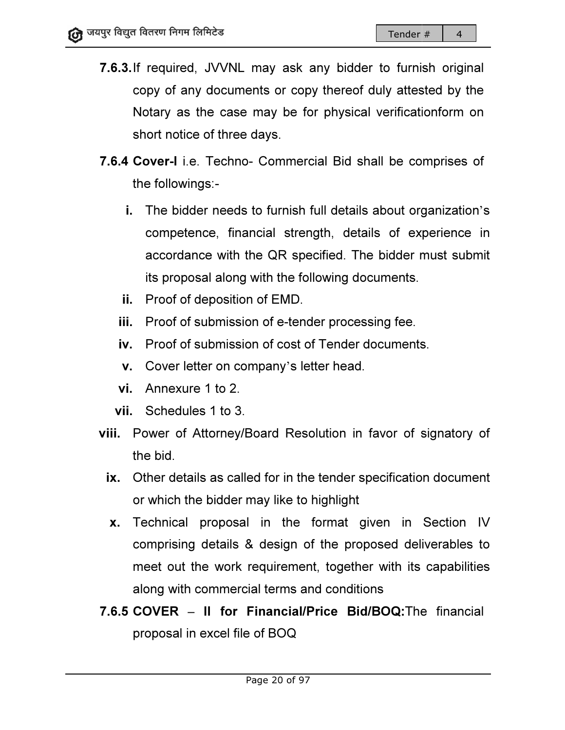- 7.6.3. If required, JVVNL may ask any bidder to furnish original copy of any documents or copy thereof duly attested by the Notary as the case may be for physical verificationform on short notice of three days.
- short notice of three days.<br>**7.6.4 Cover-I** i.e. Techno- Commercial Bid shall be comprises of the followings followings:
	- i. The bidder needs to furnish full details about organization 's competence, financial strength, details of experience in accordance with the QR specified. The bidder must submit its proposal along with the following documents. needs to furnish full details about organiz<br>, financial strength, details of experie<br>with the QR specified. The bidder must<br>along with the following documents.
	- ii. Proof of deposition of EMD.
	- iii. Proof of submission of e-tender processing fee.
	- iv. Proof of submission of cost of Tender documents.
	- v. Cover letter on company's letter head.
	- vi. Annexure 1 to 2.
	- vii. Schedules 1 to 3 3.
- viii. Power of Attorney/Board Resolution in favor of signatory of the bid.
	- ix. Other details as called for in the tender specification document or which the bidder may like to highlight ii. Power of Attorney/Board Resolution in favor of signatory of<br>the bid.<br>**x**. Other details as called for in the tender specification document<br>or which the bidder may like to highlight<br>**x**. Technical proposal in the format
- comprising details & design of the proposed deliverables to meet out the work requirement, together with its capabilities meet out the work requirement, together v<br>along with commercial terms and conditions of cost of Tender documents.<br>
pany's letter head.<br>
ard Resolution in favor of signatory of<br>
l for in the tender specification document<br>
ay like to highlight<br>
in the format given in Section IV<br>
design of the proposed delive
- 7.6.5 COVER II for Financial/Price Bid/BOQ:The financial proposal in excel file of BOQ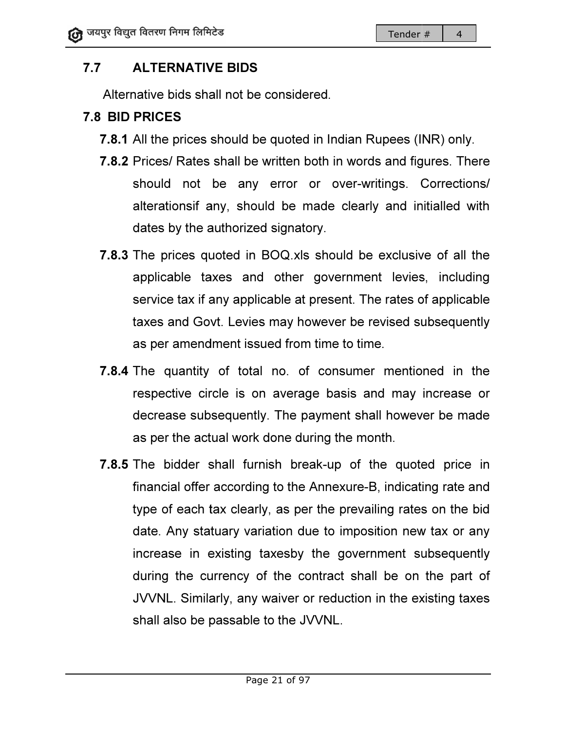# 7.7 ALTERNATIVE BIDS

Alternative bids shall not be considered.

# 7.8 BID PRICES

- **7.8.1** All the prices should be quoted in Indian Rupees (INR) only.
- 7.8.2 Prices/ Rates shall be written both in words and figures. There should not be any error or over-writings. Corrections/<br>alterationsif any, should be made clearly and initialled with alterationsif any, should be made clearly and initialled dates by the authorized signatory. All the prices should be quoted in Indian Rupees (INR) only.<br>Prices/ Rates shall be written both in words and figures. There<br>should not be any error or over-writings. Corrections/
- 7.8.3 The prices quoted in BOQ xls should be exclusive of all the applicable taxes and other government levies, including service tax if any applicable at present. The rates of applicable<br>taxes and Govt. Levies may however be revised subsequently<br>as per amendment issued from time to time.<br>The quantity of total no. of consumer mentioned in the taxes and Govt. Levies may however be revised subsequently as per amendment issued from time to time.
- **7.8.4** The quantity of total no. of consumer mentioned in the respective circle is on average basis and may increase or<br>decrease subsequently. The payment shall however be made decrease subsequently. The payment shall however be made as per the actual work done during the month.
- 7.8.5 The bidder shall furnish break-up of the quoted price in financial offer according to the Annexure-B, indicating rate and type of each tax clearly, as per the prevailing rates on the bid financial offer according to the Annexure financial offer Annexure-B, indicating rate and type of each tax clearly, as per the prevailing rates date. Any statuary variation due to imposition new tax or any increase in existing taxesby the government subsequently during the currency of the contract shall be on the part of JVVNL. Similarly, any waiver or reduction in the existing taxes<br>shall also be passable to the JVVNL. shall also be passable to the JVVNL.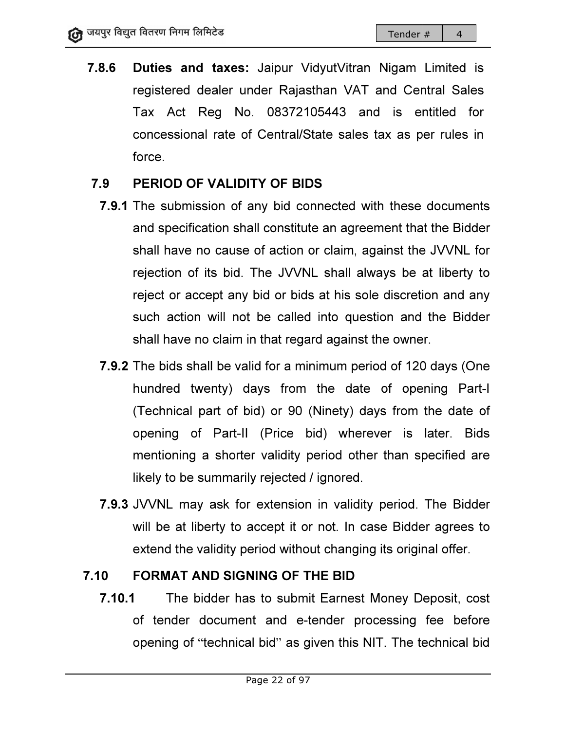7.8.6 Duties and taxes: Jaipur VidyutVitran Nigam Limited is registered dealer under Rajasthan VAT and Central Sales<br>Tax Act Reg No. 08372105443 and is entitled for<br>concessional rate of Central/State sales tax as per rules in Tax Act Reg No. 08372105443 and is entitled for concessional rate of Central/State sales tax as per rules in force.

# 7.9 PERIOD OF VALIDITY OF BIDS BIDS

- **7.9.1** The submission of any bid connected with these documents and specification shall constitute an agreement that the Bidder The submission of any bid connected with these documents<br>and specification shall constitute an agreement that the Bidder<br>shall have no cause of action or claim, against the JVVNL for rejection of its bid. The JVVNL shall always be at liberty to reject or accept any bid or bids at his sole discretion and any<br>such action will not be called into question and the Bidder<br>shall have no claim in that regard against the owner. such action will not be called into question and the Bidder shall have no claim in that regard against the always be at liberty to<br>sole discretion and any<br>uestion and the Bidder<br>st the owner.<br>period of 120 days (One<br>ate of opening Part-I
- 7.9.2 The bids shall be valid for a minimum period of 120 days (One The bids shall be valid for a minimum period of 120 days (On<br>hundred twenty) days from the date of opening Part (Technical part of bid) or 90 (Ninety) days from the date of opening of Part Part-II (Price bid) wherever is later. Bids mentioning a shorter validity period other than specified are likely to be summarily rejected / ignored. days from the date<br>erever is later. Bi<br>her than specified a<br>ity period. The Bidd<br>case Bidder agrees<br>ing its original offer.
- 7.9.3 JVVNL may ask for extension in validity period. The Bidder will be at liberty to accept it or not. In case Bidder agrees to extend the validity period without changing its original offer. y to be summarily rejected / ignored.<br>'NL may ask for extension in validity period. The Bidder<br>be at liberty to accept it or not. In case Bidder agrees to<br>Ind the validity period without changing its original offer.

### 7.10 FORMAT AND SIGNING OF THE BID

7.10.1 The bidder has to submit Earnest Money Deposit, cost<br>of tender document and e-tender processing fee before of tender document and e-tender processing fee before of tender document and e-tender processing fee before<br>opening of "technical bid" as given this NIT. The technical bid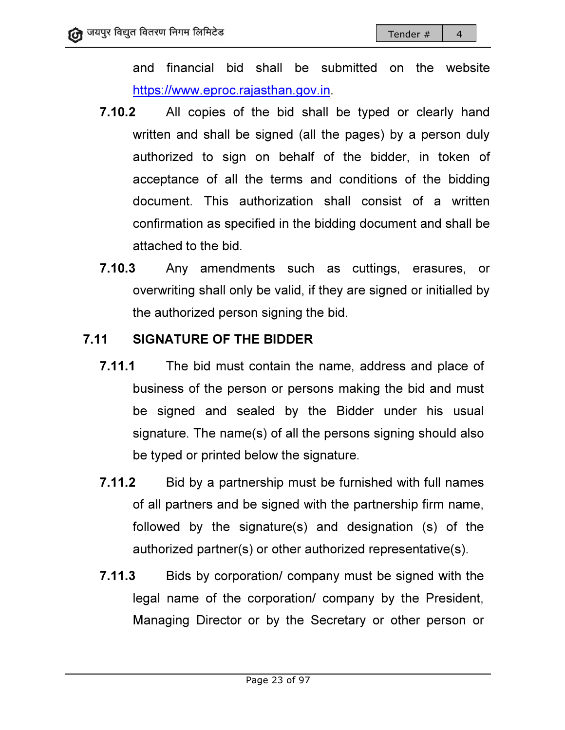and financial bid shall be submitted on the website<br><u>https://www.eproc.rajasthan.gov.in</u>. https://www.eproc.rajasthan.gov.in

- 7.10.2 All copies of the bid shall be typed or clearly hand written and shall be signed (all the pages) by a person duly authorized to sign on behalf of the bidder, in token of acceptance of all the terms and conditions of the bidding document. This authorization shall consist of a written confirmation as specified in the bidding document and shall be attached to the bid written and shall be signed (all the pages) by a person duly<br>authorized to sign on behalf of the bidder, in token of<br>acceptance of all the terms and conditions of the bidding<br>document. This authorization shall consist of a a<br>
e web<br>
early haverson d<br>
berson d<br>
berson d<br>
token<br>
he bidd<br>
a wrif<br>
nd shal<br>
asures,<br>
initialled<br>
d place<br>
and mu<br>
his usu<br>
hould al<br>
iull nam<br>
irm nam<br>
s) of t<br>
ative(s).<br>
d with t<br>
Preside<br>
person
- 7.10.3 Any amendments such as cuttings, erasures, or 3 Any amendments such as cuttings, erasures, or<br>overwriting shall only be valid, if they are signed or initialled by the authorized person signing the bid. authorized

### 7.11 SIGNATURE OF THE BIDDER

- 7.11.1 The bid must contain the name, address and place of I The bid must contain the name, address and place of<br>business of the person or persons making the bid and must be signed and sealed by the Bidder under his usual signature. The name(s) of all the persons signing should also be typed or printed below the signature.
- 7.11.2 Bid by a partnership must be furnished with full names of all partners and be signed with the partnership firm name,<br>
followed by the signature(s) and designation (s) of the<br>
authorized partner(s) or other authorized representative(s).<br>
Bids by corporation/ company must be sig followed by the signature(s) and designation (s) of the authorized partner(s) or other authorized representative(s). be signed and sealed by the Bidder under his usual<br>signature. The name(s) of all the persons signing should also<br>be typed or printed below the signature.<br>2. Bid by a partnership must be furnished with full names<br>of all par
- 7.11.3 Bids by corporation/ company must be signed with the legal name of the corporation/ company by the President, Managing Director or by the Secretary or other person or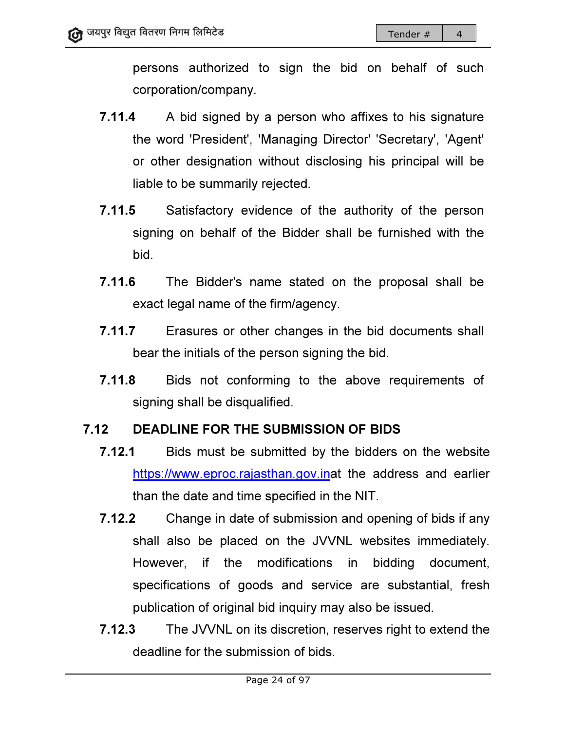persons authorized to sign the bid on behalf of such corporation/company corporation/company.

- **7.11.4** A bid signed by a person who affixes to his signature the word 'President', 'Managing Director' 'Secretary', 'Agent'<br>or other designation without disclosing his principal will be<br>liable to be summarily rejected.<br>Satisfactory evidence of the authority of the person or other designation without disclosing his principal will be liable to be summarily rejected.
- 7.11.5 Satisfactory evidence of the authority of the person signing on behalf of the Bidder shall be furnished with the<br>bid.<br>Sum The Bidder's name stated on the proposal shall be bid.
- 7.11.6 The Bidder's name stated on the proposal shall be exact legal name of the firm/agency.
- 7.11.7 Erasures or other changes in the bid documents shall bear the initials of the person signing the bid.
- 7.11.8 Bids not conforming to the above requirements of signing shall be disqualified. Frasures or other changes in the<br>bear the initials of the person signing the<br>Bids not conforming to the abc<br>signing shall be disqualified.

### 7.12 DEADLINE FOR THE SUBMISSION OF BIDS

- 7.12.1 Bids must be submitted by the bidders on the website l Bids must be submitted by the bidders on the website<br><u>https://www.eproc.rajasthan.gov.in</u>at the address and earlier than the date and time specified in the NIT.
- **7.12.2** Change in date of submission and opening of bids if any shall also be placed on the JVVNL websites immediately. However, if the modifications in bidding document, 2 Change in date of submission and opening of bids if any<br>shall also be placed on the JVVNL websites immediately.<br>However, if the modifications in bidding document,<br>specifications of goods and service are substantial, fres publication of original bid inquiry may also be issued.
- publication of original bid inquiry may also be issued.<br>**7.12.3** The JVVNL on its discretion, reserves right to extend the deadline for the submission of bids.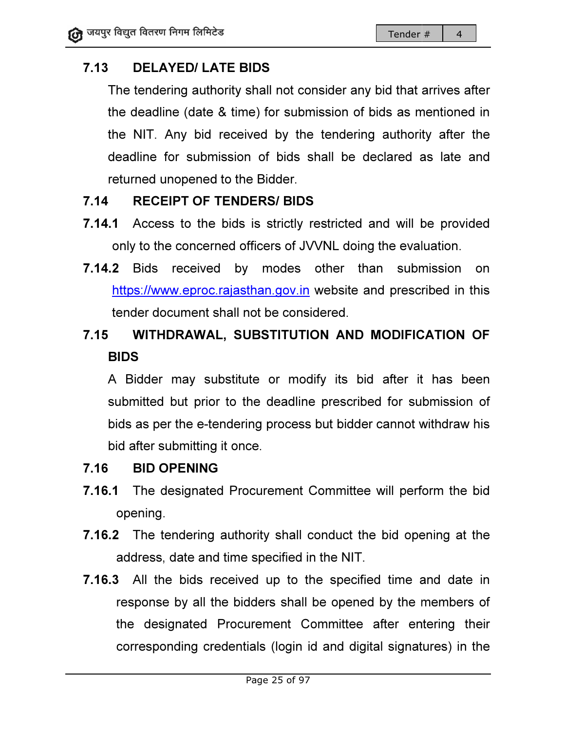# 7.13 DELAYED/ LATE BIDS

The tendering authority shall not consider any bid that arrives after<br>the deadline (date & time) for submission of bids as mentioned in the deadline (date & time) for submission of bids as mentioned in the NIT. Any bid received by the tendering authority after the<br>deadline for submission of bids shall be declared as late and<br>returned unopened to the Bidder.<br>**RECEIPT OF TENDERS/ BIDS**<br>**1.** Access to the bids is strictly r deadline for submission of bids shall be declared as late and returned unopened to the Bidder. **Example 18 Tender # 14**<br> **Example 17 TE BIDS**<br>
Forty shall not consider any bid that arrives<br>
& time) for submission of bids as mention<br>
received by the tendering authority after<br>
tission of bids shall be declared as lat

# 7.14 RECEIPT OF TENDERS/ BIDS

- **7.14.1** Access to the bids is strictly restricted and will be provided only to the concerned officers of JVVNL doing the evaluation.
- 7.14.2 Bids received by modes other than submission on **2** Bids received by modes other than submission on<br><u>https://www.eproc.rajasthan.gov.in</u> website and prescribed in this tender document shall not be considered.

# 7.15 WITHDRAWAL, SUBSTITUTION AND MODIFICATION OF **BIDS**

A Bidder may substitute or modify its bid after it has been<br>submitted but prior to the deadline prescribed for submission of submitted but prior to the deadline prescribed for submission of bids as per the e-tendering process but bidder cannot withdraw his bid after submitting it once. is strictly restricted and will be provided<br>officers of JVVNL doing the evaluation.<br>
The modes other than submission on<br>
than.gov.in website and prescribed in this<br>
mot be considered.<br>
UBSTITUTION AND MODIFICATION OF<br>
the

# 7.16 BID OPENING

- opening.
- 7.16.1 The designated Procurement Committee will perform the bid opening.<br> **7.16.2** The tendering authority shall conduct the bid opening at the address, date and time specified in the NIT. 7.16.2 The tendering authority shall conduct the bid opening at the address, date and time specified in the NIT.
- 7.16.3 All the bids received up to the specified time and date in response by all the bidders shall be opened by the members of the designated Procurement Committee after entering their corresponding credentials (login id and digital signatures) in the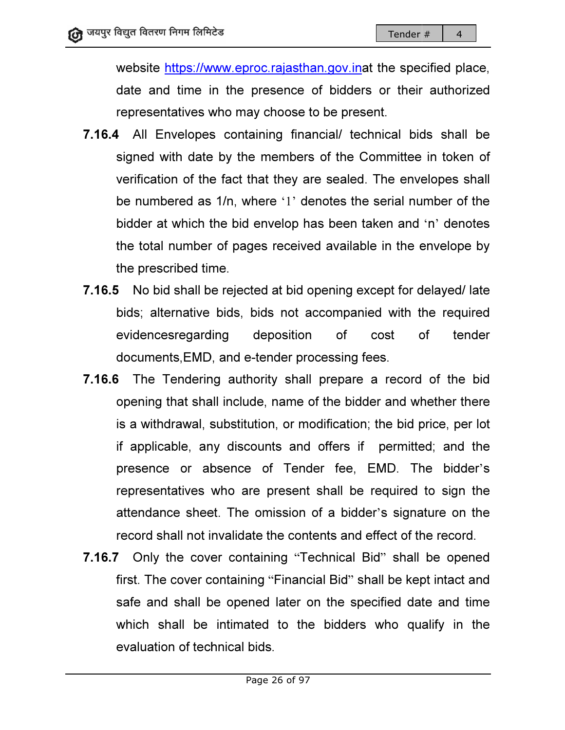website <u>https://www.eproc.rajasthan.gov.in</u>at the specified place, date and time in the presence of bidders or their authorized representatives who may choose to be present.

- 7.16.4 All Envelopes containing financial/ technical bids shall be signed with date by the members of the Committee in token of verification of the fact that they are sealed. The envelopes shall be numbered as 1/n, where ' signed with date by the members of the Committee in token of verification of the fact that they are sealed. The envelopes shall be numbered as 1/n, where '1' denotes the serial number of the bidder at which the bid envelop has been taken and 'n' denotes the total number of pages received available in the envelope by the prescribed time. **inat the specified place,**<br>ders or their authorized<br>resent.<br>technical bids shall be<br>e Committee in token of<br>ed. The envelopes shall<br>the serial number of the
- 7.16.5 No bid shall be rejected at bid opening except for delayed/ late bids; alternative bids, bids not accompanied with the required evidencesregarding documents, EMD, and e-tender processing fees. prescribed time.<br>Jo bid shall be rejected at bid opening except for delayed/ late<br>›; alternative bids, bids not accompanied with the required deposition of cost of tender
- 7.16.6 The Tendering authority shall prepare a record of the bid opening that shall include, name of the bidder and whether there is a withdrawal, substitution, or modification; the bid price, per lot if applicable, any discounts and offers if permitted; and the presence or absence of Tender fee, EMD. The bidder 's representatives who are present shall be required to sign the attendance sheet. The omission of a bidder record shall not invalidate the contents and effect of the record. Fendering authority shall prepare a record of the bid<br>that shall include, name of the bidder and whether there<br>drawal, substitution, or modification; the bid price, per lot<br>able, any discounts and offers if permitted; and Tender  $\#$  14 lates<br>
<u>Tender</u>  $\#$  14<br>
<u>Institutions</u> and the specified p<br> **ps://www.eproc.rajasthan.gov.inat** the specified p<br>
time in the presence of bidders or their autho<br>
tives who may choose to be present.<br>
Elopes
- 7.16.7 Only the cover containing "Technical Bid" shall be opened first. The cover containing "Financial Bid" shall be kept intact and safe and shall be opened later on the specified date and time which shall be intimated to the bidders who qualify in the evaluation of technical bids. The omission of a bidder's signature on the<br>validate the contents and effect of the record.<br>r containing "Technical Bid" shall be opened<br>ntaining "Financial Bid" shall be kept intact and<br>e opened later on the specified dat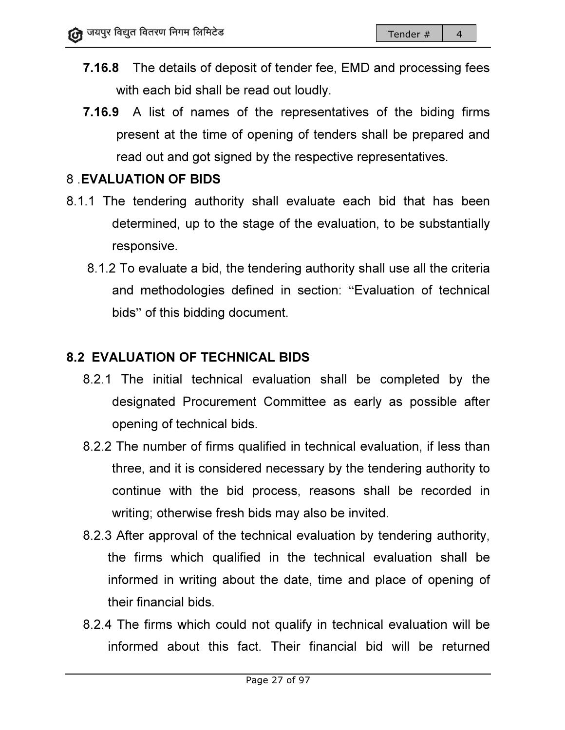- **7.16.8** The details of deposit of tender fee, EMD and processing fees with each bid shall be read out loudly.
- 7.16.9 A list of names of the representatives of the biding firms with each bid shall be read out loudly.<br>• A list of names of the representatives of the biding firms<br>present at the time of opening of tenders shall be prepared and read out and got signed by the respective representatives. esentatives of the biding firms<br>in the biding firms<br>of tenders shall be prepared and<br>spective representatives.<br>aluate each bid that has been<br>ne evaluation, to be substantially<br>authority shall use all the criteria<br>ection: "

### 8 .EVALUATION OF BIDS EVALUATION OF

- 9.1.1 The tendering authority shall evaluate each bid that has been<br>determined, up to the stage of the evaluation, to be substantially<br>responsive.<br>8.1.2 To evaluate a bid, the tendering authority shall use all the criteria determined, up to the stage of the evaluation, to be substantially responsive.
	- 8.1.2 To evaluate a bid, the tendering authority shall use all the criteria and methodologies defined in section: bids" of this bidding document.

## 8.2 EVALUATION OF TECHNICAL BIDS EVALUATION

- 8.2.1 The initial technical evaluation shall be completed by the designated Procurement Committee as early as possible after opening of technical bids.
- 8.2.2 The number of firms qualified in technical evaluation, if less than three, and it is considered necessary by the tendering authority to continue with the bid process, reasons shall be recorded in writing; otherwise fresh bids may also be invited. designated Procurement Committee as early as possible<br>opening of technical bids.<br>The number of firms qualified in technical evaluation, if less<br>three, and it is considered necessary by the tendering authori<br>continue with t **Tender #** 1479 interacts and the control of the control of the celestials of deposit of tender fee, EMD and processing feed and bid shall be read out loudly.<br>
list of names of the representatives of the biding fiim that
- 8.2.3 After approval of the technical evaluation by tendering authority, the firms which qualified in the technical evaluation shall be informed in writing about the date, time and place of opening of their financial bids.
- 8.2.4 The firms which could not qualify in technical evaluation will be informed about this fact. Their financial bid will be returned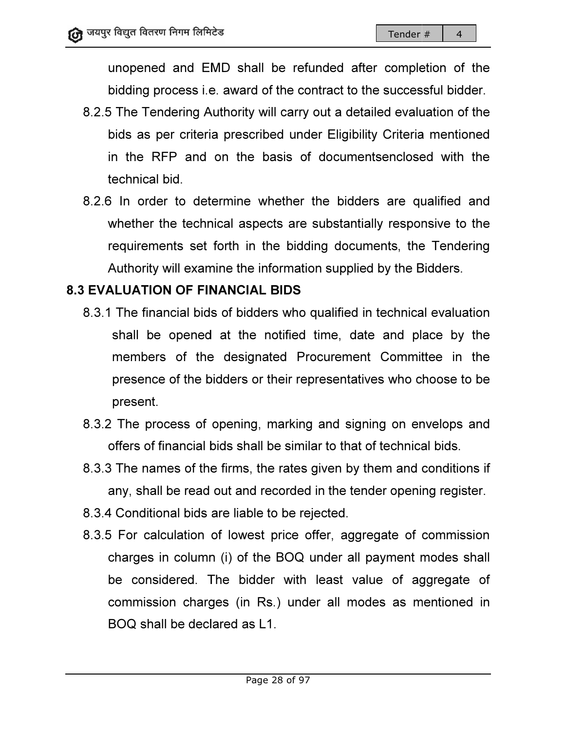unopened and EMD unopened EMD shall be refunded after completion of the bidding process i.e. award of the contract to the successful bidder.

- 8.2.5 The Tendering Authority will carry out a detailed evaluation of the bidding process i.e. award of the contract to the successful bidder.<br>5 The Tendering Authority will carry out a detailed evaluation of the<br>bids as per criteria prescribed under Eligibility Criteria mentioned in the RFP and on the basis of documentsenclosed with technical bid. completion of the<br>successful bidder.<br>ed evaluation of the<br>Criteria mentioned<br>enclosed with the
- 8.2.6 In order to determine whether the bidders are qualified and whether the technical aspects are substantially responsive to the requirements set forth in the bidding documents, the Tendering whether the technical aspects are substantially responsive to the requirements set forth in the bidding documents Authority will examine the information supplied by the Bidders.

### 8.3 EVALUATION OF FINANCIAL BIDS EVALUATION

- 8.3.1 The financial bids of bidders who qualified in technical evaluation shall be opened at the notified time, date and place by the members of the designated Procurement Committee in the presence of the bidders or their representatives who choose to be present. Financial bids of bidders who qualified in technical evaluation shall be opened at the notified time, date and place by the members of the designated Procurement Committee in the presence of the bidders or their representa **Example 18 Tender # 14**<br>
Ill be refunded after completion of<br>
oril of the contract to the successful bio<br>
will carry out a detailed evaluation cribed under Eligibility Criteria mentit<br>
basis of documentsenclosed with<br>
wh
- 8.3.2 The process of opening, marking and signing on envelops and offers of financial bids shall be similar to that of technical bids.
- 8.3.3 The names of the firms, the rates given by them and conditions if any, shall be read out and recorded in the tender opening register.
- 8.3.4 Conditional bids are liable to be rejected.
- 8.3.4 Conditional bids are liable to be rejected.<br>8.3.5 For calculation of lowest price offer, aggregate of commission charges in column (i) of the BOQ under all payment modes shall<br>be considered. The bidder with least value of aggregate of be considered. The bidder with least value of aggregate commission charges (in Rs.) under all modes as mentioned in BOQ shall be declared as L1.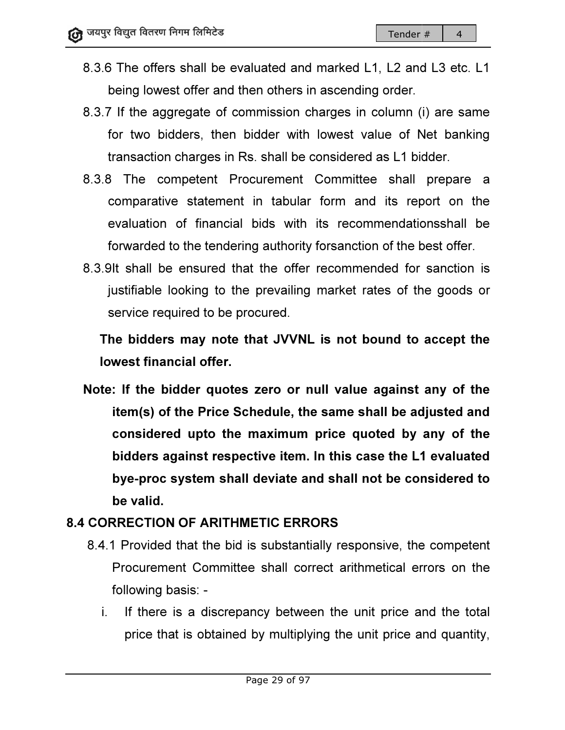- 8.3.6 The offers shall be evaluated and marked L1, L2 and L3 etc. L1 being lowest offer and then others in ascending order. d and marked L1, L2 and L3 etc. L1<br>hers in ascending order.<br>sion charges in column (i) are same
- 8.3.7 If the aggregate of commission charges in column (i) are same<br>for two bidders, then bidder with lowest value of Net banking for two bidders, then bidder with lowest value of Net banking transaction charges in Rs. shall be considered as L1 bidder.
- 8.3.8 The competent Procurement Committee shall prepare a comparative statement in tabular form and its report on evaluation of financial bids with its recommendationsshall be forwarded to the tendering authority forsanction of the best offer. npetent Procurement Committee shall prepare a<br>estatement in tabular form and its report on the<br>of financial bids with its recommendationsshall be the
- 8.3.9It shall be ensured that the offer recommended for sanction is 9lt shall be ensured that the offer recommended for sanction is<br>justifiable looking to the prevailing market rates of the goods or service required to be procured.

The bidders may note that JVVNL is not bound to accept the lowest financial offer.

Note: If the bidder quotes zero or null value against any of the item(s) of the Price Schedule, the same shall be adjusted and considered upto the maximum price quoted by any of the bidders against respective item. In this case the L1 evaluated bye-proc system shall deviate and shall not be considered to be valid. In the bidder quotes zero or null value against any of the bidder quotes zero or null value against any of the Schedule, the same shall be adjusted an<br>sidered upto the maximum price quoted by any of the<br>rs against respecti Tender  $*$ <br>  $*$ <br>
tender  $*$ <br>
the offers shall be evaluated and marked L1, L2 and L3 et<br>
ng lowest offer and then others in ascending order.<br>
the aggregate of commission charges in column (i) are s<br>
two bidders, then bidde

# 8.4 CORRECTION OF ARITHMETIC ERRORS

- 8.4.1 Provided that the bid is substantially responsive, the competent Procurement Committee shall correct arithmetical errors on the following basis:
	- i. If there is a discrepancy between the unit price and the total price that is obtained by multiplying the unit price and quantity,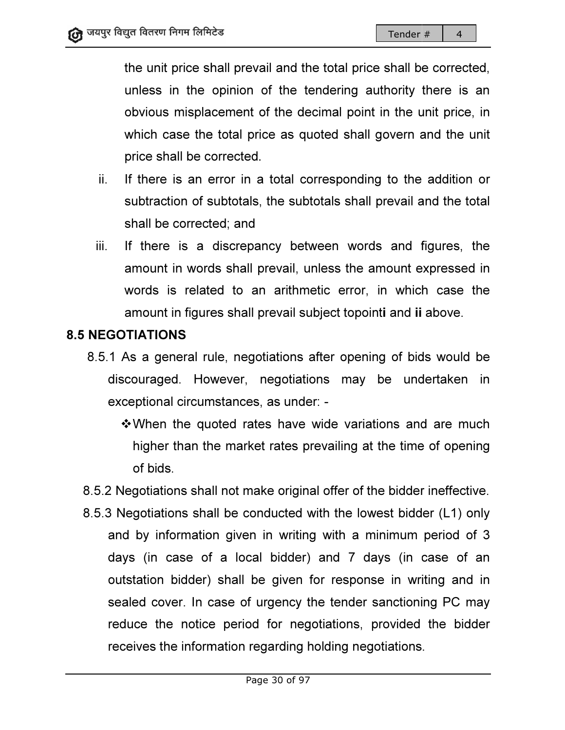the unit price shall prevail and the total price shall be corrected, unless in the opinion of the tendering authority obvious misplacement of the decimal point in the unit price, in which case the total price as quoted shall govern and the unit price shall be corrected unit price shall prevail and the total price shall k<br>ess in the opinion of the tendering authority<br>ious misplacement of the decimal point in the<br>ch case the total price as quoted shall govern<br>e shall be corrected. there is an

- ii. If there is an error in a total corresponding to the addition or<br>subtraction of subtotals, the subtotals shall prevail and the total subtraction of subtotals, the subtotals shall prevail and the total shall be corrected; and
- iii. If there is a discrepancy between words and figures, the amount in words shall prevail, unless the amount expressed in words is related to an arithmetic error, in which case the amount in figures shall prevail subject topointi and ii above. corrected; and<br>is a discrepancy between words and figures, the<br>in words shall prevail, unless the amount expressed in<br>s related to an arithmetic error, in which case the<br>in figures shall prevail subject topointi and ii abo the subtotals shall prevail and the t<br>icy between words and figures,<br>revail, unless the amount expresse<br>arithmetic error, in which case<br>revail subject topointi and ii above.

#### 8.5 NEGOTIATIONS

- 8.5.1 As a general rule, negotiations after opening of bids would be discouraged. However, negotiations may be undertaken in exceptional circumstances, as under: discouraged. However, negotiations may be undertaken in exceptional circumstances, as
	- \* When the quoted rates have wide variations and are much higher than the market rates prevailing at the time of opening of bids.
- 8.5.2 Negotiations shall not make original offer of the bidder ineffective.
- 8.5.3 Negotiations shall be conducted with the lowest bidder (L1) only and by information given in writing with a minimum period of 3 days (in case of a local bidder) and 7 days (in case of an outstation bidder) shall be given for response in writing and in sealed cover. In case of urgency the tender sanctioning PC may reduce the notice period for negotiations, provided the bidder receives the information regarding holding negotiations. Translation at the priority of the the complete  $x = 4$ <br>
the unit price shall prevail and the total price is all be corrected,<br>
unless the total price as quoted shall govern and the unit price, in<br>
which case the total pri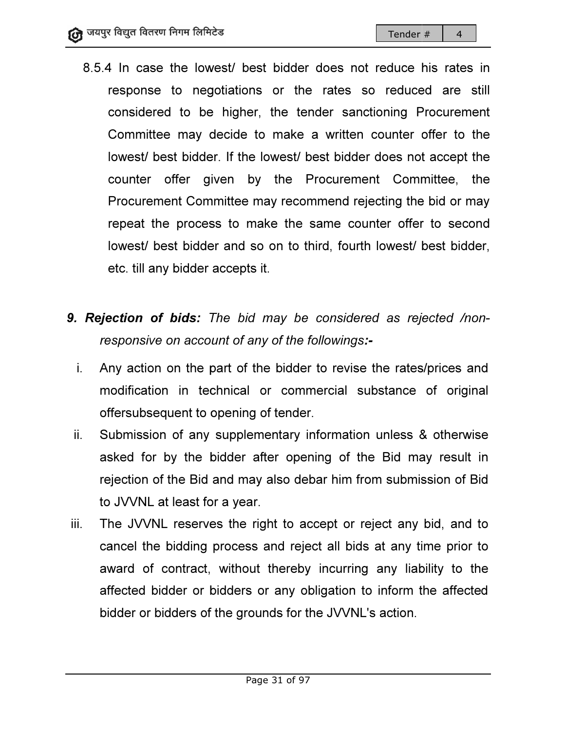- 8.5.4 In case the lowest/ best bidder does not reduce his rates in response to negotiations or the rates so reduced are still considered to be higher, the tender sanctioning Procurement Committee may decide to make a written counter offer to the lowest/ best bidder. If the lowest/ best bidder does not accept the counter offer given by the Procurement Committee, the Procurement Committee may recomme repeat the process to make the same counter offer to second repeat the process to make the same counter offer to second<br>lowest/ best bidder and so on to third, fourth lowest/ best bidder, etc. till any bidder accepts it. st/ best bidder does not reduce his rates in<br>tiations or the rates so reduced are still<br>higher, the tender sanctioning Procurement be higher, the tender sanctioning Procurement<br>hay decide to make a written counter offer to the<br>bidder. If the lowest/ best bidder does not accept the<br>r given by the Procurement Committee, the<br>Committee may recommend rejec
- **9. Rejection of bids:** The bid may be considered as rejected /nonresponsive on account of any of the followings*:* 
	- i. Any action on the part of the bidder to revise the rates/prices and modification in technical or commercial substance of original offersubsequent to opening of tender.
	- ii. Submission of any supplementary information unless & otherwise asked for by the bidder after opening of the Bid may result in rejection of the Bid and may also debar him from submission of Bid to JVVNL at least for a year.
- iii. The JVVNL reserves the right to accept or reject any bid, and to The JVVNL reserves the right to accept or reject any bid, and to<br>cancel the bidding process and reject all bids at any time prior to award of contract, without thereby incurring any liability to the affected bidder or bidders or any obligation to inform the affecte<br>bidder or bidders of the grounds for the JVVNL's action. bidder or bidders of the grounds for the of the Bid may result in<br>im from submission of Bid<br>or reject any bid, and to<br>l bids at any time prior to<br>urring any liability to the<br>ion to inform the affected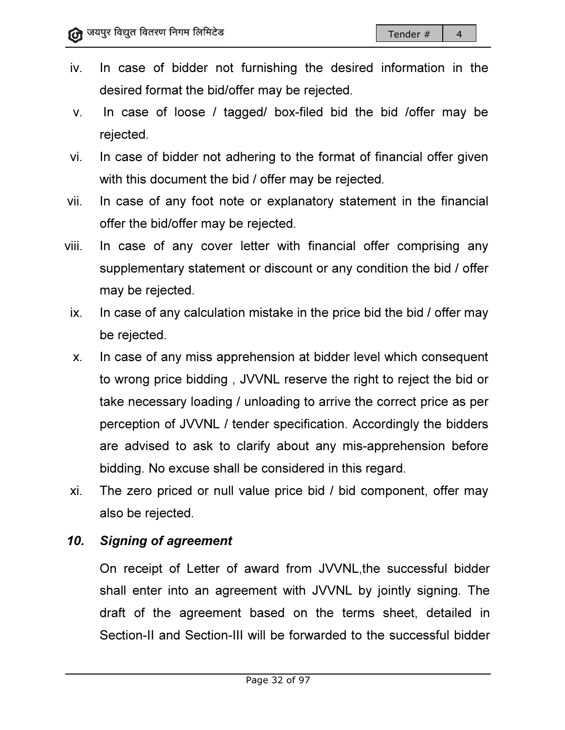- iv. In case of bidder not furnishing the desired information in the desired format the bid/offer may be rejected.
- v. In case of loose / tagged/ box-filed bid the bid /offer may be rejected.
- vi. In case of bidder not adhering to the format of financial offer given with this document the bid / offer may be rejected.
- vii. In case of any foot note or explanatory statement in the financial offer the bid/offer may be rejected.
- viii. In case of any cover letter with financial offer comprising any supplementary statement or discount or any condition the bid / offer may be rejected. filed bid the bid /offer may be<br>he format of financial offer given<br>ay be rejected.<br>natory statement in the financial<br>financial offer comprising any<br>unt or any condition the bid / offer<br>n the price bid the bid / offer may<br>a
- ix. In case of any calculation mistake in the price bid the bid  $\prime$  offer may be rejected.
- x. In case of any miss apprehension at bidder level which consequen In case of any miss apprehension at bidder level which consequent<br>to wrong price bidding , JVVNL reserve the right to reject the bid or take necessary loading / unloading to arrive the correct price as per perception of JVVNL / tender specification. Accordingly the bidders take necessary loading / unloading to arrive the correct price as per<br>perception of JVVNL / tender specification. Accordingly the bidders<br>are advised to ask to clarify about any mis-apprehension before bidding. No excuse shall be considered in this regard.
- bidding. No excuse shall be considered in this regard.<br>xi. The zero priced or null value price bid / bid component, offer may also be rejected.

### *10. Signing of agreement*

On receipt of Letter of award from JVVNL, the successful bidder shall enter into an agreement with JVVNL by jointly signing draft of the agreement based on the terms sheet, detailed in<br>Section-II and Section-III will be forwarded to the successful bidder Section-II and Section-III will be forwarded to the -apprehension before<br>regard.<br>:omponent, offer may<br>he successful bidder<br>y jointly signing. The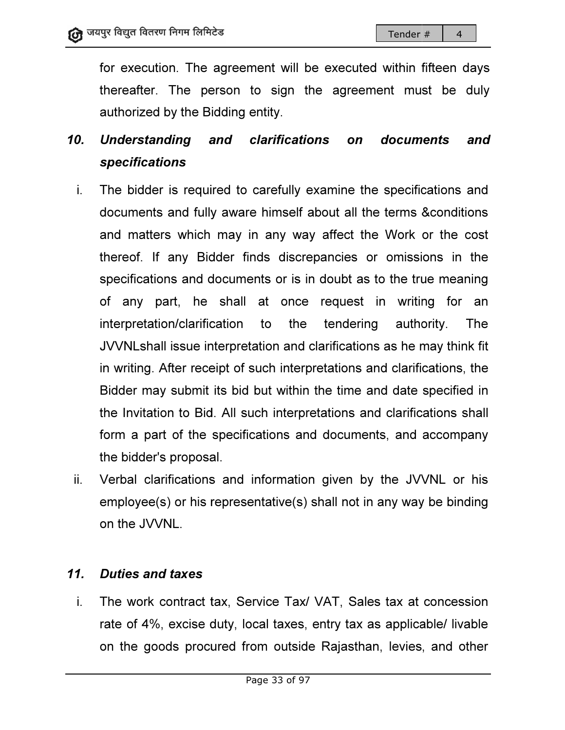for execution. The agreement will be executed within fifteen days for execution. The agreement will be executed within fifteen days<br>thereafter. The person to sign the agreement must be duly authorized by the Bidd authorized by the Bidding entity.

# *10. Understanding and clarifications on documents and specifications*

- i. The bidder is required to carefully examine the specifications and documents and fully aware himself about all the terms & &conditions and matters which may in any way affect the Work or the cost thereof. If any Bidder finds discrepancies or omissions in the and matters which may in any way affect the Work or the cost<br>thereof. If any Bidder finds discrepancies or omissions in the<br>specifications and documents or is in doubt as to the true meaning of any part, he shall at once request in writing for an<br>interpretation/clarification to the tendering authority. The interpretation/clarification JVVNLshall issue interpretation and clarifications as he may think fit JVVNLshall issue interpretation and clarifications as he may think fit<br>in writing. After receipt of such interpretations and clarifications, the Bidder may submit its bid but within the time and date specified in<br>the Invitation to Bid. All such interpretations and clarifications shall<br>form a part of the specifications and documents, and accompany<br>the bidder's propo the Invitation to Bid. All such interpretations and clarifications shall form a part of the specifications and documents, and accompany the bidder's proposal. to the tendering authority.
- the bidder's proposal.<br>ii. Verbal clarifications and information given by the JVVNL employee(s) or his representative(s) shall not in any way be binding on the JVVNL.

#### *11. Duties and taxes*

i. The work contract tax, Service Tax/ VAT, Sales tax at concession<br>rate of 4%, excise duty, local taxes, entry tax as applicable/ livable rate of 4%, excise duty, local taxes, entry tax as applicable/ rate of 4%, excise duty, local taxes, entry tax as applicable/ livable<br>on the goods procured from outside Rajasthan, levies, and other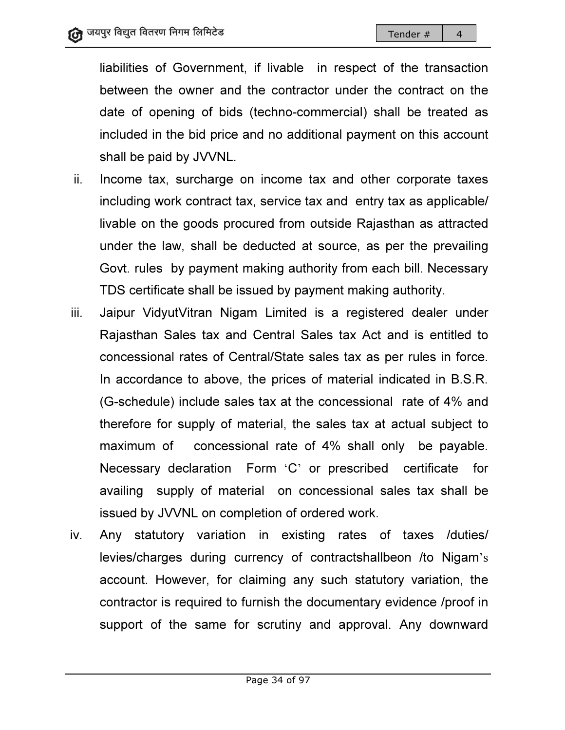liabilities of Government, if livable in respect of the transaction between the owner and the contractor under the contract on the date of opening of bids (techno-commercial) shall be treated as included in the bid price and no additional payment on this account shall be paid by JVVNL.

- ii. Income tax, surcharge on income tax and other corporate taxes including work contract tax, service tax and entry tax as applicable/ livable on the goods procured from outside Rajasthan as attracted under the law, shall be deducted at source, as per the prevailing Govt. rules by payment making authority from each bill. Necessary TDS certificate shall be issued by payment making authority. Govt. rules by payment making authority from each bill. Necessary<br>TDS certificate shall be issued by payment making authority.<br>iii. Jaipur VidyutVitran Nigam Limited is a registered dealer under ncome tax, surcharge on income tax and other corporate taxes<br>ncluding work contract tax, service tax and entry tax as applicable/<br>ivable on the goods procured from outside Rajasthan as attracted<br>under the law, shall be ded
- Rajasthan Sales tax and Central Sales tax Act and is entitled to concessional rates of Central/State sales tax as per rules in force. In accordance to above, the prices of material indicated in B.S.R. (G-schedule) include sales tax at the concessional rate of 4% and therefore for supply of material, the sales tax at actual subject to maximum of concessional rate of 4% shall only be payable. Necessary declaration Form 'C' or prescribed certificate for issued by JVVNL on completion of ordered work. accordance to above, the prices of material indicated in B.S.R.<br>schedule) include sales tax at the concessional rate of 4% and<br>refore for supply of material, the sales tax at actual subject to igam Limited is a registered dealer under<br>and Central Sales tax Act and is entitled to<br>Central/State sales tax as per rules in force.<br>ve, the prices of material indicated in B.S.R.
- availing supply of material on concessional sales tax shall be<br>issued by JVVNL on completion of ordered work.<br>Any statutory variation in existing rates of taxes /duties/<br>levies/charges during currency of contractshallbeon iv. Any statutory variation in existing rates of taxes /duties/ levies/charges during currency of contractshallbeon /to Nigam's account. However, for claiming any such statutory variation, the<br>contractor is required to furnish the documentary evidence /proof in contractor is required to furnish the documentary evidence /proof in support of the same for scrutiny and approval. Any downward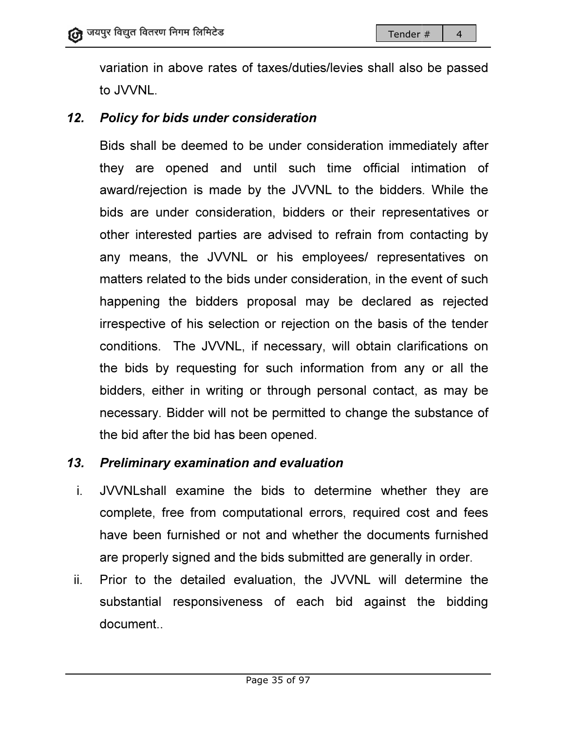variation in above rates of taxes/duties/levies shall also be passed to JVVNL.

#### *12. Policy for bids under consideration bids under*

Bids shall be deemed to be under consideration immediately after they are opened and until such time official intimation of award/rejection is made by the JVVNL to the bidders. While the bids are under consideration, bidders or their representatives or other interested parties are advised to refrain from contacting by any means, the JVVNL or his employees/ representatives on matters related to the bids under consideration, in the event of such happening the bidders proposal may be declared as rejected happening the irrespective of his selection or rejection on the basis of conditions. The JVVNL JVVNL, if necessary, will obtain clarifications on the bids by requesting for such information from any or all the bidders, either in writing or through personal contact, as may be necessary. Bidder will not be permitted to change the substance of the bid after the bid has been opened. NL to the bidders. While the<br>s or their representatives or<br>to refrain from contacting by<br>ployees/ representatives on<br>ideration, in the event of such<br>ay be declared as rejected<br>on on the basis of the tender is if necessary, will obtain clarifications on<br>for such information from any or all the<br>j or through personal contact, as may be<br>ot be permitted to change the substance of<br>peen opened.<br>**n** and evaluation<br>ne bids to determi

### *13. Preliminary examination and evaluation*

- i. JVVNLshall examine the bids to determine whether they are complete, free from computational errors, required cost and fees have been furnished or not and whether the documents are properly signed and the bids submitted are generally in order. generally in bid after the bid has been opened.<br>*Iiminary examination and evaluation*<br>/NLshall examine the bids to determine whether they are<br>iplete, free from computational errors, required cost and fees
- ii. Prior to the detailed evaluation, the JVVNL will determine the substantial responsiveness of each bid against the bidding document..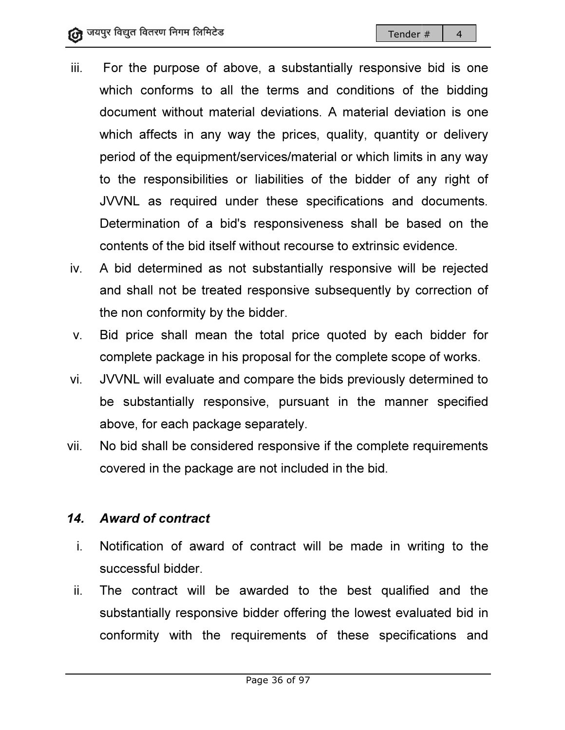- iii. For the purpose of above, a substantially responsive bid is one<br>which conforms to all the terms and conditions of the bidding which conforms to all the terms and conditions of the bidding<br>document without material deviations. A material deviation is one document without material deviations. A material deviation is one which affects in any way the prices, quality, quantity or delivery<br>period of the equipment/services/material or which limits in any way period of the equipment/services/material or which limits in any way to the responsibilities or liabilities of the bidder of any right of JVVNL as required under these specifications and documents. Determination of a bid's responsiveness shall be based on the contents of the bid itself without recourse to extrinsic evidence. Determination of a bid's responsiveness shall be based on the<br>contents of the bid itself without recourse to extrinsic evidence.<br>iv. A bid determined as not substantially responsive will be rejected or which limits in any way<br>e bidder of any right of<br>ications and documents.<br>s shall be based on the<br>o extrinsic evidence.<br>sponsive will be rejected<br>iequently by correction of<br>oted by each bidder for
- and shall not be treated responsive subsequently by correction of the non conformity by the bidder.
- the non conformity by the bidder.<br>v. Bid price shall mean the total price quoted by each bidder
- complete package in his proposal for the complete scope of works.<br>JVVNL will evaluate and compare the bids previously determined t vi. JVVNL will evaluate and compare the bids previously determined to be substantially respon substantially responsive, pursuant in the manner specified above, for each package separately.
- above, for each package separately.<br>vii. No bid shall be considered responsive if the complete requirements covered in the package are not included in the bid.

### *14. Award of contract*

- i. Notification of award of contract will be made in writing to the successful bidder. esponsive if the complete requirements<br>not included in the bid.<br>Intract will be made in writing to the<br>rded to the best qualified and the
- ii. The contract will be awarded to the best qualified and substantially responsive bidder offering the lowest evaluated bid in conformity with the requirements of these specifications and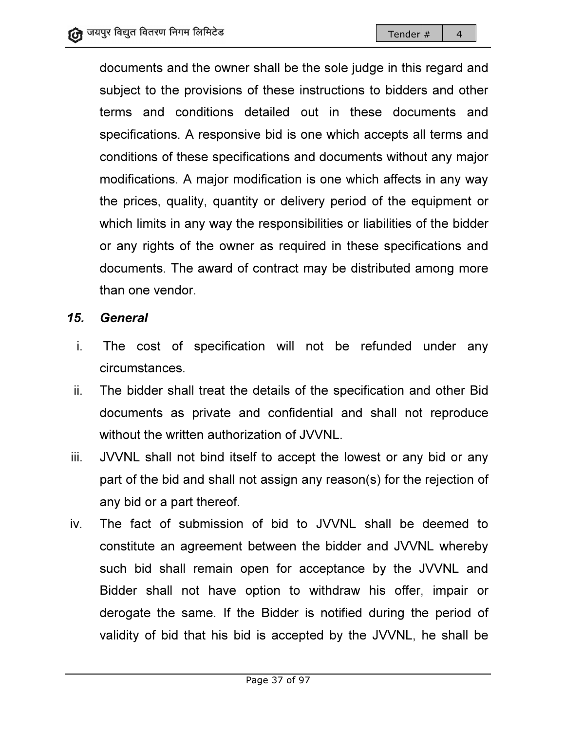documents and the owner shall be the sole judge in this regard and subject to the provisions of these instructions to bidders and other terms and conditions detailed out in these documents and specifications. A responsive bid is one which accepts all terms and<br>conditions of these specifications and documents without any major conditions of these specifications and documents without any major modifications. A major modification is one which a modification affects in any way the prices, quality, quantity or delivery period of the equipment or which limits in any way the responsibilities or liabilities of the bidder or any rights of the owner as required in these specifications and documents. The award of contract may be distributed among more than one vendor. bidders and other<br>documents and<br>pts all terms and<br>without any major<br>ffects in any way<br>the equipment or<br>ities of the bidder<br>pecifications and<br>ted among more<br>ded under any<br>on and other Bid<br>II not reproduce<br>pr any bid or any

#### *15. General*

- i. The cost of specification will not be refunded under any<br>circumstances.<br>i. The bidder shall treat the details of the specification and other Bid circumstances.
- ii. The bidder shall treat the details of the specification and other Bid documents as private and confidential and shall not reproduce without the written authorization of without JVVNL.
- iii. JVVNL shall not bind itself to accept the lowest or any bid or any<br>part of the bid and shall not assign any reason(s) for the rejection of<br>any bid or a part thereof.<br>iv. The fact of submission of bid to JVVNL shall be part of the bid and shall not assign any reason(s) for the rejection of any bid or a part thereof.
- iv. The fact of submission of bid to JVVNL shall be deemed to The fact of submission of bid to JVVNL shall be deemed to<br>constitute an agreement between the bidder and JVVNL whereby such bid shall remain open for acceptance by the JVVNL and Bidder shall not have option to withdraw his offer, impair or derogate the same. If the Bidder is notified during the period of validity of bid that his bid is accepted by the JVVNL, he shall be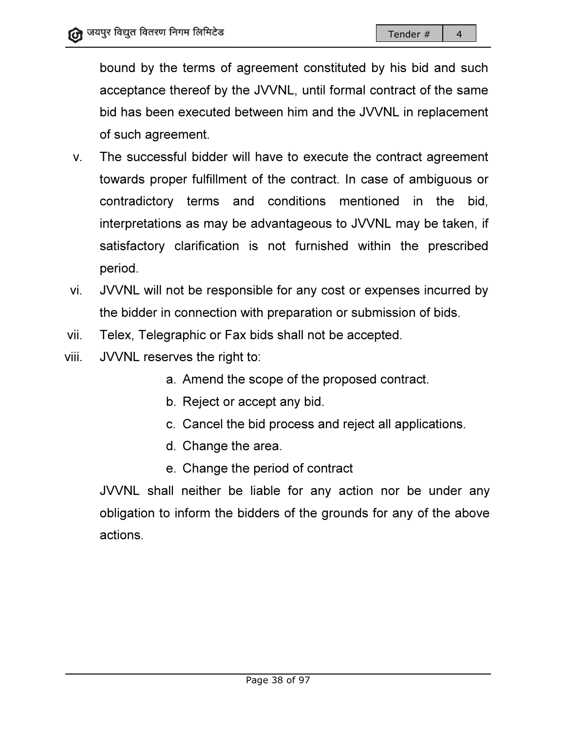bound by the terms of agreement constituted by his bid and such acceptance thereof by the JVVNL, until formal contract of the same bid has been executed between him and the JVVNL in replacement of such agreement.

- v. The successful bidder will have to execute the contract agreement towards proper fulfillment of the contract. In case of ambiguous or contradictory terms and conditions mentioned in the bid, interpretations as may be advantageous to JVVNL may be taken, if satisfactory clarification is not furnished within the prescribed period. orthomal contract of the same<br>im and the JVVNL in replacement<br>po execute the contract agreement<br>contract. In case of ambiguous or<br>litions mentioned in the bid,<br>ageous to JVVNL may be taken, if<br>furnished within the prescrib
- vi. JVVNL will not be responsible for any cost or expenses incurred by<br>the bidder in connection with preparation or submission of bids.<br>ii. Telex, Telegraphic or Fax bids shall not be accepted. the bidder in connection with preparation or submission of bids.
- vii. Telex, Telegraphic or Fax bids shall not be accept
- viii. JVVNL reserves the right to:
	-
	- b. Reject or accept any bid.
	- a. Amend the scope of the proposed contrac<br>b. Reject or accept any bid.<br>c. Cancel the bid process and reject all appli<br>d. Change the area. c. Cancel the bid process and reject all applications.
	- d. Change the area.
	- e. Change Change the period of contract

JVVNL shall neither be liable for any action nor be under any<br>obligation to inform the bidders of the grounds for any of the above obligation to inform the bidders of the grounds for any of the above actions.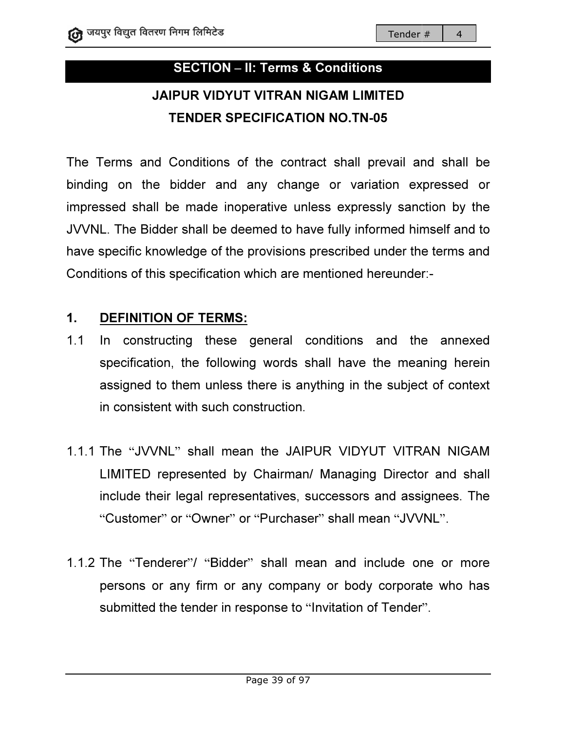# SECTION SECTION – II: Terms & Conditions

# JAIPUR VIDYUT VITRAN NIGAM LIMITED IPUR VIDYUT VITRAN NIGAM LIMITE<br>TENDER SPECIFICATION NO.TN-05

The Terms and Conditions of the contract shall prevail and shall be The Terms and Conditions of the contract shall prevail and shall be<br>binding on the bidder and any change or variation expressed or impressed shall be made inoperative unless expressly sanction by the JVVNL. The Bidder shall be deemed to have fully informed himself and to JVVNL. The Bidder shall be deemed to have fully informed hims<br>have specific knowledge of the provisions prescribed under the Conditions of this specification which are mentioned hereunder:and any change or variation expressed or<br>expressive inoperative unless expressly sanction by the<br>be deemed to have fully informed himself and to<br>of the provisions prescribed under the terms and

#### 1. DEFINITION OF TERMS:

- 1.1 In constructing these general conditions and the annexed specification, the following words shall have the meaning herein In constructing these general conditions and the annexed<br>specification, the following words shall have the meaning herein<br>assigned to them unless there is anything in the subject of context in consistent with such construction.
- 1.1.1 The "JVVNL" shall mean the JAIPUR VIDYUT VITRAN NIGAM LIMITED represented by Chairman/ Managing Director and shall include their legal representatives, successors and assignees. The "Customer" or "Owner Owner" or "Purchaser" shall mean "JVVNL ". hem unless there is anything in the subject of context<br>with such construction.<br>" shall mean the JAIPUR VIDYUT VITRAN NIGAM<br>resented by Chairman/ Managing Director and shall<br>legal representatives, successors and assignees.
- 1.1.2 The "Tenderer"/ "Bidder" shall mean and include one or more persons or any firm or any company or body corporate who has submitted the tender in response to "Invitation of Tender". persons or any firm or any company or body corporate who has submitted the tender in response to "Invitation of Tender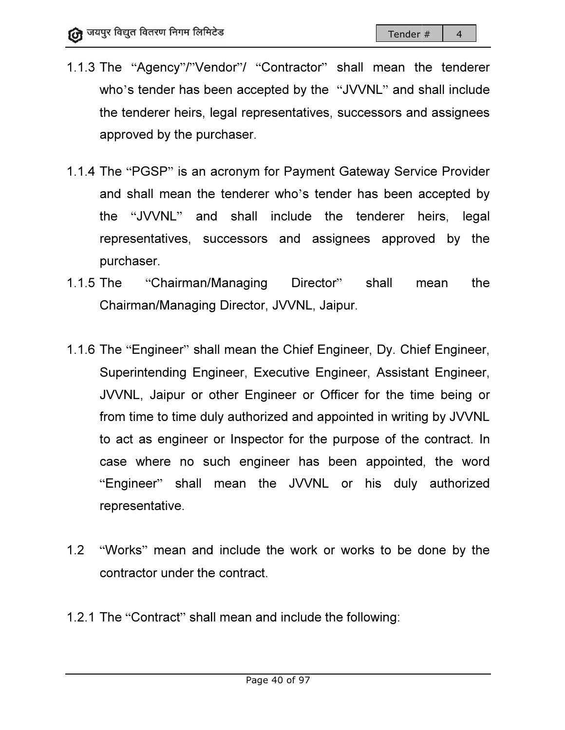- 1.1.3 The "Agency"/"Vendor "/ "Contractor" shall mean the tenderer who's tender has been accepted by the "JVVNL" and shall include the tenderer heirs, legal representatives, successors and assignees<br>approved by the purchaser.<br>The "PGSP" is an acronym for Payment Gateway Service Provider approved by the purchaser.
- 1.1.4 The "PGSP" is an acronym for Payment Gateway Service Provi approved by the purchaser.<br>The "PGSP" is an acronym for Payment Gateway Service Provider<br>and shall mean the tenderer who's tender has been accepted by the "JVVNL" and shall include the tenderer heirs, legal the "JVVNL" and shall include the tenderer heirs, legal<br>representatives, successors and assignees approved by the purchaser.
- 1.1.5 The "Chairman/Managing Director Chairman/Managing Director, JVVNL, Jaipur. shall mean the
- 1.1.6 The "Engineer" shall mean the Chief Engineer, Dy. Chief Engineer, Superintending Engineer, Executive Engineer, Assistant Engineer, JVVNL, Jaipur or other Engineer or Officer for the time being or from time to time duly authorized and appointed in writing by to act as engineer or Inspector for the purpose of the contract. In case where no such engineer has been appointed, the word "Engineer" shall mean the JVVNL or his duly authorized representative. neer" shall mean the Chief Engineer, Dy. Chief Engineer, ading Engineer, Executive Engineer, Assistant Engineer, aipur or other Engineer or Officer for the time being or to time duly authorized and appointed in writing by **Example 12**<br>
Intractor" shall mean the tend<br>
d by the "JVVNL" and shall incentatives, successors and assign<br>
Payment Gateway Service Pro<br>
tho's tender has been accepte<br>
clude the tenderer heirs,<br>
and assignees approved b shall mean the<br>r, Dy. Chief Engineer,<br>r, Assistant Engineer,<br>for the time being or<br>d in writing by JVVNL
- 1.2 "Works" mean and include the work or works to be done by the contractor under the contract.
- 1.2.1 The "Contract" shall mean and include the following: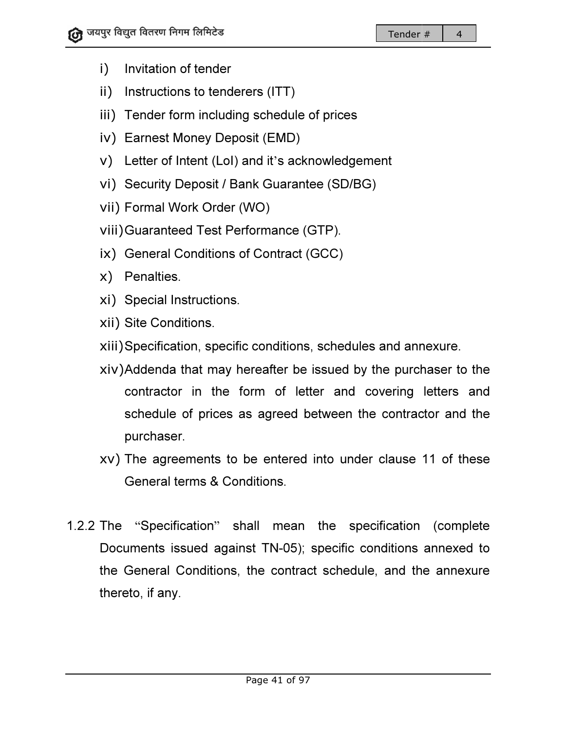- i) Invitation of tender
- ii) Instructions to tenderers (ITT)
- iii) Tender form including schedule of prices
- iv) Earnest Money Deposit (EMD)
- iii) Tender form including schedule of prices<br>iv) Earnest Money Deposit (EMD)<br>v) Letter of Intent (LoI) and it's acknowledgement
- vi) Security Deposit / Bank Guarantee (SD/BG)
- vii) Formal Work Order (WO)
- vii) Formal Work Order (WO)<br>viii)Guaranteed Test Performance (GTP).
- ix) General Conditions of Contract (GCC)<br>x) Penalties.<br>xi) Special Instructions.
- x) Penalties.
- xi) Special Instructions
- xii) Site Conditions.
- xiii)Specification, specific conditions, schedules and annexure.
- xiv)Addenda that may hereafter be issued by the purchaser to the contractor in the form of letter and covering letters and schedule of prices as agreed between the contractor and the purchaser.
- xv) The agreements to be entered into under clause 11 of these General terms & Conditions. nedule of prices as agreed between the contractor<br>rchaser.<br>e agreements to be entered into under clause 11<br>neral terms & Conditions.<br>Specification" shall mean the specification (
- 1.2.2 The "Specification" shall mean the specification (complete Documents issued against TN-05); specific conditions annexed to Documents issued against TN-05); specific conditions annexed to<br>the General Conditions, the contract schedule, and the annexure thereto, if any.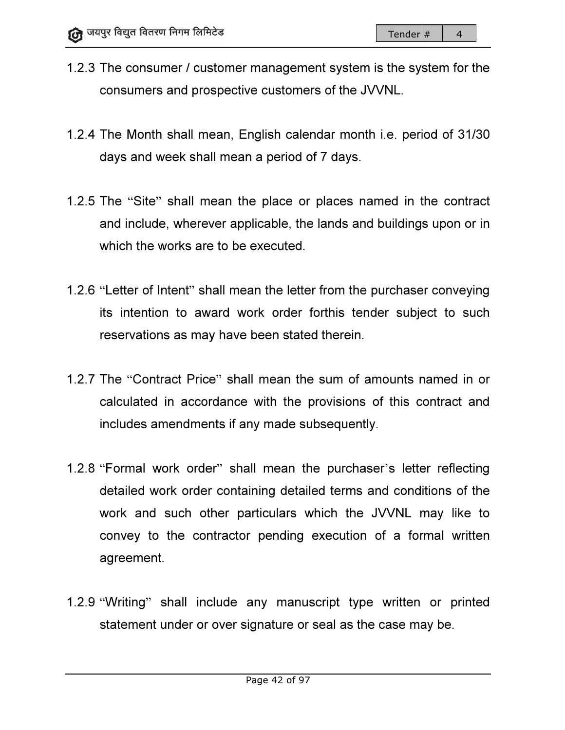- 1.2.3 The consumer / customer management system is the system for the consumers and prospective customers of the JVVNL.
- 1.2.4 The Month shall mean, English calendar month i.e. period of 31/30 calendar days and week period of 7 days. days and week shall mean a
- 1.2.5 The "Site" shall mean the place or places named in the contract and include, wherever applicable, the lands and buildings upon or in and include, wherever applicable, the lands and buildings upon or in<br>which the works are to be executed.<br>"Letter of Intent" shall mean the letter from the purchaser conveying which the works are to be executed.
- 1.2.6 "Letter of Intent" shall mean the letter from the purchaser reservations as may have been stated therein.
- its intention to award work order forthis tender subject to such<br>reservations as may have been stated therein.<br>The "Contract Price" shall mean the sum of amounts named in or<br>calculated in accordance with the provisions of 1.2.7 The "Contract Price" shall mean the sum of amounts named in or calculated in accordance with the provisions of this contract includes amendments if any made subsequently.
- 1.2.8 "Formal work order " shall mean the purchaser's letter reflecting detailed work order containing detailed terms and conditions of the work and such other particulars which the JVVNL may like to convey to the contractor pending execution of a formal written agreement.
- 1.2.9 "Writing" shall include any manuscript type written or printed statement under or over signature or seal as the case may be. to the contractor pending execution of a formal **\**<br>ent.<br>, shall include any manuscript type written or p<br>nt under or over signature or seal as the case may be.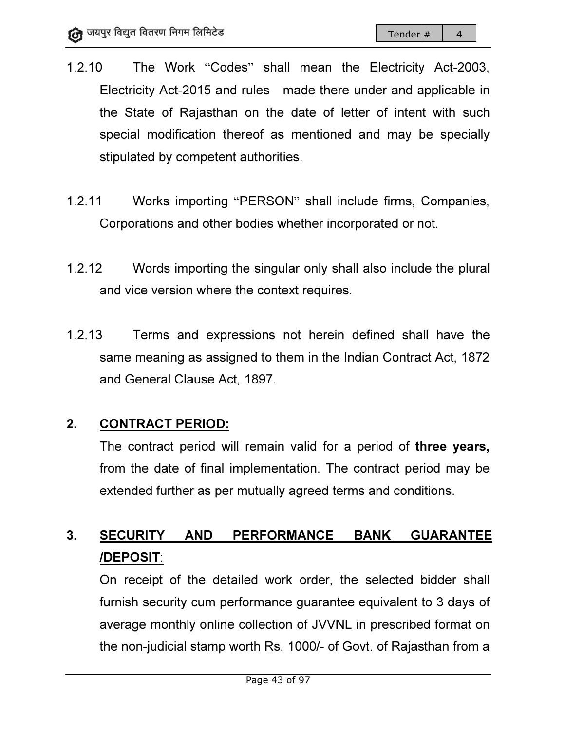- 1.2.10 The Work "Codes" shall mean the Electricity Act-2003, Electricity Act-2015 2015 and rules made there under and applicable in the State of Rajasthan on the date of letter of intent with such the State of Rajasthan on the date of letter of intent with such<br>special modification thereof as mentioned and may be specially stipulated by competent authorities.
- 1.2.11 Works importing "PERSON" shall include firms, Companies, Corporations and other bodies whether incorporated or not.
- 1.2.12 Words importing the singular only shall also include the plural and vice version where the context requires. Corporations and other bodies whether incorporated or not.<br>2. Words importing the singular only shall also include the plural<br>3. Terms and expressions not herein defined shall have the
- 1.2.13 Terms and expressions not herein defined shall have the<br>same meaning as assigned to them in the Indian Contract Act, 1872 same meaning as assigned to them in the Indian Contract Act<br>and General Clause Act, 1897. and General Clause Act, 1897.

# 2. CONTRACT PERIOD: CONTRACT PERIOD:

The contract period will remain valid for a period of three years, from the date of final implementation. The contract period may be extended further as per mutually agreed terms and conditions.

#### 3. SECURITY AND /DEPOSIT: PERFORMANCE BANK GUARANTEE

On receipt of the detailed work order, the selected bidder shall furnish security cum performance guarantee guarantee equivalent to 3 days of average monthly online collection of JVVNL in prescribed format on average monthly online collection of JVVNL in prescribed format on<br>the non-judicial stamp worth Rs. 1000/- of Govt. of Rajasthan from a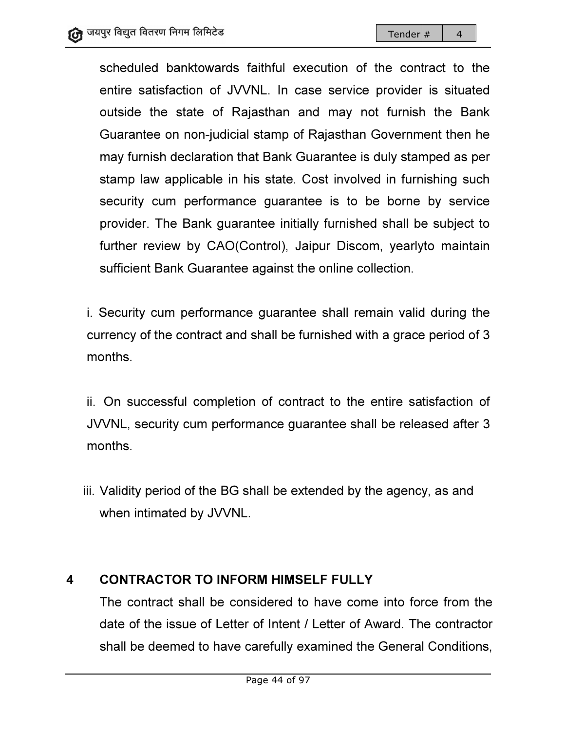scheduled banktowards faithful execution of the contract to the entire satisfaction of JVVNL. In case service provider is situated outside the state of Rajasthan and may not furnish the Bank Guarantee on non-judicial stamp of Rajasthan Government the<br>may furnish declaration that Bank Guarantee is duly stamped a<br>stamp law applicable in his state. Cost involved in furnishing may furnish declaration that Bank Guarantee is duly stamped as per stamp law applicable in his state. Cost involved in furnishing such security cum performance guarantee is to be borne by service<br>provider. The Bank guarantee initially furnished shall be subject to provider. The Bank guarantee initially furnished shall be subject to further review by CAO(Control), Jaipur Discom, yearlyto maintain sufficient Bank Guar Guarantee against the online collection. **EXECUTE AN EXECUTE CONSERV CONDUGATERACTOR TO INFORM HIMSELF FULLY**<br>
Strategiored of Award. Be satisfaction of JVVNL. In case service provider is situated<br>
de the state of Rajasthan and may not furnish the Bank<br>
numish d tion of the contract to the<br>service provider is situated<br>may not furnish the Bank<br>asthan Government then he

i. Security cum performance guarantee shall remain valid during the Security and shall be furnished with a grace period of 3 currency of the contract and shall be furnished with a grace period of 3 months.

ii. On successful completion of contract to the entire satisfaction of JVVNL, security cum performance guarantee shall be released after 3<br>months.<br>ii. Validity period of the BG shall be extended by the agency, as and<br>when intimated by JVVNL. months. with a grace period of 3<br>ne entire satisfaction of<br>hall be released after 3<br>y the agency, as and

iii. Validity period of the BG shall be extended by the agency, as and when intimated by JVVNL.

# 4 CONTRACTOR TO INFORM HIMSELF FULLY CONTRACTOR TO

The contract shall be considered to have come into force from the date of the issue of Letter of Intent / Letter of Award. The contractor shall be deemed to have carefully examined the General Conditions,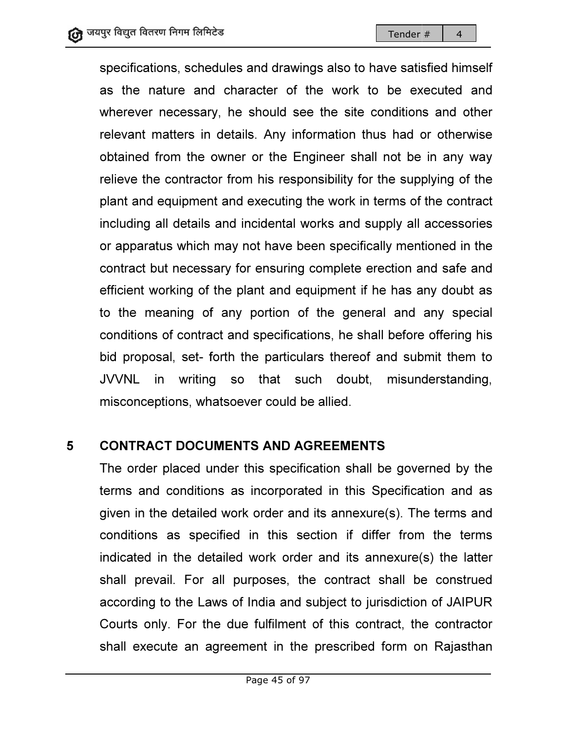specifications, schedules and drawings also to have satisfied himself as the nature and character of the work to be executed and<br>wherever necessary, he should see the site conditions and other wherever necessary, he should see the site conditions and other relevant matters in details. Any information thus had or otherwise obtained from the owner or the Engineer shall not be in any way relieve the contractor from his responsibility for the supplying of the plant and equipment and executing the work in terms of the contract including all details and incidental works and supply all accessories or apparatus which may not have been specifically mentioned in the contract but necessary for ensuring complete erection and safe and efficient working of the plant and equipment if he has any doubt as to the meaning of any portion of the general and any special conditions of contract and specifications, he shall before offering his bid proposal, set- forth the particulars thereof and submit them to JVVNL in writing misconceptions, whatsoever could be allied. misconceptions, whatsoever relieve the contractor from his responsibility for the supplying of the plant and equipment and executing the work in terms of the contract including all details and incidental works and supply all accessories or apparatus **Example 18**<br>
I Tender  $\#$   $\#$ <br>
drawings also to have satisfied hi<br>
and the executed<br>
and see the site conditions and<br>
and or othe<br>
the Engineer shall not be in any<br>
responsibility for the supplying<br>
cuting the work in so that such doubt, misunderstanding,

#### 5 CONTRACT DOCUMENTS AND AGREEMENTS CONTRACT DOCUMENTS

The order placed under this specification shall be governed by the terms and conditions as incorporated in this Specification and as given in the detailed work order and its annexure(s). The terms and conditions as specified in this section if differ from the terms indicated in the detailed work order and its annexure(s) the latter<br>shall prevail. For all purposes, the contract shall be construed shall prevail. For all purposes, the contract shall be construed<br>according to the Laws of India and subject to jurisdiction of JAIPUR according to the Laws of India and subject to jurisdiction of Courts only. For the due fulfilment of this contract, the contractor shall execute an agreement in the prescribed form on Rajasthan blaced under this specification shall be governed by the conditions as incorporated in this Specification and as detailed work order and its annexure(s). The terms and as specified in this section if differ from the terms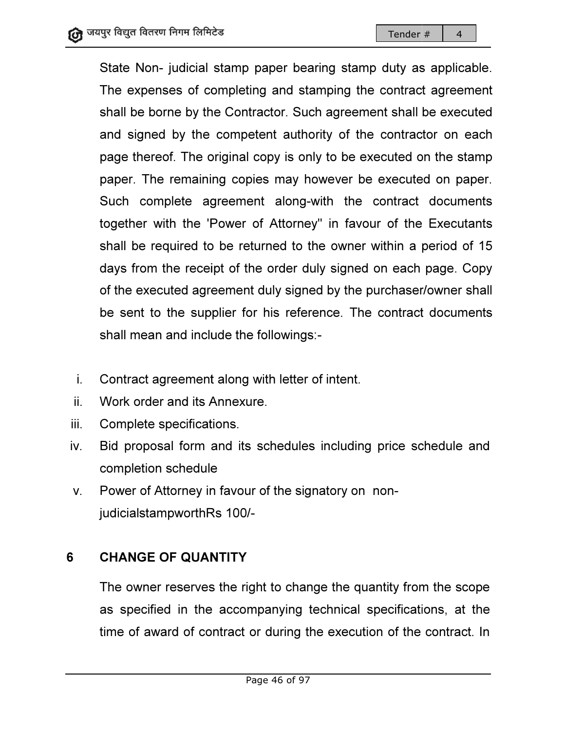State Non- judicial stamp paper bearing stamp duty as applicable. The expenses of completing and stamping the contract agreement shall be borne by the Contractor. Such agreement shall be executed and signed by the competent authority of the contractor on each<br>page thereof. The original copy is only to be executed on the stamp<br>paper. The remaining copies may however be executed on paper. page thereof. The original copy is only to be executed on the stamp paper. The remaining copies may however be executed on paper. Such complete agreement along-with the contract documents paper. The remaining copies may however be executed on paper.<br>Such complete agreement along-with the contract documents<br>together with the 'Power of Attorney" in favour of the Executants<br>shall be required to be returned to shall be required to be returned to the owner within a period of 15 days from the receipt of the order duly signed on each page. Copy of the executed agreement duly signed by the purchaser/owner shall be sent to the supplier for his reference. The contract documents<br>shall mean and include the followings:shall mean and include the following paper bearing stamp duty as applicable.<br>ng and stamping the contract agreement<br>ractor. Such agreement shall be executed Finance Finances Finances Finances Finances Finances Finances Finances Entered at the Non-judicial stamp paper bearing stamp duty as applice expenses of completing and stamping the contractor carge III be borne by the Cont

- i. Contract agreement along with letter of intent.
- ii. Work order and its Annexure.
- iii. Complete specifications.
- iv. Bid proposal form and its schedules including price schedule and completion schedule and its Annexure.<br>pecifications.<br>al form and its schedules including pric<br>schedule<br>torney in favour of the signatory on non-
- v. Power of Attorney in favour of the signatory judicialstampworthRs 100/ Rs 100/-

# 6 CHANGE OF QUANTITY QUANTITY

The owner reserves the right to change the quantity from the scope as specified in the accompanying technical specifications, at the time of award of contract or during the execution of the contract. igned by the purchaser/owner shall<br>eference. The contract documents<br>ings:-<br>tter of intent.<br>alles including price schedule and<br>signatory on non-<br>hange the quantity from the scope<br>ng technical specifications, at the<br>ig the e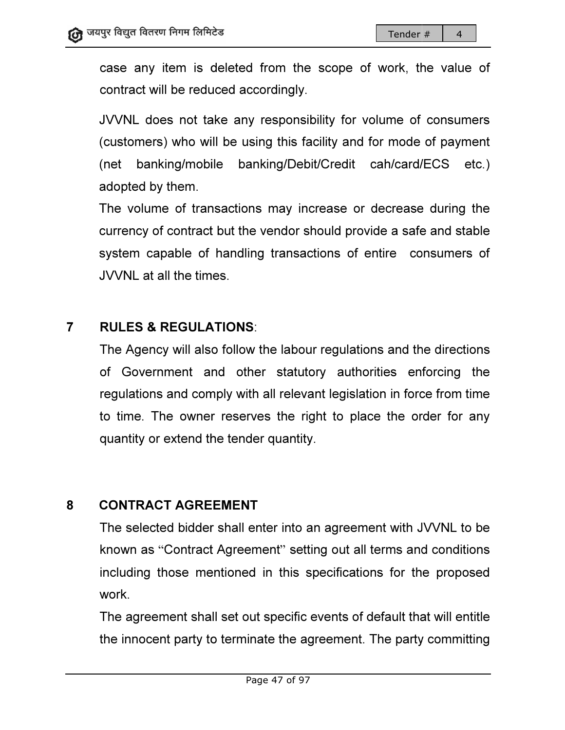case any item is deleted from the scope of work, the value of contract will be reduced accordingly.

JVVNL does not take any responsibility for volume of consumers (customers) who will be using this facility and for mode of payment (customers) will using this mobile banking/Debit/Credit cah/card/ECS etc.) (net banking/mobile banking/ adopted by them. rk, the value of<br>ne of consumers<br>node of payment<br>card/ECS etc.)<br>rease during the<br>a safe and stable<br>consumers of

The volume of transactions may increase or decrease during the<br>currency of contract but the vendor should provide a safe and stable<br>system capable of handling transactions of entire consumers of currency of contract but the vendor should provide a safe and stable system capable of handling transactions of entire consumers of JVVNL at all the times.

#### 7 RULES & REGULATIONS & REGULATIONS:

The Agency will also follow the labour regulations and the directions The Agency will also follow the labour regulations and the directions<br>of Government and other statutory authorities enforcing the regulations and comply with all relevant legislation in force from time to time. The owner reserves the right to place the order for any quantity or extend the tender quantity. set out will have a set of the scope of work, the value of<br>any item is deleted from the scope of work, the value of<br>tract will be reduced accordingly.<br>NL does not take any responsibility for volume of consumers<br>tomers) who

#### 8 CONTRACT AGREEMENT

The selected bidder shall enter into an agreement with JVVNL to be known as "Contract Agreement " setting out all terms and conditions including those mentioned in this specifications for the proposed work. h JVVNL to<br>and conditio<br>the propos

The agreement shall set out specific events of default that will entitle the innocent party to terminate the agreement. The party committing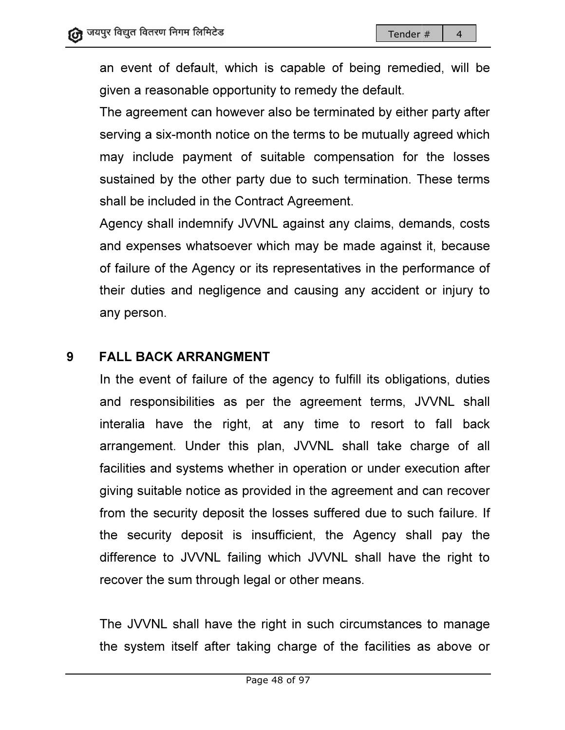an event of default, which is capable of being remedied, will be<br>given a reasonable opportunity to remedy the default. given a reasonable opportunity to remedy the default.

The agreement can however also be terminated by either party after serving a six-month notice on the terms to be mutually agreed which may include payment of suitable compensation for the losses sustained by the other party due to such termination. These terms shall be included in the Contract Agreement.

Agency shall indemnify JVVNL against any claims, demands, costs<br>and expenses whatsoever which may be made against it, because<br>of failure of the Agency or its representatives in the performance of and expenses whatsoever which may be made against it, because of failure of the Agency or its representatives in t their duties and negligence and negligence and causing any accident or injury to any person.

#### 9 FALL BACK ARRANGMENT

In the event of failure of the agency to fulfill its obligations, duties and responsibilities as per the agreement terms, JVVNL shall interalia have the right, at any time to resort to fall back arrangement. Under this plan, JVVNL shall take charge of all facilities and systems whether in operation or under execution after giving suitable notice as provided in the agreement and can recov from the security deposit the losses suffered due to such failure. If the security deposit is insufficient, the Agency shall pay the difference to JVVNL failing which JVVNL shall have the right to recover the sum through legal or other means. and responsibilities as per the agreement terms, JVVNL<br>interalia have the right, at any time to resort to fall<br>arrangement. Under this plan, JVVNL shall take charge o<br>facilities and systems whether in operation or under ex Example of default, which is capable of being remedied, with a reasonable opportunity to remedy the default.<br>
agreement can however also be terminated by either party<br>
ing a six-month notice on the terms to be mutually agr tives in the performance of<br>
inty accident or injury to<br>
fulfill its obligations, duties<br>
ment terms, JVVNL shall<br>
e to resort to fall back<br>
shall take charge of all<br>
pn or under execution after<br>
agreement and can recover

 The JVVNL shall have the right in such circumstances to manage L the system itself after taking charge of the facilities as above or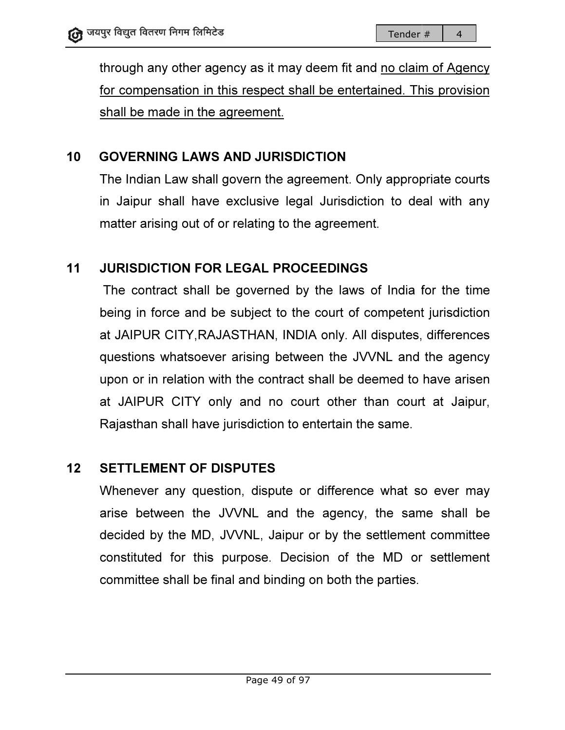through any other agency as it may deem fit and <u>no claim of Agency</u> for compensation in this respect shall be entertained. This provision shall be made in the agreement.

# 10 GOVERNING LAWS AND JURISDICTION GOVERNING

The Indian Law shall govern the agreement. Only appropriate courts The Indian Law shall govern the agreement. Only appropriate courts<br>in Jaipur shall have exclusive legal Jurisdiction to deal with any matter arising out of or relating to the agreement agreement.

# 11 JURISDICTION FOR LEGAL PROCEEDINGS LEGAL PROCEEDINGS

 The contract shall be governed by the laws of India for the time being in force and be subject to the court of competent jurisdiction at JAIPUR CITY, RAJASTHAN, INDIA only. All disputes, differences questions whatsoever arising between the JVVNL and the agency upon or in relation with the contract shall be deemed to have arisen at JAIPUR CITY only and no court other than court at Jaipur, Rajasthan shall have jurisdiction to entertain the same. all be governed by the laws of India for the time<br>id be subject to the court of competent jurisdiction<br>RAJASTHAN, INDIA only. All disputes, differences Tender  $*$  | 4<br>
If through any other agency as it may deem fit and <u>no claim of Agency</u><br>
for compensation in this respect shall be entertained. This provision<br>
shall be made in the agreement.<br> **GOVERNING LAWS AND JURISDIC** Jurisdiction to<br>agreement.<br>**EDINGS**<br>he laws of Ind<br>court of compet<br>only. All disput

# 12 SETTLEMENT OF DISPUTES

Whenever any question, dispute or difference what so ever may arise between the JVVNL and the agency, the same shall be decided by the MD, JVVNL, Jaipur or by the settlement committee constituted for this purpose. Decision of the MD or settlement committee shall be final and binding on both the parties.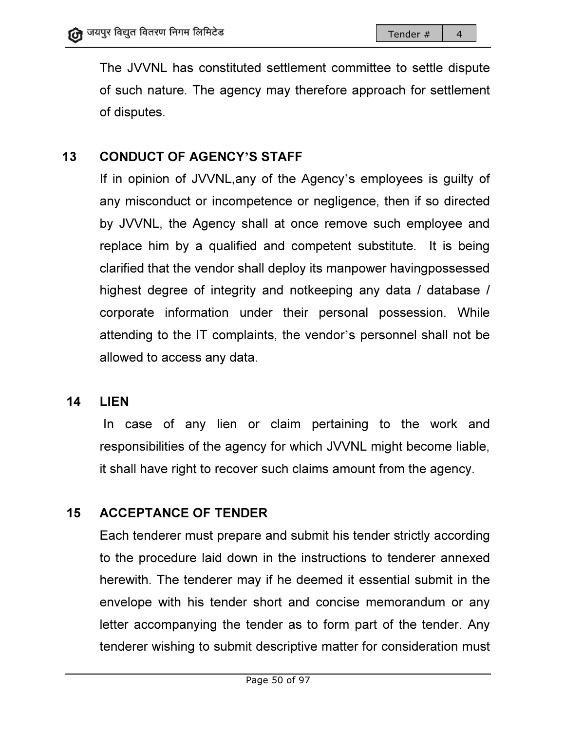The JVVNL has constituted settlement committee to settle dispute<br>of such nature. The agency may therefore approach for settlement of such nature. The agency may therefore approach for settlement of disputes.

# 13 CONDUCT OF AGENCY 'S STAFF

If in opinion of JVVNL, any of the Agency's employees is guilty of any misconduct or incompetence or negligence, then if so directed by JVVNL, the Agency shall at once remove such employee and replace him by a qualified and competent substitute. It is being clarified that the vendor havingpossessed highest degree of integrity and notkeeping any data / database / corporate information under their personal possession. While attending to the IT complaints, the vendor's personnel shall allowed to access any data. any misconduct or incompetence or negligence, then if so directed<br>by JVVNL, the Agency shall at once remove such employee and<br>replace him by a qualified and competent substitute. It is being<br>clarified that the vendor shall **Ender according down the instruction of the instruction of the instruction of JVVNL, any of the Agency's employees is guilty of nduct or incompetence or negligence, then if so directed the Agency shall at once remove such** database *l*<br>ion. While<br>hall not be

#### 14 LIEN

In case of any lien or claim pertaining to the work and responsibilities of the agency for which JVVNL might become liable, it shall have right to recover such claim ved to access any data.<br><br>**access of any lien or claim pertaining to the work and<br>onsibilities of the agency for which JVVNL might become liable,<br>all have right to recover such claims amount from the agency.** 

# 15 ACCEPTANCE OF TENDER

Each tenderer must prepare and submit his tender strictly according to the procedure laid down in the instructions to tenderer annexed herewith. The tenderer may if he deemed it essential submit in the envelope with his tender short and concise memorandum or any letter accompanying the tender as to form part of the tender. Any tenderer wishing to submit descriptive matter for consideration must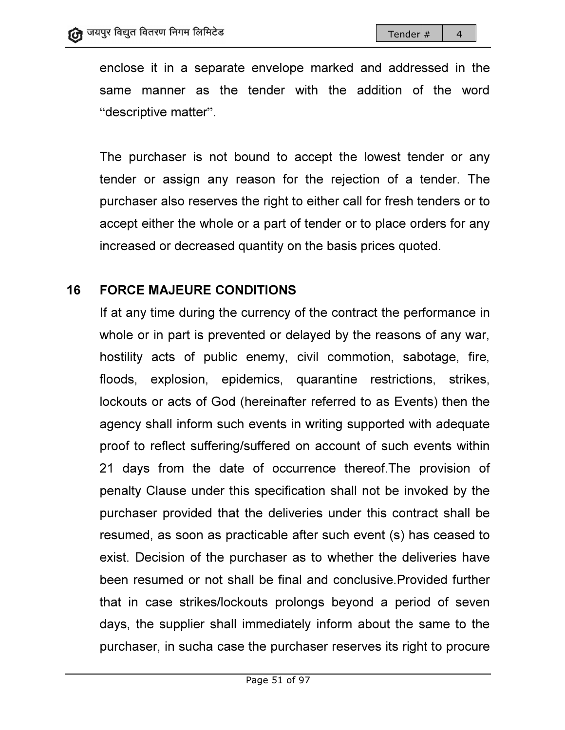enclose it in a separate envelope marked and addressed in the same manner as the tender with the addition of the w "descriptive matter" barate envelope marked and addressed in<br>the tender with the addition of the w<br>. word

The purchaser is not bound to accept the lowest tender or any tender or assign any reason for the rejection of a tender. The purchaser also reserves the right to either call for fresh tenders or to accept either the whole or a part of tender or to place orders for any increased or decreased quantity on the basis prices quoted. tender or assign any reason for the rejection of a tender. The<br>purchaser also reserves the right to either call for fresh tenders or to<br>accept either the whole or a part of tender or to place orders for any

#### 16 FORCE MAJEURE CONDITIONS

If at any time during the currency of the contract the performance in accept either the whole or a part of tender or to place orders for any<br>increased or decreased quantity on the basis prices quoted.<br>FORCE MAJEURE CONDITIONS<br>If at any time during the currency of the contract the performance hostility acts of public enemy, civil commotion, sabotage, fire,<br>floods, explosion, epidemics, quarantine restrictions, strikes,<br>lockouts or acts of God (hereinafter referred to as Events) then the floods, explosion, epidemics, quarantine restrictions, strikes, lockouts or acts of God (hereinafter referred to as Events) then the agency shall inform such events in writing supported with adequate agency shall inform such events in writing supported with adequate<br>proof to reflect suffering/suffered on account of such events within 21 days from the date of occurrence thereof. The provision of penalty Clause under this specification shall not be invoked by the purchaser provided that the deliveries under this contract shall be resumed, as soon as practicable after such event (s) has ceased to exist. Decision of the purchaser as to whether the deliveries have been resumed or not shall be final and co that in case strikes/lockouts prolongs beyond a period of seven days, the supplier shall immediately inform about the same purchaser, in sucha case the purchaser reserves its right to procure resumed, as soon as practicable after such event (s) has ceased to<br>exist. Decision of the purchaser as to whether the deliveries have<br>been resumed or not shall be final and conclusive.Provided further f.The provision of<br>be invoked by the<br>s contract shall be<br>t (s) has ceased to<br>the deliveries have<br>ve.Provided further<br>a period of seven<br>ut the same to the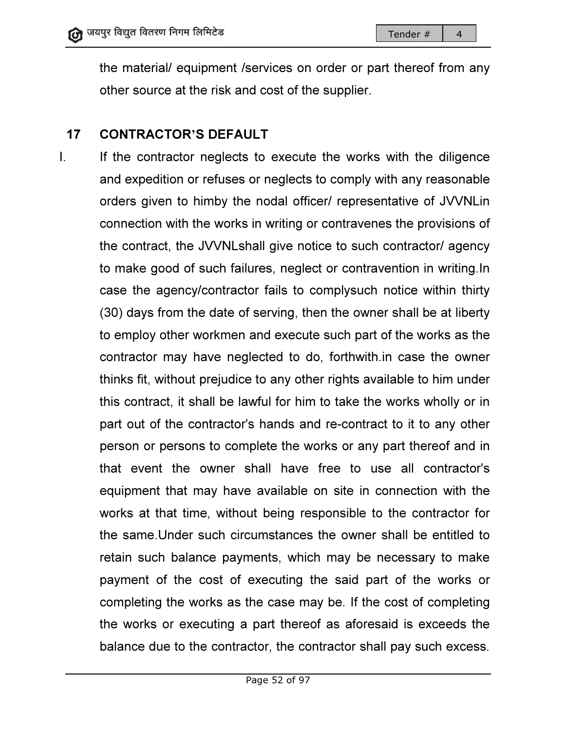the material/ equipment /services on order or part thereof from any other source at the risk and cost of the supplier.

# 17 CONTRACTOR'S DEFAULT

I. If the contractor neglects to execute the works with the diligence and expedition or refuses or neglects to comply with any reasonable orders given to himby the nodal officer/ representative of connection with the works in writing or contravenes the provisions of<br>the contract, the JVVNLshall give notice to such contractor/ agency the contract, the JVVNLshall give notice to such contractor to make good of such failures, neglect or contravention in writing.In case the agency/contractor fails to complysuch notice within thirty<br>(30) days from the date of serving, then the owner shall be at liberty<br>to employ other workmen and execute such part of the works as the<br>contractor may ha (30) days from the date of serving, then the owner shall be at liberty to employ other workmen and execute such part of the works as the<br>contractor may have neglected to do, forthwith.in case the owner contractor may have neglected to do thinks fit, without prejudice to any other rights available to him under this contract, it shall be lawful for him to take the works wholly or in part out of the contractor's hands and re-contract to it to any other person or persons to complete the works or any part thereof and in<br>that event the owner shall have free to use all contractor's<br>equipment that may have available on site in connection with the<br>works at that time, without b that event the owner shall have free to use all contractor's equipment that may have available on site in connection with the works at that time, without being responsible to the contractor the same.Under such circumstances the owner shall be entitled to retain such balance balance payments, which may be necessary be necessary to make payment of the cost of executing the said part of the works or<br>completing the works as the case may be. If the cost of completing<br>the works or executing a part thereof as aforesaid is exceeds the completing the works as the case may be. If the cost of completing the works or executing a part thereof as aforesaid is exceeds the balance due to the contractor, the contractor shall pay such excess. ment /services on order or part thereof from any<br>isk and cost of the supplier.<br>**DEFAULT**<br>glects to execute the works with the diligence<br>fuses or neglects to comply with any reasonable<br>by the nodal officer/ representative o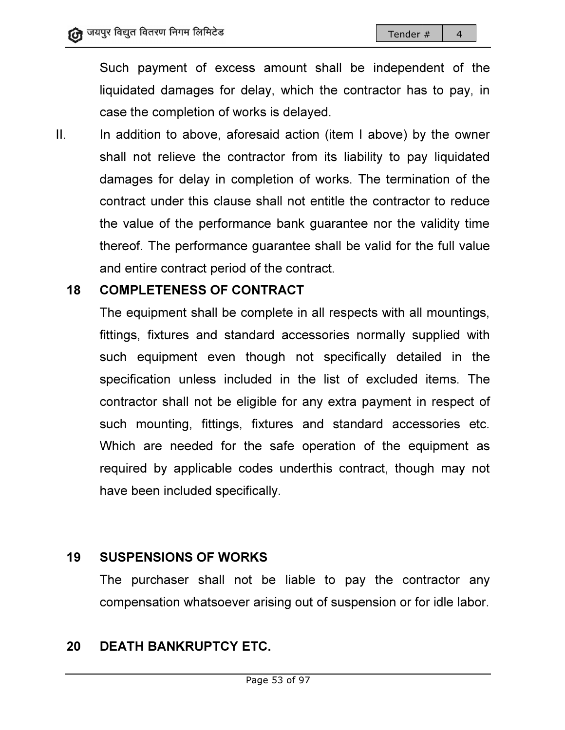Such payment of excess amount shall be independent of the Such payment of excess amount shall be independent of the<br>liquidated damages for delay, which the contractor has to pay, in case the completion of works is delayed.

case the completion of works is delayed.<br>II. In addition to above, aforesaid action (item I above) by the owner shall not relieve the contractor from its liability to pay liquidated damages for delay in completion of works. The termination of the<br>contract under this clause shall not entitle the contractor to reduce contract under this clause shall not entitle the contractor to the value of the performance bank guarantee nor the validity time thereof. The performance guarantee shall be valid for the full value<br>and entire contract period of the contract. and entire contract period of the contract

#### 18 COMPLETENESS OF CONTRACT

The equipment shall be complete in all respects with all mountings, fittings, fixtures and standard accessories normally supplied with such equipment even though not specifically detailed in the specification unless included in the list of excluded items. The contractor shall not be eligible for any extra payment in respect of such mounting, fittings, fixtures and standard accessories etc. Which are needed for the safe operation of the equipment as required by applicable codes underthis contract, though may not have been included specifically been included specifically. fittings, fixtures and standard accessories normally supplied with<br>such equipment even though not specifically detailed in the<br>specification unless included in the list of excluded items. The<br>contractor shall not be eligib mountings,<br>pplied with<br>ed in the<br>items. The<br>respect of<br>sories etc.<br>uipment as<br>h may not<br>ractor any<br>ridle labor.

#### 19 SUSPENSIONS OF WORKS OF WORKS

The purchaser shall not be liable to pay the contractor any<br>compensation whatsoever arising out of suspension or for idle labor. compensation whatsoever arising

#### 20 DEATH BANKRUPTCY ETC.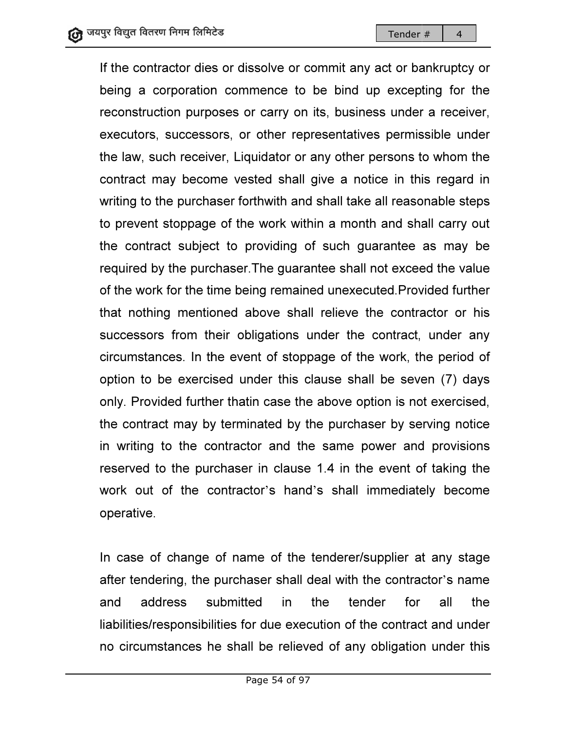If the contractor dies or dissolve or commit any act or bankruptcy or<br>being a corporation commence to be bind up excepting for the being a corporation commence to be bind up except reconstruction purposes or carry on its, business under a receiver,<br>executors, successors, or other representatives permissible under<br>the law, such receiver, Liquidator or any other persons to whom the<br>contract may become executors, successors, or other representatives permissible under the law, such receiver, Liquidator or any other persons to whom the contract may become vested shall give a notice in this regard writing to the purchaser forthwith and shall take all reasonable steps<br>to prevent stoppage of the work within a month and shall carry out to prevent stoppage of the work within a month and shall the contract subject to providing of such guarantee as may be<br>required by the purchaser.The guarantee shall not exceed the value<br>of the work for the time being remained unexecuted.Provided further required by the purchaser. The guarantee shall not exceed the value of the work for the time being remained unexecuted.Provided that nothing mentioned above shall relieve the contractor or his successors from their obligations under the contract, under any circumstances. In the event of stoppage of the work, the period of<br>option to be exercised under this clause shall be seven (7) days<br>only. Provided further thatin case the above option is not exercised,<br>the contract may by option to be exercised under this clause shall be seven (7) days only. Provided further thatin case the above option is not exercised, the contract may by terminated by the purchaser by serving in writing to the contractor and the same power and provisions<br>reserved to the purchaser in clause 1.4 in the event of taking the<br>work out of the contractor's hand's shall immediately become reserved to the purchaser in clause 1.4 in the event of taking the work out of the contractor's hand's shall immediately operative.

In case of change of name of the tenderer/supplier at any stage<br>after tendering, the purchaser shall deal with the contractor's name<br>and address submitted in the tender for all the after tendering, the purchaser shall deal with the contractor 's name and address submitted liabilities/responsibilities for due execution of the contract and under no circumstances he shall be relieved of any obligation under this for all the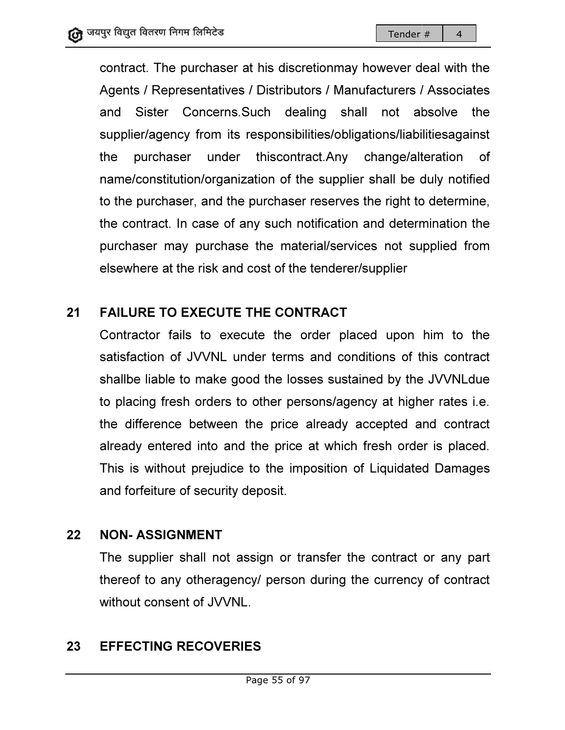contract. The purchaser at his discretionmay however deal with the Agents / Representatives / Distributors / Manufacturers / Associates and Sister Concerns Concerns.Such dealing shall not absolve the and Sister Concerns.Such dealing shall not absolve the<br>supplier/agency from its responsibilities/obligations/liabilitiesagainst the purchaser under name/constitution/organization of the supplier shall be duly notified to the purchaser, and the purchaser reserves the right to determine, the contract. In case of any such notification purchaser may purchase the material/services not supplied from elsewhere at the risk and cost of the tenderer/supplier thiscontract.Any change/alteration of ititution/organization of the supplier shall be duly notified<br>haser, and the purchaser reserves the right to determine,<br>ct. In case of any such notification and determination the contract.Any change/alteration of<br>of the supplier shall be duly notified<br>naser reserves the right to determine,<br>ich notification and determination the<br>material/services not supplied from<br>of the tenderer/supplier<br>**CONTRACT** 

# 21 FAILURE TO EXECUTE THE CONTRACT

Contractor fails to execute the order placed upon satisfaction of JVVNL under terms and conditions of this contract shallbe liable to make good the losses sustained by the JVVNLdue to placing fresh orders to other persons/agency at higher rates i.e. the difference between the price already accepted and contract already entered into and the price at which fresh order is placed. This is without prejudice to the imposition of Liquidated Damages and forfeiture of secur already entered into and the price at which f<br>This is without prejudice to the imposition of<br>and forfeiture of security deposit.

# 22 NON- ASSIGNMENT

The supplier shall not assign or transfer the contract or any part<br>thereof to any otheragency/ person during the currency of contract thereof to any otheragency/ person during the currency of contract without consent of JVVNL.

# 23 EFFECTING RECOVERIES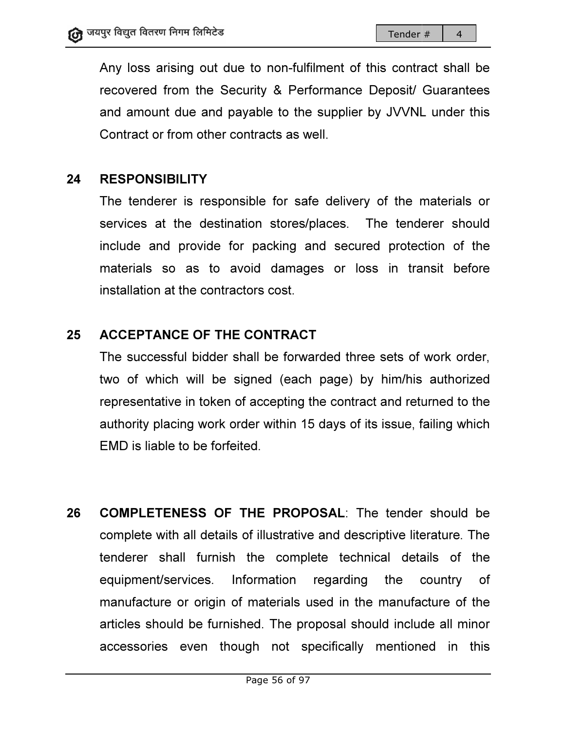Any loss arising out due to non-fulfilment of this contract shall be recovered from the Security & Performance Deposit/ Guarantees recovered from the Security & Performance Deposit/ Guarantees<br>and amount due and payable to the supplier by JVVNL under this Contract or from other contracts as well.

# 24 RESPONSIBILITY

The tenderer is responsible for safe delivery of the materials or<br>services at the destination stores/places. The tenderer should services at the destination stores/places. The tenderer should include and provide for packing and secured protection of the materials so as to avoid damages or loss in transit before installation at the contractors cost. de and provide for packing and secured protection<br>rials so as to avoid damages or loss in transit<br>Ilation at the contractors cost.

#### 25 ACCEPTANCE OF THE CONTRACT

The successful bidder shall be forwarded three sets of work order, two of which will be signed (each page) by him/his authorized<br>representative in token of accepting the contract and returned to the<br>authority placing work order within 15 days of its issue, failing which representative in token of accepting the contract and returned to the authority placing work order within 15 days of its issue, failing which EMD is liable to be forfeited. ces. The tenderer should<br>secured protection of the<br>or loss in transit before<br>ed three sets of work order,<br>age) by him/his authorized<br>contract and returned to the<br>ays of its issue, failing which<br> $\lambda$ L: The tender should be<br>

26 COMPLETENESS OF THE PROPOSAL: The tender should be complete with all details of illustrative and descriptive literature tenderer shall furnish the complete technical details of the equipment/services. Information regarding the country of manufacture or origin of materials used in the manufacture of the complete with all details of illustrative and descriptive literature. The<br>tenderer shall furnish the complete technical details of the<br>equipment/services. Information regarding the country of<br>manufacture or origin of mater accessories even though not specifically mentioned in this  $\begin{tabular}{|l|} \hline \hline \multicolumn{1}{|l|} \hline \multicolumn{1}{|l|} \hline \multicolumn{1}{|l|} \hline \multicolumn{1}{|l|} \hline \multicolumn{1}{|l|} \hline \multicolumn{1}{|l|} \hline \multicolumn{1}{|l|} \hline \multicolumn{1}{|l|} \hline \multicolumn{1}{|l|} \hline \multicolumn{1}{|l|} \hline \multicolumn{1}{|l|} \hline \multicolumn{1}{|l|} \hline \multicolumn{1}{|l|} \hline \multicolumn{1}{|l|} \hline \multicolumn{1}{|$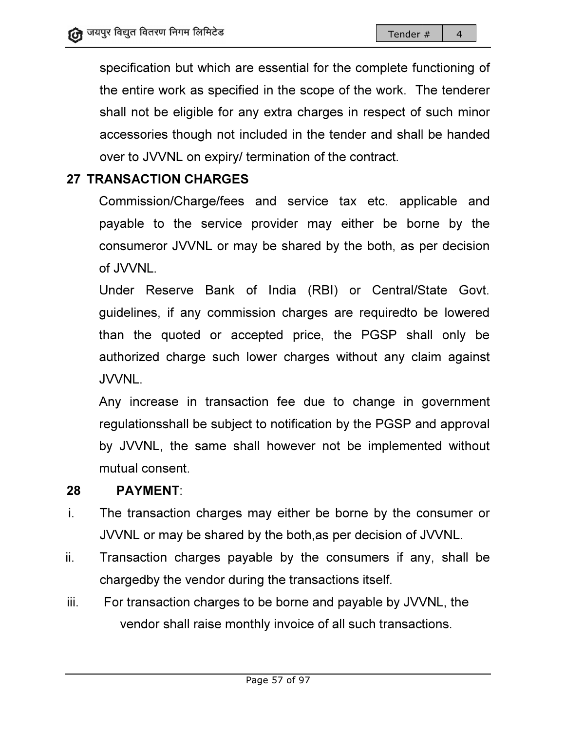specification but which are essential for the complete functioning of the entire work as specified in the scope of the work. The tenderer shall not be eligible for any extra charges in respect of such minor accessories though not included in the tender and shall be handed over to JVVNL on expiry/ termination of the contract. the entire work as specified in the scope of the work. The tenderer<br>shall not be eligible for any extra charges in respect of such minor<br>accessories though not included in the tender and shall be handed<br>over to JVVNL on ex the complete functioning of<br>
i of the work. The tenderer<br>
es in respect of such minor<br>
ender and shall be handed<br>
he contract.<br>
tax etc. applicable and<br>
either be borne by the

# 27 TRANSACTION CHARGES

Commission/Charge/fees and service tax etc. applicable and payable to the service provider may either be borne consumeror JVVNL JVVNL or may be shared by the both, as per decision of JVVNL.

Under Reserve Bank of India (RBI) or Central/State Govt. guidelines, if any commission charges are requiredto be lowered Under Reserve Bank of India (RBI) or Central/State Govt.<br>guidelines, if any commission charges are requiredto be lowered<br>than the quoted or accepted price, the PGSP shall only be authorized charge such lower charges without any claim against JVVNL.

Any increase in transaction fee due to change in government<br>regulationsshall be subject to notification by the PGSP and approval<br>by JVVNL, the same shall however not be implemented without regulationsshall be subject to notification by the PGSP and approval by JVVNL, the same shall however not be implemented without mutual consent.

#### 28 PAYMENT:

- i. The transaction charges may either be borne by the consumer or JVVNL or may be shared by the both,as per decision of JVVNL.
- ii. Transaction charges payable by the consumers if any, shall be chargedby the vendor during the transactions itself. ii. Transaction charges payable by the consumers if any, shall chargedby the vendor during the transactions itself.<br>iii. For transaction charges to be borne and payable by JVVNL, the
- vendor shall raise monthly invoice of all such transactions.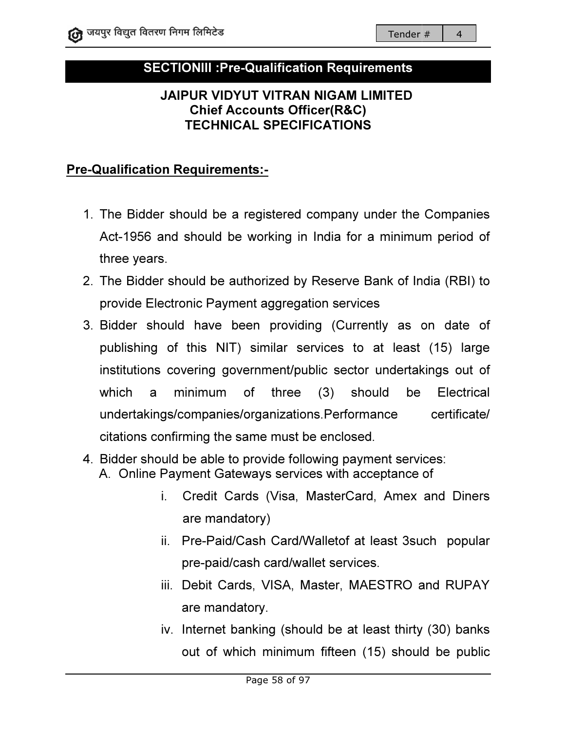#### SECTIONIII : Pre-Qualification Requirements

# JAIPUR VIDYUT VITRAN NIGAM LIMITED UR VIDYUT VITRAN NIGAM L<br>Chief Accounts Officer(R&C) TECHNICAL SPECIFICATIONS TECHNICAL SPECIFICATIONS<br>Pre-Qualification Requirements:-

- 1. The Bidder should be a registered company under the Companies Act-1956 and should be working in India for a minimum period of three years.
- 2. The Bidder should be authorized by Reserve Bank of India (RBI) to provide Electronic Payment aggregation services
- 3. Bidder should have been providing (Currently as on date of publishing of this NIT) similar services to at least (15) large institutions covering government/public sector undertakings out of<br>which a minimum of three (3) should be Electrical which a minimum of three  $(3)$  should be undertakings/companies/organizations.Performance citations confirming the same must be enclosed. undertakings/companies/organizations.Performance cert<br>citations confirming the same must be enclosed.<br>4. Bidder should be able to provide following payment services: be authorized by Reserve Bank of India (RBI) to<br>nic Payment aggregation services<br>have been providing (Currently as on date of<br>this NIT) similar services to at least (15) large **Electrical** certificate/
- A. Online Payment Gateways services with acceptance of
	- Payment Gateways services with acceptance of<br>i. Credit Cards (Visa, MasterCard, Amex and Diners are mandatory)
	- ii. Pre-Paid/Cash Card/Walletof at least 3such popular pre-paid paid/cash card/wallet services. s (Visa, MasterCard, Amex and Diners<br>pry)<br>sh Card/Walletof at least 3such popular<br>h card/wallet services.<br>, VISA, Master, MAESTRO and RUPAY
	- iii. Debit Cards Cards, VISA, Master, MAESTRO and are mandatory.
	- iv. Internet banking (should be at least thirty (30) banks out of which minimum fifteen (15) should be public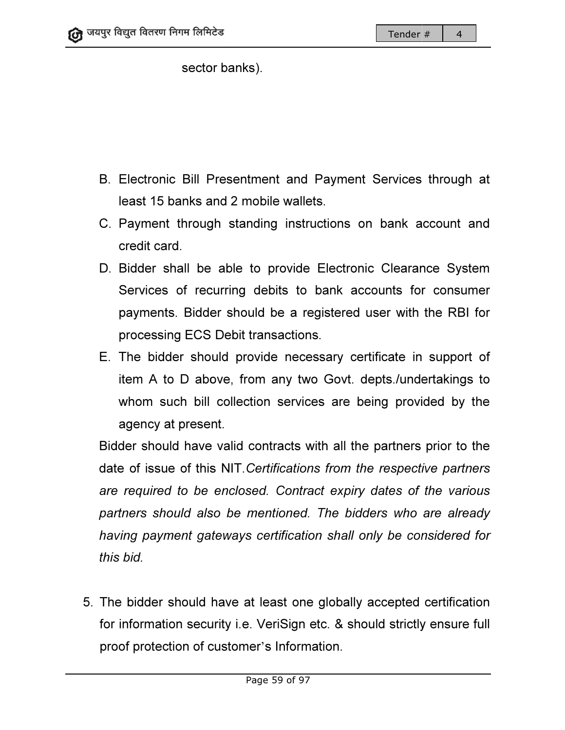sector banks).

- B. Electronic Bill Presentment and Payment Services through at least 15 banks and 2 mobile wallets.
- C. Payment through standing instructions on bank account and credit card.
- D. Bidder shall be able to provide Electronic Clearance System Services of recurring debits to bank accounts for consumer payments. Bidder should be a registered user with the RBI for processing ECS Debit transactions Payment through standing instructions on bank account a<br>credit card.<br>Bidder shall be able to provide Electronic Clearance Syst<br>Services of recurring debits to bank accounts for consun<br>payments. Bidder should be a registere
- E. The bidder should provide necessary certificate in support of item A to D above, from any two Govt. depts./undertakings to whom such bill collection services are being provided by the agency at present. item A to D above, from any two Govt. depts./undertakings to<br>whom such bill collection services are being provided by the<br>agency at present.<br>Bidder should have valid contracts with all the partners prior to the<br>date of iss

Bidder should have valid contracts with all the partners prior to the date of issue of this NIT. Certifications from the respective partners are required to be enclosed. Contract expiry dates of the various partners should also be mentioned. The bidders who are already having payment gateways certification shall only be considered for this bid.

5. The bidder should have at least one globally accepted certification for information security i.e. VeriSign etc. & should strictly ensure full proof protection of customer 's Information.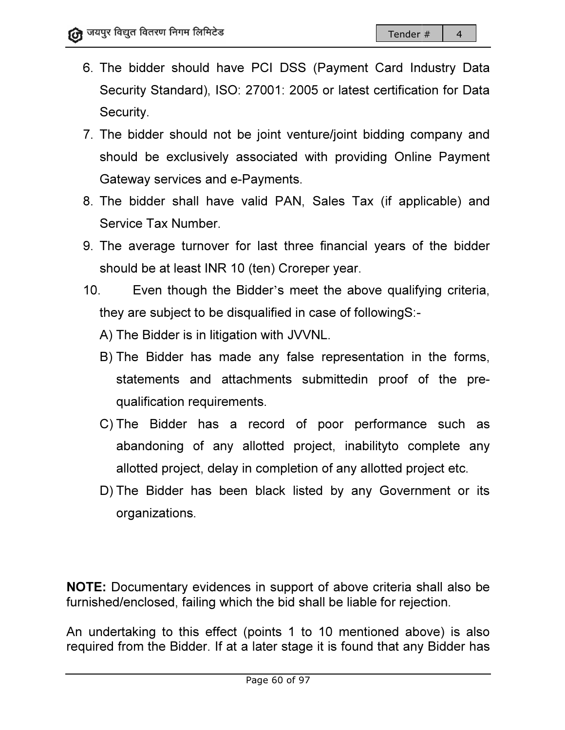$\overline{4}$ 

- 6. The bidder should have PCI DSS (Payment Card Industry Data Security Standard), ISO: 27001: 2005 or latest certification for Data Security. Tender # 4<br>Card Industry<br>certification for<br>dding company<br>g Online Pay<br>(if applicable)<br>years of the bi<br>e qualifying crim<br>wingS:-<br>ation in the formation in the formation in the formation<br>of the<br>ormance such<br>tyto complete<br>of
- 7. The bidder should not be joint venture/joint bidding company and should be exclusively associated with providing Online Payment Gateway services and e-Payments. should be exclusively associated with providing Online Payment Gateway services and e
- 8. The bidder shall have valid PAN, Sales Tax (if applicable) and Service Tax Number.
- 9. The average turnover for last three financial years of the bidder<br>should be at least INR 10 (ten) Croreper year. should be at least INR 10 (ten) Croreper year.
- 10. Even though the Bidder 's meet the above qualifying criteria, they are subject to be disqualified in case of followingS:-
	- A) The Bidder is in litigation with JVVNL.
	- B) The Bidder has made any false representation in the forms, statements and attachments submittedin proof of the prequalification requirements.
	- C) The Bidder has a record of poor performance such as abandoning of any allotted project, inabilityto complete any allotted project, delay in completion of any allotted project etc. Bidder has made any false representation in the forms,<br>ements and attachments submittedin proof of the pre-<br>lification requirements.<br>Bidder has a record of poor performance such as<br>ndoning of any allotted project, inabilit
	- D) The Bidder has been black listed by any Government or its organizations.

NOTE: Documentary evidences in support of above criteria shall also be furnished/enclosed, failing which the bid shall be liable for rejection.

An undertaking to this effect (points 1 to 10 mentioned above) is also required from the Bidder. If at a later stage it is found that any Bidder has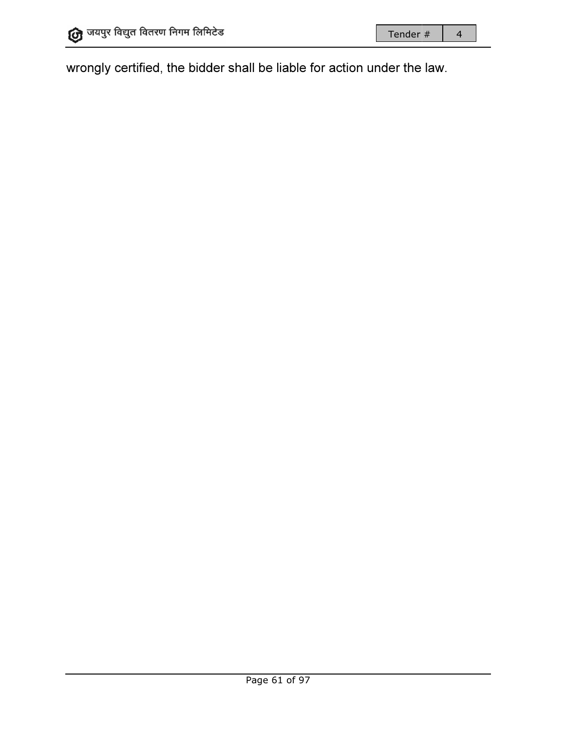wrongly certified, the bidder shall be liable for action under the law.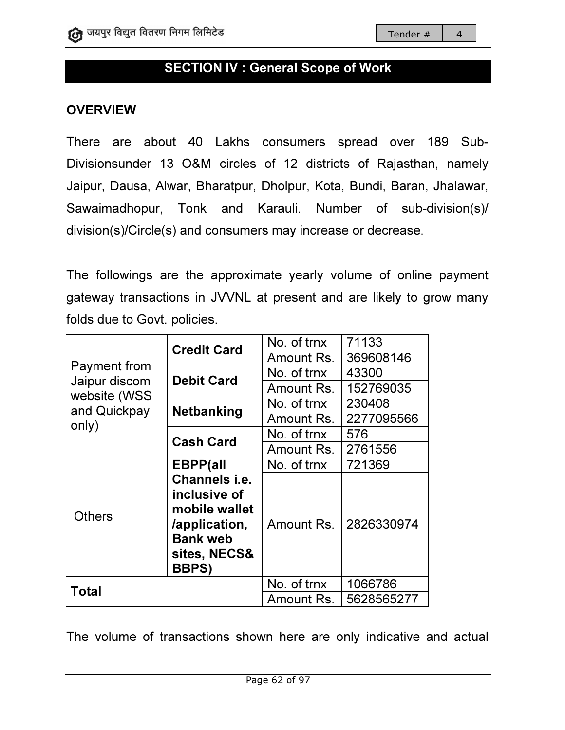#### SECTION I SECTION IV : General Scope of Work

#### **OVERVIEW**

There are about 40 Lakhs consumers spread over 189 Sub-Divisionsunder 13 O&M circles of 12 districts of Rajasthan, namely Jaipur, Dausa, Alwar, Bharatpur, Dholpur, Kota, Bundi, Baran, Jhalawar, Jaipur, Dausa, Alwar, Bharatpur, Dholpur, Kota, Bundi, Baran, Jhalawar,<br>Sawaimadhopur, Tonk and Karauli. Number of sub-division(s)/ division(s)/Circle(s) and consumers may increase or decrease.

The followings are the approximate yearly volume of online payment gateway transactions in JVVNL at present and are likely to grow many folds due to Govt. policies.

| Payment from<br>Jaipur discom<br>website (WSS<br>and Quickpay<br>only) | <b>Credit Card</b>           | No. of trnx | 71133      |  |
|------------------------------------------------------------------------|------------------------------|-------------|------------|--|
|                                                                        |                              | Amount Rs.  | 369608146  |  |
|                                                                        | <b>Debit Card</b>            | No. of trnx | 43300      |  |
|                                                                        |                              | Amount Rs.  | 152769035  |  |
|                                                                        | <b>Netbanking</b>            | No. of trnx | 230408     |  |
|                                                                        |                              | Amount Rs.  | 2277095566 |  |
|                                                                        | <b>Cash Card</b>             | No. of trnx | 576        |  |
|                                                                        |                              | Amount Rs.  | 2761556    |  |
| <b>Others</b>                                                          | <b>EBPP(all</b>              | No. of trnx | 721369     |  |
|                                                                        | Channels <i>i.e.</i>         |             |            |  |
|                                                                        | inclusive of                 |             |            |  |
|                                                                        | mobile wallet                |             |            |  |
|                                                                        | /application,                | Amount Rs.  | 2826330974 |  |
|                                                                        | <b>Bank web</b>              |             |            |  |
|                                                                        | sites, NECS&<br><b>BBPS)</b> |             |            |  |
| <b>Total</b>                                                           |                              | No. of trnx | 1066786    |  |
|                                                                        |                              | Amount Rs.  | 5628565277 |  |
| The volume of transactions shown here are only indicative a            |                              |             |            |  |

The volume of transactions shown here are only indicative and actual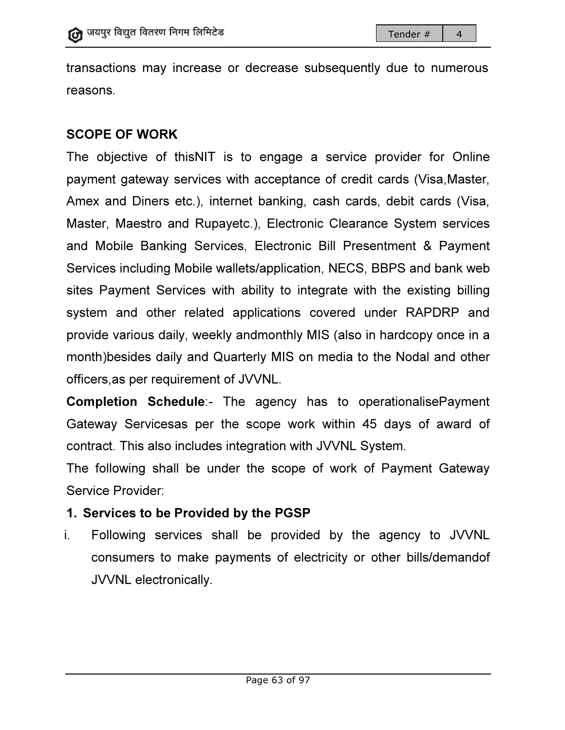transactions may increase or decrease subsequently due to numerous reasons.

#### SCOPE OF WORK

The objective of thisNIT is to engage a service provider for Online The objective of thisNIT is to engage a service provider for Online<br>payment gateway services with acceptance of credit cards (Visa,Master, Amex and Diners etc.), internet banking, cash cards, debit cards (Visa, payment gateway services with acceptance of credit cards (Visa,Master,<br>Amex and Diners etc.), internet banking, cash cards, debit cards (Visa,<br>Master, Maestro and Rupayetc.), Electronic Clearance System services and Mobile Banking Services, Electronic Bill Presentment & Payment Services including Mobile wallets/application, NECS, BBPS and bank web sites Payment Services with ability to integrate with the existing billing system and other related applications covered under RAPDRP and provide various daily, weekly andmonthly MIS (also in hardcopy once in a month)besides daily and Quarterly MIS on media to the Nodal officers,as per requirement of JVVNL.  $\begin{tabular}{|c|c|c|c|c|} \hline \textbf{render & \#} & \textbf{fender & \#} \\ \hline \end{tabular}$   $\begin{tabular}{p{0.8cm}} \hline \textbf{F} & \textbf{is to engage a service provider for O} \\ \hline \end{tabular} \end{tabular} \begin{tabular}{p{0.8cm}} \hline \textbf{F} & \textbf{is to engage a service provider for O} \\ \hline \end{tabular} \end{tabular} \begin{tabular}{p{0.8cm}} \hline \textbf{I} & \textbf{E} & \textbf{B} & \textbf{C} & \textbf{B} & \textbf{C} & \textbf{$ Clearance System services<br>ill Presentment & Payment<br>NECS, BBPS and bank web<br>rate with the existing billing<br>rered under RAPDRP and<br>i (also in hardcopy once in a<br>edia to the Nodal and other

officers,as per requirement of JVVNL.<br>**Completion Schedule**:- The agency has to operationalisePayment Gateway Servicesas per the scope work within 45 days of award of contract. This also includes integration with JVVNL System.

The following shall be under the scope of work of Payment Gateway<br>Service Provider:<br>**1. Services to be Provided by the PGSP**<br>. Following services shall be provided by the agency to JVVNL Service Provider:

#### 1. Services to be Provided by the PGSP

i. Following services shall be provided by the agency to consumers to make payments of electricity or other bills/demandof JVVNL electronically.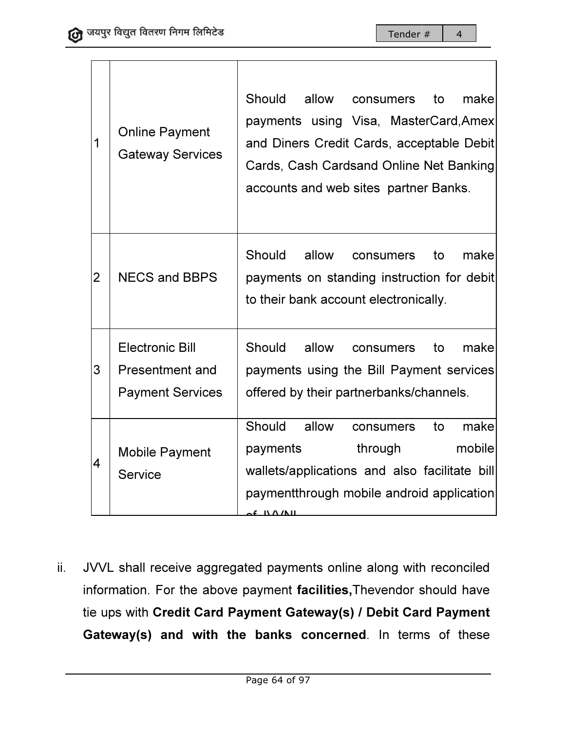4

| 1 | <b>Online Payment</b><br><b>Gateway Services</b>                            | Should<br>allow<br>make<br>to<br>consumers<br>payments using Visa, MasterCard, Amex<br>and Diners Credit Cards, acceptable Debit<br>Cards, Cash Cardsand Online Net Banking<br>accounts and web sites partner Banks. |
|---|-----------------------------------------------------------------------------|----------------------------------------------------------------------------------------------------------------------------------------------------------------------------------------------------------------------|
| 2 | <b>NECS and BBPS</b>                                                        | Should<br>allow<br>make<br>to<br>consumers<br>payments on standing instruction for debit<br>to their bank account electronically.                                                                                    |
| 3 | <b>Electronic Bill</b><br><b>Presentment and</b><br><b>Payment Services</b> | Should<br>allow<br>make<br>to<br>consumers<br>payments using the Bill Payment services<br>offered by their partnerbanks/channels.                                                                                    |
| 4 | <b>Mobile Payment</b><br>Service                                            | Should allow<br>make<br>to<br>consumers<br>mobile<br>payments<br>through<br>wallets/applications and also facilitate bill<br>paymentthrough mobile android application<br>$\sim$ f IVA/NII                           |

ii. JVVL shall receive aggregated payments online along with reconciled information. For the above payment facilities, Thevendor should have tie ups with Credit Card Payment Gateway(s) / Debit Card Payment tie ups with Credit Card Payment Gateway(s) / Debit Card Payment<br>Gateway(s) and with the banks concerned. In terms of these endor sh<br>**bit Card**<br>In terms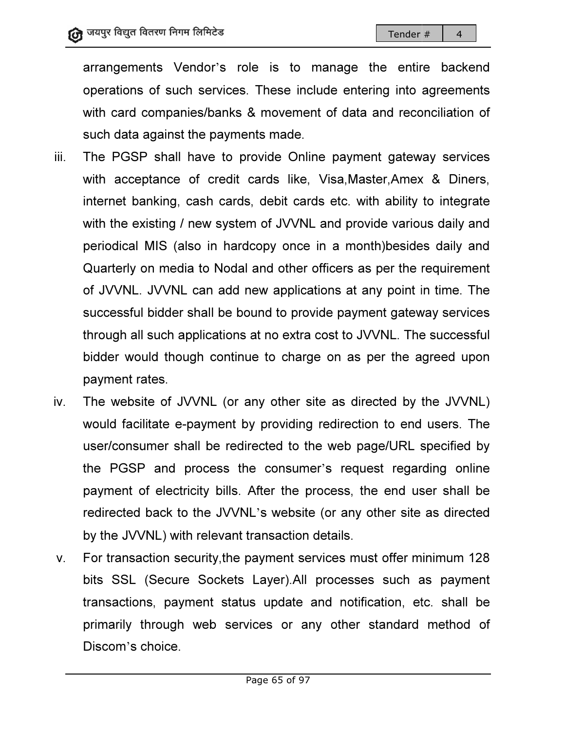arrangements Vendor arrangements Vendor's role is to manage the entire backend operations of such services. These include entering into agreements operations of such services. These include entering into agreements<br>with card companies/banks & movement of data and reconciliation of such data against the payments payments made. is to manage the entire backend<br>These include entering into agreements<br>movement of data and reconciliation of<br>s made.<br>vide Online payment gateway services<br>rds like, Visa,Master,Amex & Diners,

- iii. The PGSP shall have to provide Online payment gateway services The PGSP shall have to provide Online payment gateway<br>with acceptance of credit cards like, Visa,Master,Amex & internet banking, cash cards, debit cards etc. with ability to integrate with the existing / new system of JVVNL and provide various daily periodical MIS (also in hardcopy once in a month )besides daily and Quarterly on media to Nodal and other officers as per the requirement of JVVNL. JVVNL can add new applications at any point in time. The successful bidder shall be bound to provide payment gateway services<br>through all such applications at no extra cost to JVVNL. The successful<br>bidder would though continue to charge on as per the agreed upon<br>payment rates.<br>T through all such applications at no extra cost to JVVNL. The successful bidder would though continue to charge on as per the agreed upon payment rates. h cards, debit cards etc. with ability to integ<br>v system of JVVNL and provide various daily<br>in hardcopy once in a month)besides daily Trander at a managements Vendor's role is to manage the entire backend<br>operations of such services. These include entering into agreements<br>operations of such services. These include entering into agreements<br>such data agrai and time. The<br><sub>/</sub> services
- iv. The website of JVVNL (or any other site as directed by the JVVNL) The website of JVVNL (or any other site as directed by the JVVNL)<br>would facilitate e-payment by providing redirection to end users. The<br>user/consumer shall be redirected to the web page/URL specified by user/consumer shall be redirected to the web page/URL s the PGSP and process the consumer's request regarding online payment of electricity bills. After the process, the end user shall be by the JVVNL) with relevant transaction details.
- redirected back to the JVVNL's website (or any other site as directed<br>by the JVVNL) with relevant transaction details.<br>For transaction security,the payment services must offer minimum 128<br>bits SSL (Secure Sockets Layer).Al v. For transaction security,the payment services must offer minimum 128 bits SSL (Secure Sockets Layer) SSL (Secure Sockets Layer).All processes such as payment transactions, payment status update and notification, etc. shall be primarily through web services or any other standard method of Discom's choice.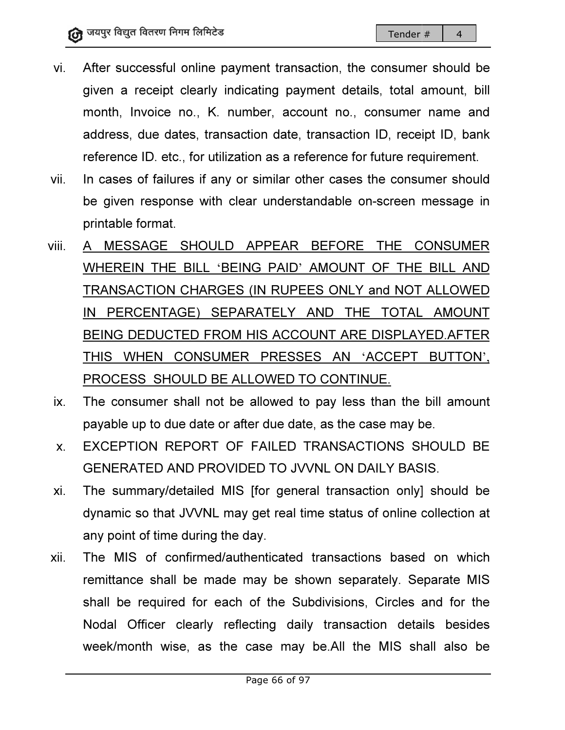- vi. After successful online payment transaction, the consumer should be given a receipt clearly indicating payment details, total amount, bill<br>month, Invoice no., K. number, account no., consumer name and month, Invoice no., K. number, account no., consumer name and address, due dates, transaction date, transaction ID, receipt ID, bank<br>reference ID. etc., for utilization as a reference for future requirement. reference ID. etc., for utilization as a reference for future requirement.
- vii. In cases of failures if any or similar other cases the consumer should be given response with clear understandable on-screen message in printable format. or similar other cases the consumer should<br>lear understandable on-screen message in<br>APPEAR BEFORE THE CONSUMER
- viii. A MESSAGE SHOULD APPEAR BEFORE THE CONSUMER <u>WHEREIN THE BILL 'BEING PAID' AMOUNT OF THE BILL</u> TRANSACTION CHARGES (IN RUPEES (IN RUPEES ONLY and NOT ALLOWED IN PERCENTAGE) SEPARATELY AND THE TOTAL AMOUNT <u>IN PERCENTAGE) SEPARATELY AND THE TOTAL AMOUNT</u><br>BEING DEDUCTED FROM HIS ACCOUNT ARE DISPLAYED.AFTER</u> <u>BEING DEDUCTED FROM HIS ACCOUNT ARE DISPLAYED.AFTER</u><br>THIS WHEN CONSUMER PRESSES AN 'ACCEPT BUTTON', PROCESS SHOULD BE ALLOWED TO CONTINUE.
	- PROCESS SHOULD BE ALLOWED TO CONTINUE.<br>ix. The consumer shall not be allowed to pay less than the bill amount payable up to due date or after due date, as the case may be pay less than the bill amount<br>as the case may be.
	- x. EXCEPTION REPORT OF FAILED TRANSACTION TRANSACTIONS SHOULD BE GENERATED AND PROVIDED TO JVVNL ON DAILY BASIS.
- xi. The summary/detailed MIS [for general transaction only] should be dynamic so that JVVNL may get real time status of online collection at any point of time during the day. NSACTIONS SHOULD BE<br>ON DAILY BASIS.<br>ansaction only] should be<br>tatus of online collection at<br>sactions based on which<br>separately. Separate MIS
- xii. The MIS of confirmed/authenticated transactions based on which The MIS of confirmed/authenticated transactions based on which<br>remittance shall be made may be shown separately. Separate MIS shall be required for each of the Subdivisions, Circles and for the Nodal Officer clearly reflecting daily transaction details besides week/month wise, as the case may be.All the MIS shall also be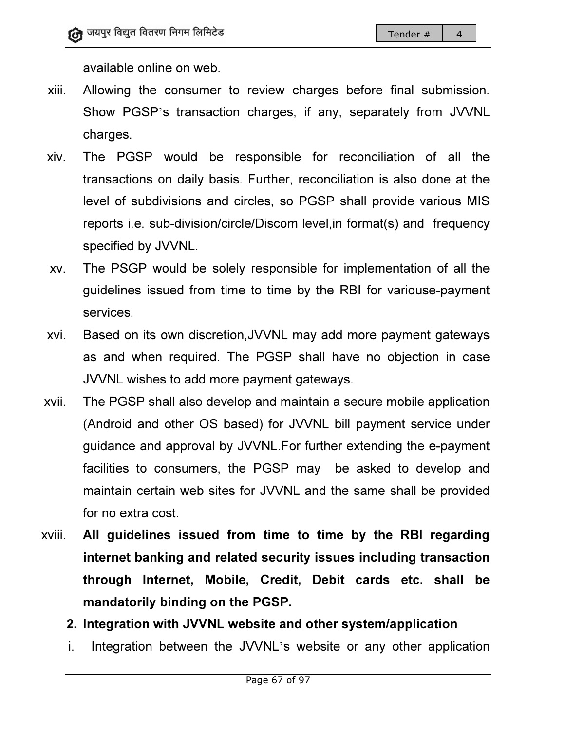available online on web.

- xiii. Allowing the consumer to review charges before final submission. Show PGSP's transaction charges, if any, separately from JVVNL charges.
- xiv. The PGSP would be responsible for reconciliation of all the Show PGSP's transaction charges, if any, separately from JVVNL<br>charges.<br>The PGSP would be responsible for reconciliation of all the<br>transactions on daily basis. Further, reconciliation is also done at the level of subdivisions and circles, so PGSP shall provide various MIS reports i.e. sub-division/circle/Discom level, in format(s) and frequency specified by JVVNL. level of subdivisions and circles, so PGSP shall provide various MIS<br>reports i.e. sub-division/circle/Discom level, in format(s) and frequency<br>specified by JVVNL.<br>xv. The PSGP would be solely responsible for implementation
- The PSGP would be solely responsible for implementation of all the<br>guidelines issued from time to time by the RBI for variouse-payment services.
- xvi. Based on its own discretion,JVVNL may add more payment gateways as and when required. The PGSP shall have no objection in case JVVNL wishes to add more payment gateways. JVVNL may add more payment gateways<br>PGSP shall have no objection in case<br>payment gateways.<br>p and maintain a secure mobile application
- xvii. The PGSP shall also develop payment gateways.develop and maintain a secure mobile app (Android and other OS based) for JVVNL bill payment service under guidance and approval by JVVNL. For further extending the e-payment facilities to consumers, the PGSP may be asked to develop and maintain certain web sites for JVVNL and the same shall be provided for no extra cost.
- xviii. All guidelines issued from time to time by the RBI regarding internet banking and related security issues including transaction internet banking and related security issues including transaction<br>through Internet, Mobile, Credit, Debit cards etc. shall be mandatorily binding on the PGSP.
	- 2. Integration with JVVNL website and other system/application
	- i. Integration between the JVVNL's website or any other application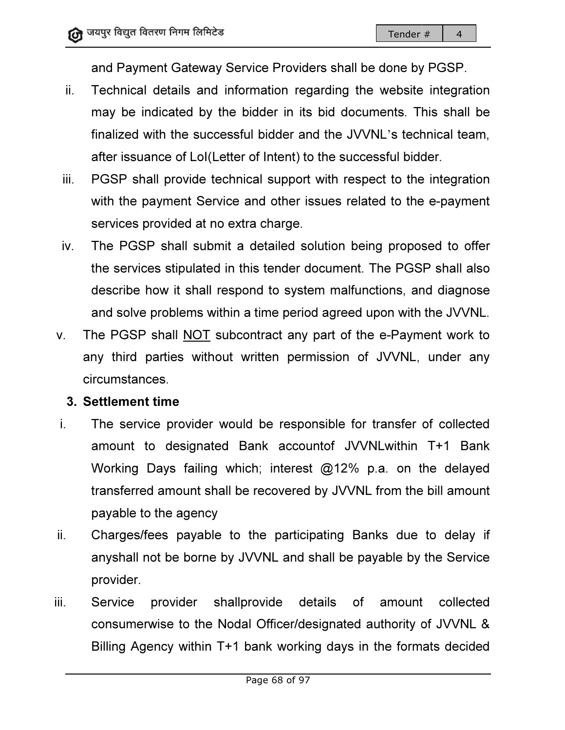and Payment Gateway Service Provider and Payment Providers shall be done by PGSP.

- and Payment Gateway Service Providers shall be done by PGSP.<br>ii. Technical details and information regarding the website integration<br>may be indicated by the bidder in its bid documents. This shall be<br>finalized with the suc may be indicated by the bidder in its bid documents. This shall be finalized with the successful bidder and the JVVNL's technical team, after issuance of LoI(Letter of Intent) to the successful bidder.
- iii. PGSP shall provide technical support with respect to the integration with the payment Service and other issues related to the e-payment services provided at no extra charge.
- iv. The PGSP shall submit a detailed solution being proposed to offer the services stipulated in this tender document. The PGSP shall also describe how it shall respond to system malfunctions, and diagnose and solve problems within a time period agreed upon with the JVVNL. PGSP shall provide technical support with respect to the integration<br>with the payment Service and other issues related to the e-payment<br>services provided at no extra charge.<br>The PGSP shall submit a detailed solution being
- v. The PGSP shall <u>NOT</u> subcontract any part of the e-Payment work to<br>
any third parties without written permission of JVVNL, under any<br>
circumstances.<br> **3. Settlement time**<br>
i. The service provider would be responsible fo any third parties without written permission of JVVNL, under any circumstances.

#### 3. Settlement time

- i. The service provider would be responsible for transfer amount to designated Bank accountof JVVNLwithin T+1 Bank<br>Working Days failing which; interest @12% p.a. on the delayed<br>transferred amount shall be recovered by JVVNL from the bill amount<br>payable to the agency<br>Charges/fees Working Days failing which; interest @12% p.a. on the delayed<br>transferred amount shall be recovered by JVVNL from the bill amount<br>payable to the agency<br>Charges/fees payable to the participating Banks due to delay if transferred amount shall be recovered by JVVNL from the bill amount payable to the agency
- ii. Charges/fees payable to the participating Banks due to delay if provider.
- anyshall not be borne by JVVNL and shall be payable by the Service<br>provider.<br>Service provider shallprovide details of amount collected<br>consumerwise to the Nodal Officer/designated authority of JVVNL & iii. Service provider consumerwise to the Nodal Officer/designated authority of JVVNL Billing Agency within T+1 bank working days in the formats decided shallprovide details of amount collected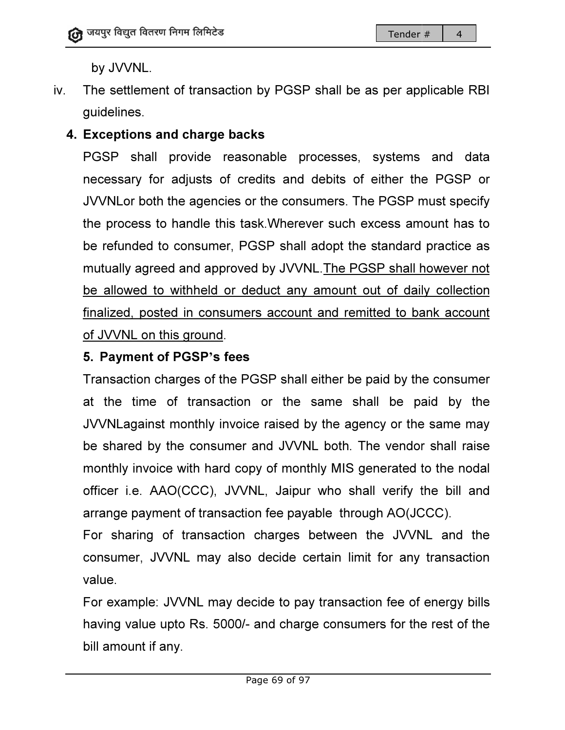by JVVNL.

iv. The settlement of transaction by PGSP shall be as per applicable RBI guidelines.

# **4. Exceptions and charge backs**

PGSP shall provide reasonable processes, systems and data PGSP shall provide reasonable processes, systems and data<br>necessary for adjusts of credits and debits of either the PGSP or JVVNLor both the agencies or the consumers. The PGSP must specify the process to handle this task.Wherever such excess amount has to be refunded to consumer, PGSP shall adopt the standard practice as mutually agreed and approved by JVVNL. The PGSP shall however not be allowed to withheld or deduct any amount out of daily collection<br>finalized, posted in consumers account and remitted to bank account finalized, posted in consumers account and remitted t of JVVNL on this ground.

# 5. Payment of PGSP' s fees

Transaction charges of the PGSP shall either be paid by the consumer at the time of transaction of transaction or the same shall be paid by the JVVNLagainst monthly invoice raised by the agency or the same may be shared by the consumer and JVVNL both. The vendor shall raise monthly invoice with hard copy of monthly MIS generated to officer i.e. AAO(CCC), JVVNL, Jaipur who shall verify the bill and<br>arrange payment of transaction fee payable through AO(JCCC). arrange payment of transaction fee payable through AO(JCCC). d to bank account<br>d by the consumer<br>be paid by the<br>or the same may<br>vendor shall raise<br>erated to the nodal

For sharing of transaction charges between the JVVNL and the consumer, JVVNL may also decide certain limit for any value. able through AO(JCCC).<br>between the JVVNL and the<br>ertain limit for any transaction

For example: JVVNL may decide to pay transaction fee of energy bills<br>having value upto Rs. 5000/- and charge consumers for the rest of the having value upto Rs. 5000/- and charge consumers for the rest of the bill amount if any.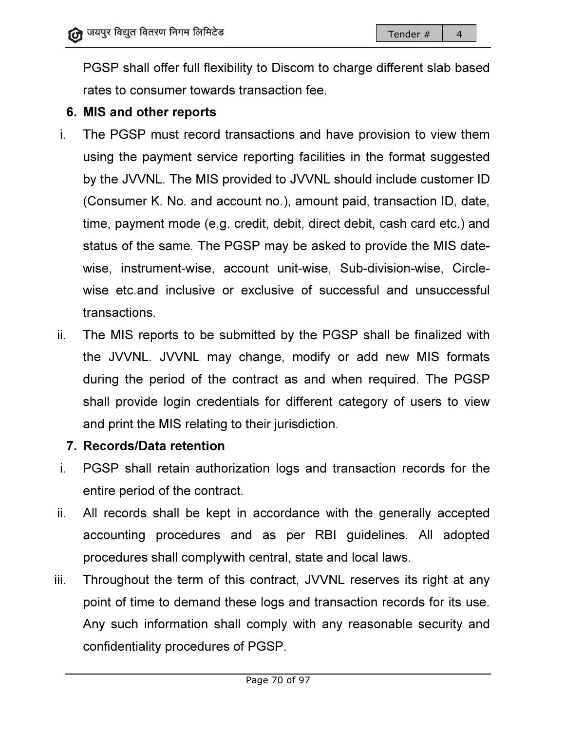PGSP shall offer full flexibility to Discom to charge different slab based rates to consumer towards transaction fee.

#### 6. MIS and other reports

- i. The PGSP must record transactions and have provision to view them using the payment service reporting facilities in the format suggested by the JVVNL. The MIS provided to JVVNL should include customer ID The PGSP must record transactions and have provision to view them<br>using the payment service reporting facilities in the format suggested<br>by the JVVNL. The MIS provided to JVVNL should include customer ID<br>(Consumer K. No. a time, payment mode (e.g. credit, debit, direct debit, cash card etc.) and<br>status of the same. The PGSP may be asked to provide the MIS date status of the same. The PGSP may be asked to provide the MIS datewise, instrument-wise, account unit-wise, Sub-division-wise, Circlewise etc.and inclusive or exclusive of successful and unsuccessful transactions. **Example 18**<br>
Illity to Discom to charge different slab b<br>
transaction fee.<br>
ansactions and have provision to view<br>
reporting facilities in the format sugge<br>
ovided to JVVNL should include custom<br>
count no.), amount paid, saction ID, date,<br>sh card etc.) and
- ii. The MIS reports to be submitted by the PGSP shall be finalized with the JVVNL. JVVNL may change, modify or add new MIS formats during the period of the contract as and when required. The PGSP<br>shall provide login credentials for different category of users to view<br>and print the MIS relating to their jurisdiction. shall provide login credentials for different category of users to view and print the MIS relating to their jurisdiction

#### 7. Records/Data retention

- i. PGSP shall retain authorization logs and transaction records for the entire period of the contract. vide login credentials for different category of users to view<br>the MIS relating to their jurisdiction.<br>**/Data retention**<br>nall retain authorization logs and transaction records for the<br>riod of the contract.<br>ds shall be kept
- ii. All records shall be kept in accordance with the generally accepted accounting procedures and as per RBI guidelines. All procedures shall complywith central, state and local laws.
- iii. Throughout the term of this contract, JVVNL reserves its right at any point of time to demand these logs and transaction records for its use. Any such information shall comply with any reasonable security and confidentiality procedures of PGSP.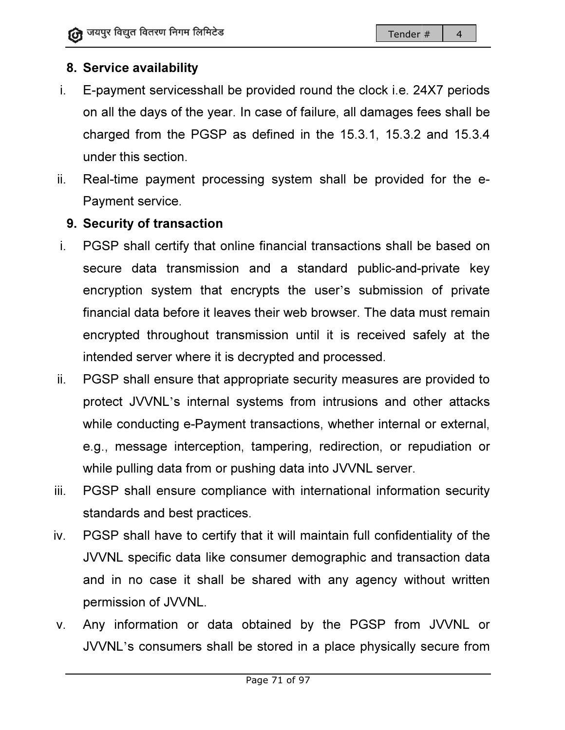# 8. Service availability

- i. E-payment servicesshall be provided round the clock i.e. 24X7 periods on all the days of the year. In case of failure, all damages fees shall be on all the days of the year. In case of failure, all damages fees shall be<br>charged from the PGSP as defined in the 15.3.1, 15.3.2 and 15.3.4 under this section.
- Payment service.

#### 9. Security of transaction

- ii. Real-time payment processing system shall be provided for the e-<br>
Payment service.<br>
9. Security of transaction<br>
i. PGSP shall certify that online financial transactions shall be based on<br>
secure data transmission and a i. PGSP shall certify that online financial transactions shall be based on secure data transmission and a standard public-and-private key<br>encryption system that encrypts the user's submission of private<br>financial data before it leaves their web browser. The data must remain<br>encrypted throughout t encryption system that encrypts the user's submission of private financial data before it leaves their web browser. The data must remain financial data before it leaves their web browser. The data must<br>encrypted throughout transmission until it is received safely intended server where it is decrypted and processed. **Ender # 14**<br> **Ender # 14**<br> **Ender # 14**<br> **Ender # 14**<br> **Ender # 14**<br> **Ender # 14**<br> **Ender # 14**<br> **Ender # 14**<br> **Ender # 14**<br> **Ender # 14**<br> **Ender # 14**<br> **Ender # 14**<br> **Ender # 14**<br> **Ender # 14**<br> **Ender # 14**<br> **Ender # 14**
- intended server where it is decrypted and processed.<br>ii. PGSP shall ensure that appropriate security measures are provided to protect JVVNL's internal systems from intrusions and other attacks while conducting e-Payment transactions, whether internal or external, e.g., message interception, tampering, redirection, or repudiation or while pulling data from or pushing data into JVVNL server. from intrusions and other attace conducting e-Payment transactions, whether internal or extern<br>message interception, tampering, redirection, or repudiation<br>pulling data from or pushing data into JVVNL server.<br>P shall ensur
- iii. PGSP shall ensure compliance with international information security standards and best practices.
- iv. PGSP shall have to certify that it will maintain full confidentiality of the JVVNL specific data like consumer demographic and transaction data and in no case it shall be shared with any agency without written permission of JVVNL.
- v. Any information or data obtained by the PGSP JVVNL or JVVNL's consumers shall be stored in a place physically secure from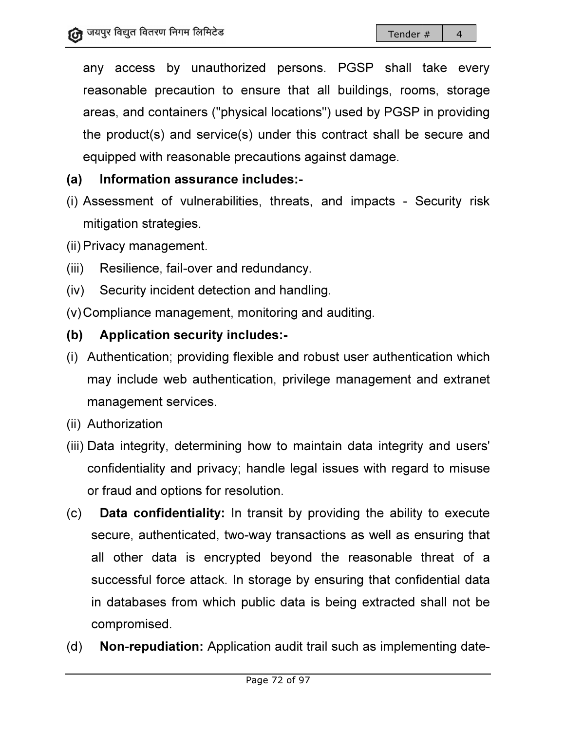any access by unauthorized persons. PGSP shall take every reasonable precaution to ensure that all buildings, rooms, storage areas, and containers ("physical locations") used by PGSP in providing the product(s) and service(s) under this contract shall be secure and equipped with reasonable precautions against dama any access by unauthorized persons. PGSP shall take every easonable precaution to ensure that all buildings, rooms, storage areas, and containers ("physical locations") used by PGSP in providing the product(s) and service(

# (a) Information assurance includes:-

- (i) Assessment of vulnerabilities, threats, and impacts Security risk mitigation strategies.
- (ii) Privacy management.
- (iii) Resilience, fail-over and redundancy.
- (iv) Security incident detection and handling Security incident detection and handling.
- (v) Compliance management, monitoring and auditing.
- (b) Application security includes:-
- (i) Authentication; providing flexible and robust user authentication which Authentication; providing flexible and robust user authentication which<br>may include web authentication, privilege management and extranet management services. Security risk<br>ication which<br>and extranet<br>ard to misuse<br>y to execute
- (ii) Authorization
- (iii) Data integrity, determining how to maintain data integrity and users' confidentiality and privacy; handle legal issues with regard to misuse or fraud and options for resolution.
- (c) Data confidentiality: In transit by providing the ability to execu secure, authenticated, two-way transactions as well as ensuring that all other data is encrypted beyond the reasonable threat of a<br>successful force attack. In storage by ensuring that confidential data<br>in databases from which public data is being extracted shall not be successful force attack. In storage by ensuring that confidential data in databases from which public data is being extrac compromised. 14<br>
ake every<br>
ake every<br>
and providing<br>
ecure and<br>
curity risk<br>
dextrane<br>
curity risk<br>
to misuse<br>
to misuse<br>
co execute<br>
suring tha<br>
reat of a<br>
ential data<br>
all not be way transactions as well as ensuring that<br>ed beyond the reasonable threat of a<br>storage by ensuring that confidential data<br>ublic data is being extracted shall not be<br>tion audit trail such as implementing date-
- (d) Non-repudiation: Application audit trail such as implementing date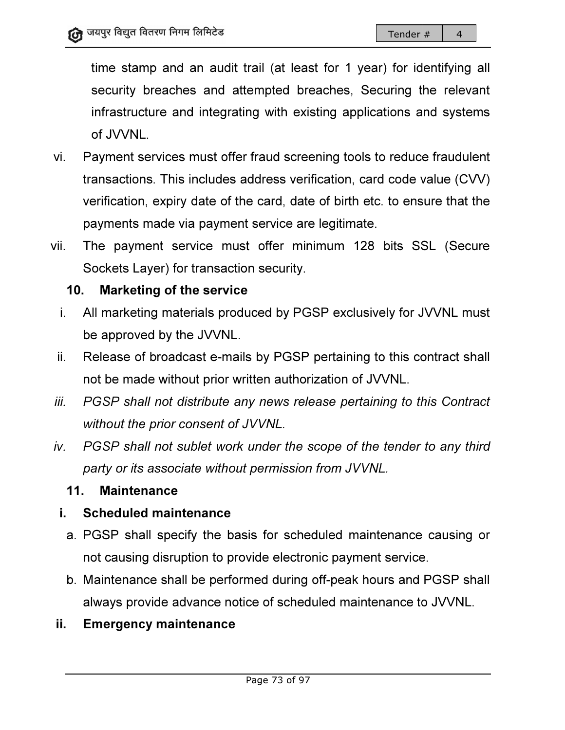time stamp and an audit trail (at least for 1 year) for identifying all time stamp and an audit trail (at least for 1 year) for identifying all<br>security breaches and attempted breaches, Securing the relevant infrastructure and integrating with existing applications and systems of JVVNL.

- vi. Payment services must offer fraud screening tools to reduce fraudulent transactions. This includes address verification, card code value (CVV) verification, expiry date of the card, date of birth etc. to ensure that the payments made via payment service are legitimate. Payment services must offer fraud screening tools to reduce fraudulent<br>transactions. This includes address verification, card code value (CVV)<br>verification, expiry date of the card, date of birth etc. to ensure that the<br>pa The interest and a manual trail (at least for 1 year) for identifying<br>the sand attempted breaches, Securing the releand integrating with existing applications and system and integrating with existing applications and syst ies and attempted breaches, Securing the<br>nd integrating with existing applications and<br>s must offer fraud screening tools to reduce fr<br>includes address verification, card code valu<br>y date of the card, date of birth etc. to
- vii. The payment service must offer minimum 128 bits SSL (Secure Sockets Layer) for transaction security.

# 10. Marketing of the service

- i. All marketing materials produced by PGSP exclusively for JVVNL must<br>be approved by the JVVNL. be approved by the JVVNL.
- ii. Release of broadcast e-mails by PGSP pertaining to this contract shall not be made without prior written authorization of JVVNL.
- iii. PGSP shall not distribute any news release pertaining to this Contract without the prior consent of JVVNL.
- iv. PGSP shall not sublet work under the scope of the tender to any third party or its associate without permission from JVVNL. without the prior consent of JVVNL.<br>PGSP shall not sublet work under the scope of the tender<br>party or its associate without permission from JVVNL.

# 11. Maintenance

# i. Scheduled maintenance

- a. PGSP shall specify the basis for scheduled maintenance causing or<br>not causing disruption to provide electronic payment service.<br>b. Maintenance shall be performed during off-peak hours and PGSP shall not causing disruption to provide electronic payment service.
- b. Maintenance shall be performed during off-peak hours and PGSP shall always provide advance notice of scheduled maintenance to JVVNL.

# ii. Emergency maintenance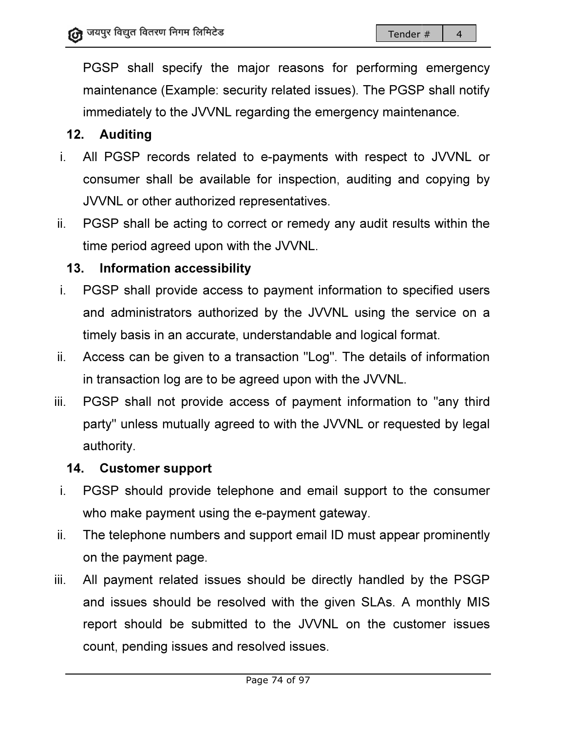PGSP shall specify the major reasons for performing emergency maintenance (Example: security related issues). The PGSP shall notify immediately to the JVVNL regarding the emergency maintenance. specify the major reasons for performing emerg<br>(Example: security related issues). The PGSP shall<br>o the JVVNL regarding the emergency maintenance.<br>cords related to e-payments with respect to JVVI

# 12. Auditing

- i. All PGSP records related to e-payments with respect to JVVNL or JVVNL or other authorized representatives.
- consumer shall be available for inspection, auditing and copying by<br>JVVNL or other authorized representatives.<br>PGSP shall be acting to correct or remedy any audit results within the<br>time period agreed upon with the JVVNL. ii. PGSP shall be acting to correct or remedy any audit results within the time period agreed upon with the JVVNL.

# 13. Information accessibility

- i. PGSP shall provide access to payment information to specified users and administrators authorized by the JVVNL using the service on a timely basis in an accurate, understandable and logical format. PGSP shall provide access to payment information to specified users<br>and administrators authorized by the JVVNL using the service on a<br>timely basis in an accurate, understandable and logical format.<br>Access can be given to a **Tender \***  $\parallel$  **44**<br> **Example:** security related issues). The PGSP shall notify<br>
the JVVNL regarding the emergency maintenance.<br>
ords related to e-payments with respect to JVVNL or<br>
II be available for inspection, auditi
- ii. Access can be given to a transaction "Log". The details of information in transaction log are to be agreed upon with the JVVNL.
- iii. PGSP shall not provide access of payment information to "any third party" unless mutually agreed to with the JVVNL or requested by legal authority.

# 14. Customer support Customer support

- i. PGSP should provide telephone and email support to the consumer who make payment using the e-payment gateway.
- ii. The telephone numbers and support email ID must appear prominently on the payment page.
- iii. All payment related issues should be directly handled by the PSGP and issues should be resolved with the given SLAs. A monthly MIS report should be submitted to the JVVNL on the customer issues count, pending issues and resolved issues.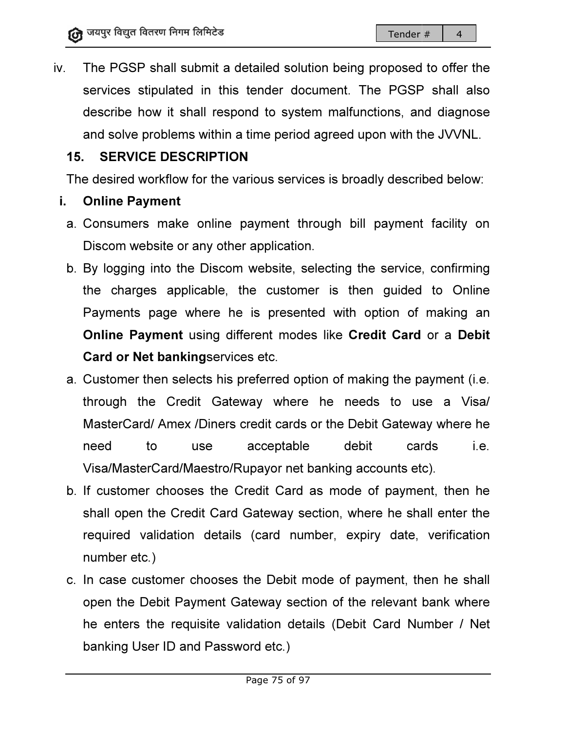iv. The PGSP shall submit a detailed solution being proposed to offer the services stipulated in this tender document. The PGSP shall also<br>describe how it shall respond to system malfunctions, and diagnose<br>and solve problems within a time period agreed upon with the JVVNL.<br>**SERVICE DESCRIPTION**<br> describe how it shall respond to system malfunctions, and diagnose<br>and solve problems within a time period agreed upon with the JVVNL. and solve problems within a time period agreed upon with the JVVNL.

# 15. SERVICE DESCRIPTION

The desired workflow for the various services is broadly described below:

- i. Online Payment
	- a. Consumers make online payment through bill payment facility facility on Discom website or any other application.
- b. By logging into the Discom website, selecting the service, confirming By logging into the Discom website, selecting the service, confirming<br>the charges applicable, the customer is then guided to Online Payments page where he is presented with option of making an<br>**Online Payment** using different modes like **Credit Card** or a **Debit** Online Payment using different modes like Credit Card or a Debit Card or Net bankingservices etc. Financial submit a detailed solution being proposed to offer the<br>all submit a detailed solution being proposed to offer the<br>all stand in this tender document. The PGSP shall also<br>it shall respond to system malfunctions, an
	- a. Customer then selects his preferred option of making the payment (i.e. through the Credit Gateway where he needs to use a Visa/<br>MasterCard/ Amex*/*Diners credit cards or the Debit Gateway where he MasterCard/ Amex /Diners credit cards or the Debit Gateway where he<br>need to use acceptable debit cards i.e. need to use acceptable debit cards need to use acceptable debit cards<br>Visa/MasterCard/Maestro/Rupayor net banking accounts etc).
	- b. If customer chooses the Credit Card as mode of payment, then he shall open the Credit Card Gateway section, where he shall enter the required validation details (card number, expiry date, verification<br>number etc.)<br>In case customer chooses the Debit mode of payment, then he shall number etc.)
	- c. In case customer chooses the Debit mode of payment, then he shall open the Debit Payment Gateway section of the relevant bank where he enters the requisite validation details (Debit Card Number / Net banking User ID and Password etc.)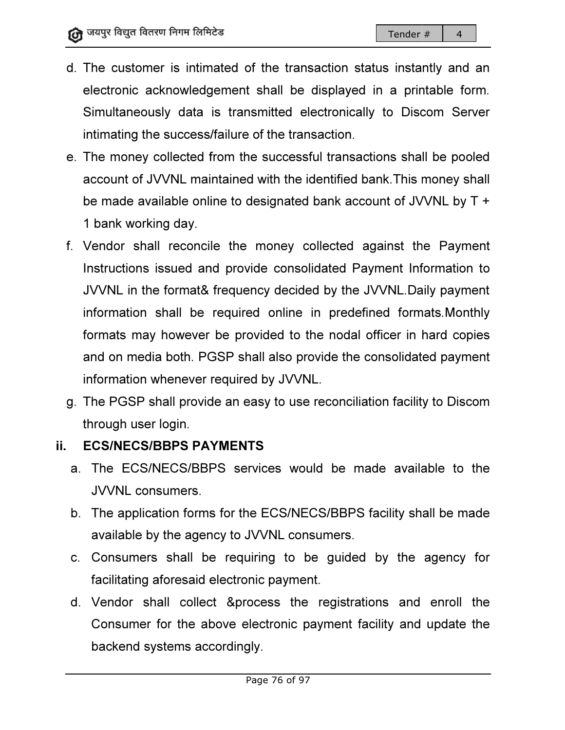- d. The customer is intimated of the transaction status instantly and an<br>electronic acknowledgement shall be displayed in a printable form. electronic acknowledgement shall be displayed in a printable form. Simultaneously data is transmitted electronically to Discom Server intimating the success/failure of the transaction.
- e. The money collected from the successful transactions shall be poo account of JVVNL maintained with the identified bank. This money shall be made available online to designated bank account of JVVNL by  $T +$ 1 bank working day. he success/failure of the transaction.<br><sub>/</sub> collected from the successful transactions shall be pooled<br>JVVNL maintained with the identified bank.This money shall pooled
- f. Vendor shall reconcile the money collected against the Payment<br>Instructions issued and provide consolidated Payment Information to<br>JVVNL in the format& frequency decided by the JVVNL.Daily payment Instructions issued and provide consolidated Payment Information to JVVNL in the format& frequency decided by the JVVNL.Daily payment information shall be required online in predefined formats formats.Monthly formats may however be provided to the nodal officer in hard copies and on media both. PGSP shall also provide the consolidated payment information whenever required by JVVNL. provided to the nodal officer in hard copies<br>bia both. PGSP shall also provide the consolidated payment<br>whenever required by JVVNL.<br>shall provide an easy to use reconciliation facility to Discom<br>ar login.<br>JBBPS PAYMENTS<br>NE Tender\* 14<br>
ustomer is intimated of the transaction status instantly and<br>
ustomer is intimated of the transaction status instantly and<br>
increase are interested between that be displayed in a printable transactions<br>
Sing th
- g. The PGSP shall provide an easy to use reconciliation facility to Discom through user login.

# ii. ECS/NECS/BBPS PAYMENTS

- a. The ECS/NECS/BBPS services would be made available to the JVVNL consumers.
- b. The application forms for the ECS/NECS/BBPS facility shall be made available by the agency to JVVNL JVVNL consumers.
- c. Consumers shall be requiring to be guided by the agency for facilitating aforesaid electronic payment. facilitating aforesaid electronic
- d. Vendor shall collect &process the registrations and enroll the<br>Consumer for the above electronic payment facility and update the Consumer for the above electronic payment facility and update the backend systems accordingly.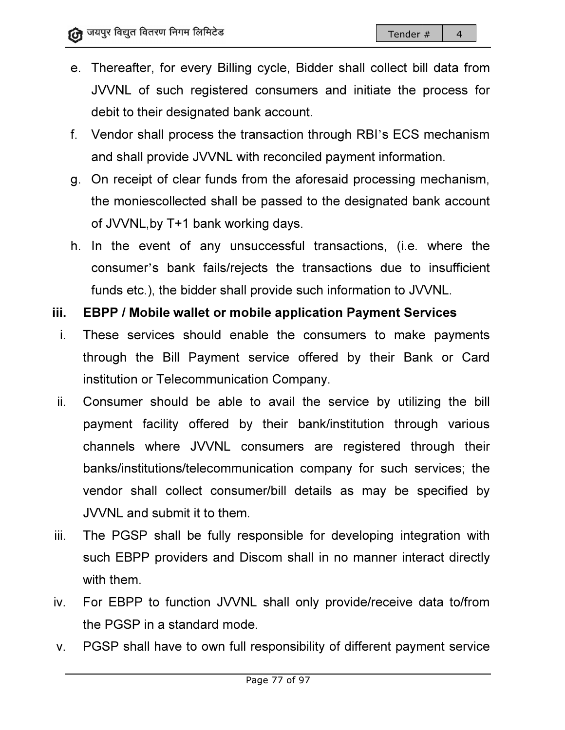- e. Thereafter, for every Billing cycle, Bidder shall collect bill data from JVVNL of such registered consumers and initiate the process for debit to their designated bank account. for every Billing cycle, Bidder shall collect bill data from<br>such registered consumers and initiate the process for<br>r designated bank account.<br>Il process the transaction through RBI's ECS mechanism
- f. Vendor shall process the transaction through RBI and shall provide JVVNL with reconciled payment information.
- g. On receipt of clear funds from the aforesaid processing mechanism, the moniescollected shall be passed to the designated bank account of JVVNL,by T+1 bank working days.
- h. In the event of any unsuccessful transactions, (i.e. where the consumer's bank fails/rejects the transactions due to insufficient<br>funds etc.), the bidder shall provide such information to JVVNL. funds etc.), the bidder shall provide such information to JVVNL. between the designated bank account<br>transactions, (i.e. where the<br>ansactions due to insufficient<br>ch information to JVVNL.<br>cation Payment Services<br>onsumers to make payments<br>fered by their Bank or Card

# iii. EBPP / Mobile wallet or mobile application Payment Services

- i. These services should enable the consumers to make payments through the Bill Payment service offered by their Bank or institution or Telecommunication Company.
- ii. Consumer should be able to avail the service by utilizing the bill payment facility offered by their bank/institution through various institution or Telecommunication Company.<br>Consumer should be able to avail the service by utilizing the bill<br>payment facility offered by their bank/institution through various<br>channels where JVVNL consumers are registered banks/institutions/telecommunication company for such services; the vendor shall collect consumer/bill details as may be specified by JVVNL and submit it to them. onsumers are registered through their<br>inication company for such services; the<br>ner/bill details as may be specified by<br>.<br>sponsible for developing integration with<br>liscom shall in no manner interact directly<br>IL shall only p
- JVVNL and submit it to them.<br>iii. The PGSP shall be fully responsible for developing integration with such EBPP providers and Discom shall in no manner interact directly with them. such EBPP providers and Discom shall in no manner interact di<br>with them.<br>iv. For EBPP to function JVVNL shall only provide/receive data to
- the PGSP in a standard mode mode.
- v. PGSP shall have to own full responsibility of different payment service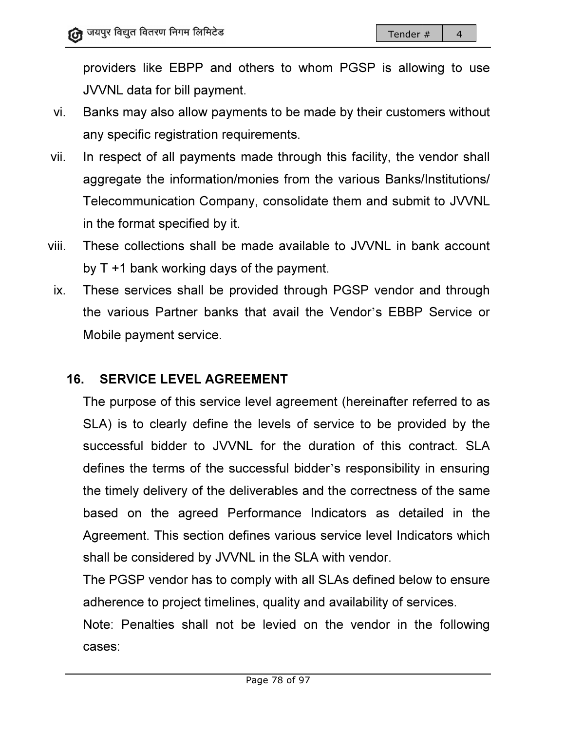providers like EBPP and others to whom PGSP is allowing to use JVVNL data for bill payment.

- vi. Banks may also allow payments to be made by their customers without any specific registration requirements. providers like EBPP and others to whom PGSP is allow<br>JVVNL data for bill payment.<br>Banks may also allow payments to be made by their custom<br>any specific registration requirements.<br>In respect of all payments made through thi
- vii. In respect of all payments made through this facility, the vendor shall aggregate the information/monies from the various Banks/Institutions/ Telecommunication Company, consolidate them and submit to JVVNL in the format specified by it.
- viii. These collections shall be made available to JVVNL in bank account by T +1 bank working days of the payment.
- ix. These services shall be provided through PGSP vendor and through the various Partner banks that avail the Vendor's EBBP Service or Mobile payment service.

# 16. SERVICE LEVEL AGREEMENT

The purpose of this service level agreement (hereinafter referred to as SLA) is to clearly define the levels of service to be provided by the successful bidder to JVVNL for the duration of this contract. SLA The purpose of this service level agreement (hereinafter referred to as SLA) is to clearly define the levels of service to be provided by the successful bidder to JVVNL for the duration of this contract. SLA defines the te the timely delivery of the deliverables and the correctness of the same based on the agreed Performance Indicators as detailed in the Agreement. This section defines various service level Indicators which shall be considered by JVVNL in the SLA with vendor. the timely delivery of the deliverables and the correctness of the same<br>based on the agreed Performance Indicators as detailed in the<br>Agreement. This section defines various service level Indicators which<br>shall be consider IL in b<br>endor<br>i EBBI<br>infler r<br>after r<br>pe prov<br>this consibility<br>ctness<br>as det<br>rel Indi<br>pr.<br>ed bel<br>iy of se

 The PGSP vendor has to comply with all SLAs defined below to ensure adherence to project timelines, quality and availability of services. The PGSP vendor has to comply with all SLAs defined below to ensure<br>adherence to project timelines, quality and availability of services.<br>Note: Penalties shall not be levied on the vendor in the following

cases: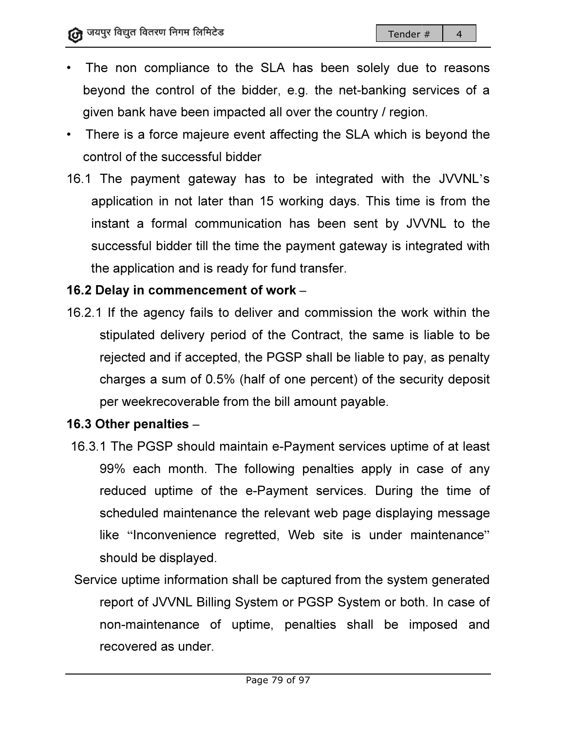- The non compliance to the SLA has been solely due to reasons The non compliance to the SLA has been solely due to reasons<br>beyond the control of the bidder, e.g. the net-banking services of a given bank have been impacted all over the country / region.
- There is a force majeure event affecting the SLA which is beyond the control of the successful bidder<br>16.1 The payment gateway has to be integrated with the JVVNL's control of the successful bidder
- 16.1 The payment gateway has to be integrated with the JVVNL 's application in not later than 15 working days. This time is from the instant a formal communication has been sent by JVVNL to the successful bidder till the time the payment gateway is integrated with instant a formal communication has been sent by JVVNL to the the application and is ready for fund transfer.

# 16.2 Delay in commencement of work -

successful bidder till the time the payment gateway is integrated with<br>the application and is ready for fund transfer.<br>Delay in commencement of work –<br>1 If the agency fails to deliver and commission the work within the<br>sti 16.2.1 If the agency fails to deliver and commission the work within the stipulated delivery period of the Contract, the same is I If the agency fails to deliver and commission the work within the<br>stipulated delivery period of the Contract, the same is liable to be<br>rejected and if accepted, the PGSP shall be liable to pay, as penalty charges a sum of 0.5% (half of one percent) of the security deposit<br>per weekrecoverable from the bill amount payable. per weekrecoverable from the bill amount payable.

# 16.3 Other penalties –

- 16.3.1 The PGSP should maintain e-Payment services uptime of at least 99% each month. The following penalties apply in case of any reduced uptime of the e-Payment services. During the time of scheduled maintenance the relevant web page displaying message scheduled maintenance the relevant web page displaying messag<br>like "Inconvenience regretted, Web site is under maintenance should be displayed. e PGSP shall be liable to pay, as penalty<br>lf of one percent) of the security deposit<br>he bill amount payable.<br>in e-Payment services uptime of at least<br>llowing penalties apply in case of any<br>Payment services. During the time
- Service uptime information shall be captured from the system generated report of JVVNL Billing System or PGSP System or both. In case of non-maintenance of uptime, penalties shall be imposed and<br>recovered as under. recovered as under.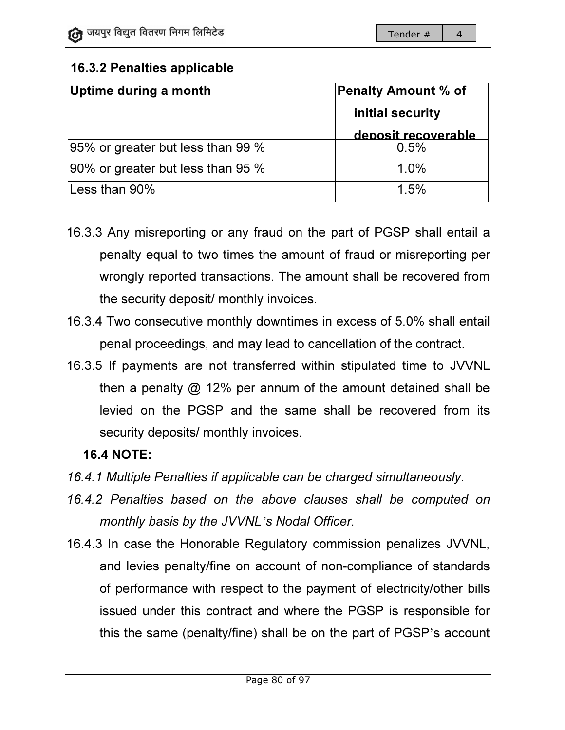# 16.3.2 Penalties applicable applicable

| Uptime during a month             | <b>Penalty Amount % of</b> |
|-----------------------------------|----------------------------|
|                                   | initial security           |
|                                   | deposit recoverable        |
| 95% or greater but less than 99 % | 0.5%                       |
| 90% or greater but less than 95 % | 1.0%                       |
| Less than 90%                     | 1.5%                       |

- Less than 90%<br>
16.3.3 Any misreporting or any fraud on the part of PGSP shall entail a<br>
penalty equal to two times the amount of fraud or misreporting per<br>
wrongly reported transactions. The amount shall be recovered from penalty equal to two times the amount of fraud or misreporting per wrongly reported transactions. The amount shall be recovered from the security deposit/ monthly invoices.
- 16.3.4 Two consecutive monthly downtimes in excess of 5.0% shall entail penal proceedings, and may lead to cancellation of the contract. security deposit/ monthly invoices.<br><sub>/</sub>o consecutive monthly downtimes in excess of 5.0% shall e<br>al proceedings, and may lead to cancellation of the contract.
- 16.3.5 If payments are not transferred within stipulated time to JVVNL penal proceedings, and may lead to cancellation of the contract.<br>b If payments are not transferred within stipulated time to JVVNL<br>then a penalty @ 12% per annum of the amount detained shall be levied on the PGSP and the same shall be recovered from its security deposits/ monthly invoices.

# 16.4 NOTE:

- 16.4.1 Multiple Penalties if applicable can be charged simultaneously.
- 16.4.1 Multiple Penalties if applicable can be charged simultaneously.<br>16.4.2 Penalties based on the above clauses shall be computed on monthly basis by the JVVNL 's Nodal Officer.
- 16.4.3 In case the Honorable Regulatory commission penalizes JVVNL, 3 In case the Honorable Regulatory commission penalizes JVVNL,<br>and levies penalty/fine on account of non-compliance of standards and levies penalty/fine on account of non-compliance of standards<br>of performance with respect to the payment of electricity/other bills issued under this contract and where the PGSP is responsible for this the same (penalty/fine) shall be on the part of PGSP's account with respect to the payment of electricity<br>his contract and where the PGSP is resp<br>penalty/fine) shall be on the part of PGSP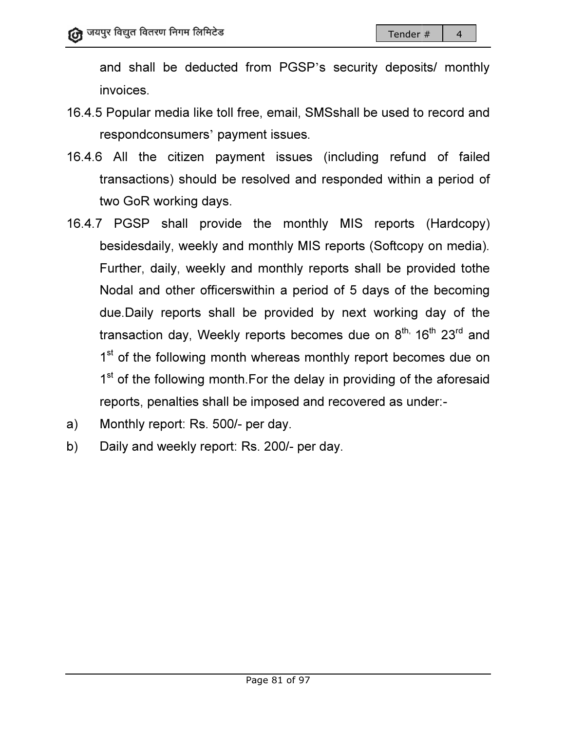and shall be deducted from PGSP's security deposits/ monthly invoices.

- 16.4.5 Popular media like toll free, email, SMSshall be used to record and respondconsumers' payment issues.
- 16.4.6 All the citizen payment issues (including refund of failed } All the citizen payment issues (including refund of failed<br>transactions) should be resolved and responded within a period of two GoR working days.
- two GoR working days.<br>16.4.7 PGSP shall provide the monthly MIS reports (Hardcopy) besidesdaily, weekly and monthly MIS reports (Softcopy on media) Further, daily, weekly and monthly reports shall be provided tothe Nodal and other officerswithin a period of 5 days of the becoming due.Daily reports shall be provided by next working day of the transaction day, Weekly reports becomes due on 8<sup>th,</sup> 16<sup>th</sup> 23<sup>rd</sup> and 1<sup>st</sup> of the following month whereas monthly report becomes due on  $1<sup>st</sup>$  of the following month whereas monthly report becomes due on  $1<sup>st</sup>$  of the following month. For the delay in providing of the aforesaid reports, penalties shall be imposed and recovered as under:and responded within a period of<br>bnthly MIS reports (Hardcopy)<br>MIS reports (Softcopy on media).
- a) Monthly report: Rs. 500/- per day.
- b) Daily and weekly report: Rs. 200/- per day.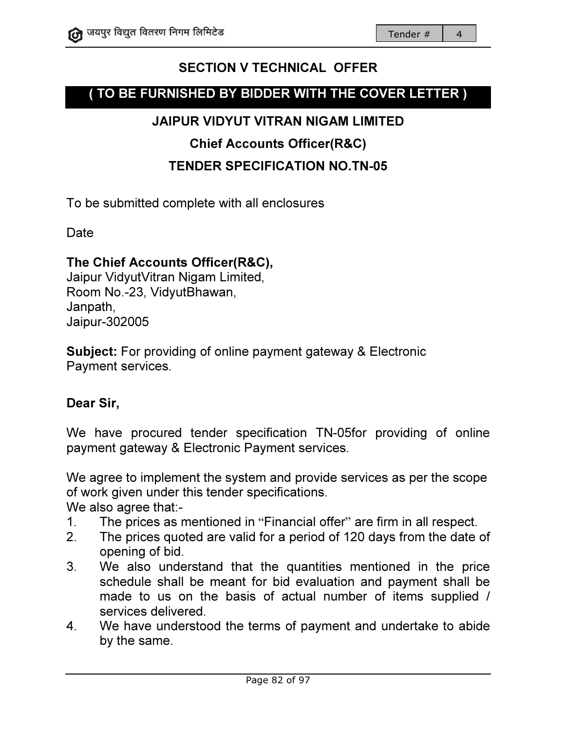# SECTION V TECHNICAL OFFER

# ( TO BE FURNISHED BY BIDDER WITH THE COVER LETTER )

# JAIPUR VIDYUT VITRAN NIGAM VIDYUT VITRAN LIMITED

# Chief hief Accounts Officer(R&C)

# TENDER SPECIFICATION NO.TN NO.TN-05

To be submitted complete with all enclosures

Date

# The Chief Accounts Officer(R&C), To be submitted complete with all e<br>Date<br>**The Chief Accounts Officer(R&C**)<br>Jaipur VidyutVitran Nigam Limited,

Room No.-23, VidyutBhawan, Janpath, Jaipur-302005 Room No.-23, VidyutBhawan,<br>Janpath,<br>Jaipur-302005<br>**Subject:** For providing of online payment gateway & Electronic

Payment services. **Subject:** For providing of online payment gateway & Electronic<br>Payment services.<br>**Dear Sir,**<br>We have procured tender specification TN-05for providing of online

# Dear Sir,

payment gateway & Electronic Payment services Electronic Payment services.

We agree to implement the system and provide services as per the scope of work given under this tender specifications. We also agree that:of work given under this tender specifications.<br>We also agree that:-<br>1. The prices as mentioned in "Financial offer" are firm in all respect.

- 
- 2. The prices quoted are valid for a period of 120 days from the date of opening of bid.
- 3. We also understand that the quantities mentioned in the price The prices quoted are valid for a period of 120 days from the date of<br>opening of bid.<br>We also understand that the quantities mentioned in the price<br>schedule shall be meant for bid evaluation and payment shall be made to us on the basis of actual number of items supplied / services delivered. Fender # 4<br>
SECTION V TECHNICAL OFFER<br>
SECTION V TECHNICAL OFFER<br>
JAIPUR VIDYUT VITRAN NIGAM LIMITED<br>
Chief Accounts Officer(R&C)<br>
TENDER SPECIFICATION NO.TN-05<br>
mitted complete with all enclosures<br>
Accounts Officer(R&C),<br>
- 4. We have understood the terms of payment and undertake to abide by the same.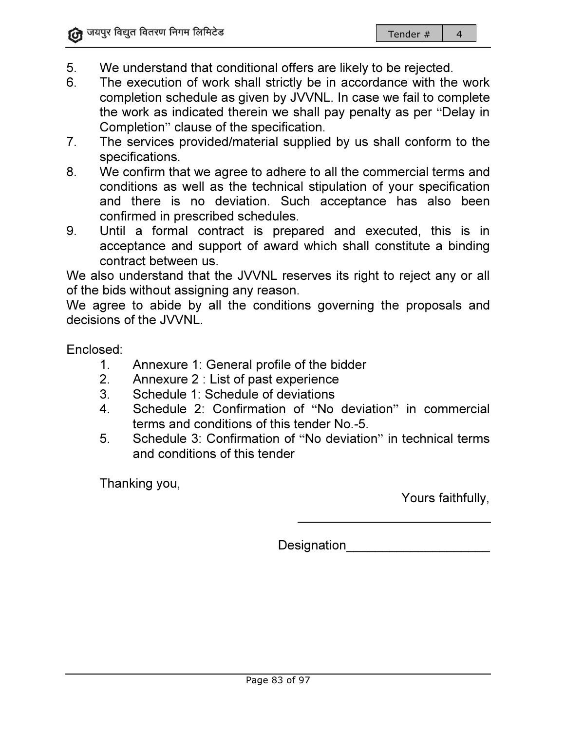- 5. We understand that conditional offers are likely to be rejected.
- 6. The execution of work shall strictly be in accordance with the work completion schedule as given by JVVNL. In case we fail to complete the work as indicated therein we shall pay penalty as per "Delay in Completion" clause of the specification. on of work shall strictly be in accordance with<br>chedule as given by JVVNL. In case we fail to<br>indicated therein we shall pay penalty as per
- 7. The services provided/material supplied by us shall conform to the specifications.
- 8. We confirm that we agree to adhere to all the commercial terms and We confirm that we agree to adhere to all the commercial terms and<br>conditions as well as the technical stipulation of your specification and there is no deviation. Such acceptance has also been confirmed in prescribed schedules. material supplied by us shall conform to the<br>ree to adhere to all the commercial terms and<br>he technical stipulation of your specification<br>viation. Such acceptance has also been<br>I schedules.<br>Ict is prepared and executed, th
- 9. Until a formal contract is prepared and executed, this and there is no deviation. Such acceptance has also been<br>confirmed in prescribed schedules.<br>Until a formal contract is prepared and executed, this is in<br>acceptance and support of award which shall constitute a binding contract between us.

We also understand that the JVVNL reserves its right to reject any or all of the bids without assigning any reason. shall constitute a binding<br>s right to reject any or all<br>erning the proposals and<br>dder<br>deviation" in commercial

We agree to abide by all the conditions governing the proposals and decisions of the JVVNL. without assigning any reason.<br>to abide by all the conditions governing<br>f the JVVNL.<br>Annexure 1: General profile of the bidder

Enclosed:

- 1. Annexure 1: General profile of the bidder
- 
- 2. Annexure 2 : List of past experience<br>3. Schedule 1: Schedule of deviations 3. Schedule 1: Schedule of deviations
- 4. Schedule 2: Confirmation of "No deviation" in commercial terms and conditions of this tender No.-5.
- 5. Schedule 3: Confirmation of "No deviation" in technical terms and conditions of this tender and Yours faithfully,

Thanking you,

Designation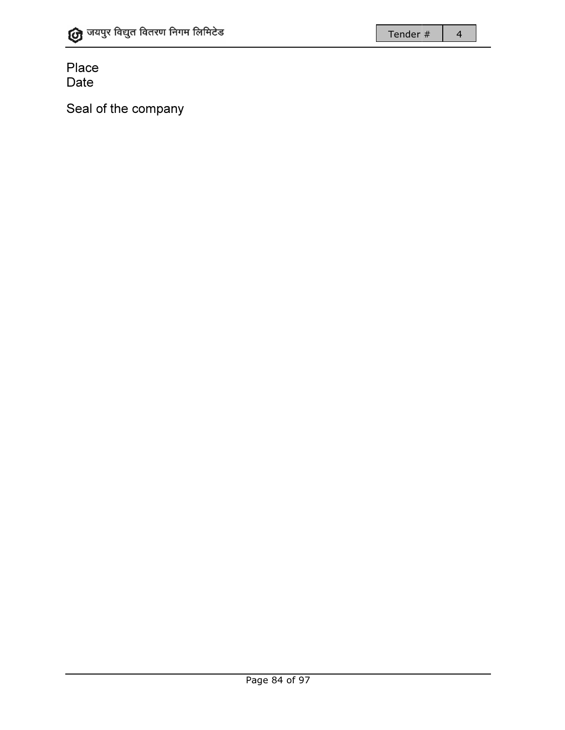Place Date

Seal of the company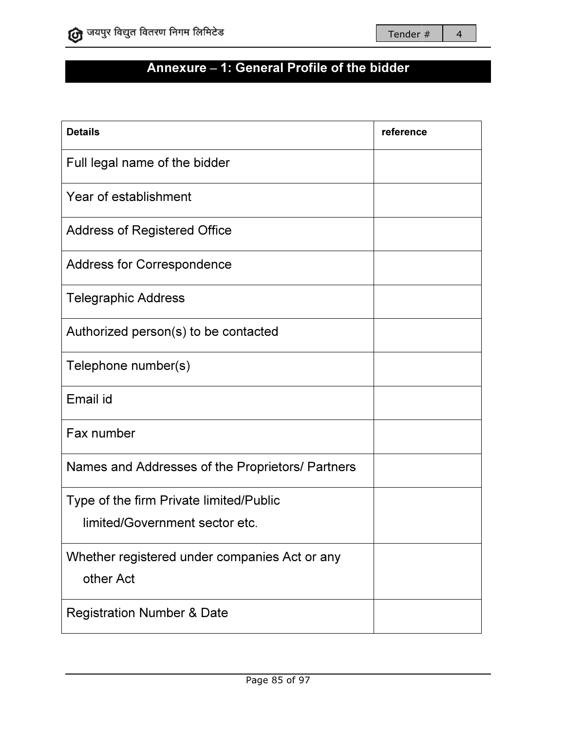# Annexure – 1: General Profile of the bidder

| <b>Details</b>                                   | reference |
|--------------------------------------------------|-----------|
| Full legal name of the bidder                    |           |
| Year of establishment                            |           |
| <b>Address of Registered Office</b>              |           |
| <b>Address for Correspondence</b>                |           |
| <b>Telegraphic Address</b>                       |           |
| Authorized person(s) to be contacted             |           |
| Telephone number(s)                              |           |
| Email id                                         |           |
| Fax number                                       |           |
| Names and Addresses of the Proprietors/ Partners |           |
| Type of the firm Private limited/Public          |           |
| limited/Government sector etc.                   |           |
| Whether registered under companies Act or any    |           |
| other Act                                        |           |
| <b>Registration Number &amp; Date</b>            |           |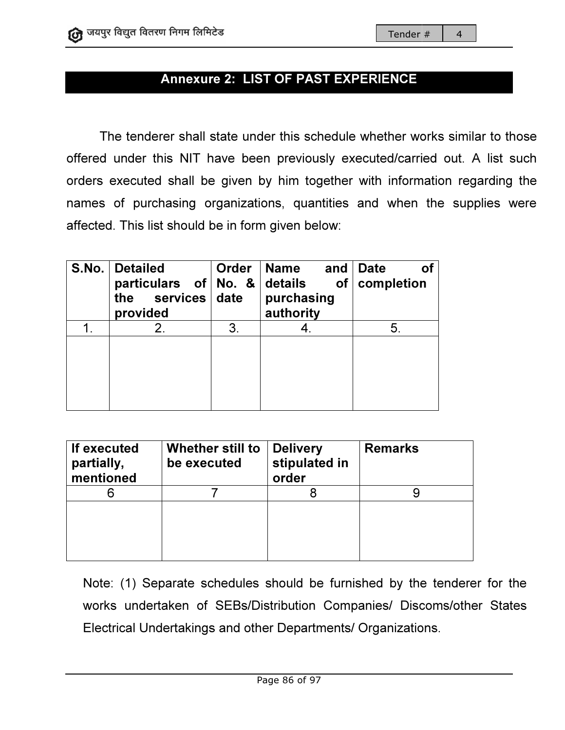# Annexure 2: LIST OF PAST EXPERIENCE

The tenderer shall state under this schedule whether works similar to those The tenderer shall state under this schedule whether works similar to those<br>offered under this NIT have been previously executed/carried out. A list such orders executed shall be given by him together with information regarding the<br>names of purchasing organizations, quantities and when the supplies were names of purchasing organizations, quantities and when the supplies affected. This list should be in form given below:

| S.No.   Detailed<br>particulars of $\vert$ No. &<br>the services date<br>provided | Order | <b>Name</b><br>and $\parallel$<br>$\vert$ details<br>of <sub>l</sub><br>purchasing<br>authority | <b>Date</b><br>completion |
|-----------------------------------------------------------------------------------|-------|-------------------------------------------------------------------------------------------------|---------------------------|
| $2_{-}$                                                                           | 3.    |                                                                                                 | 5.                        |
|                                                                                   |       |                                                                                                 |                           |
|                                                                                   |       |                                                                                                 |                           |
|                                                                                   |       |                                                                                                 |                           |

| If executed<br>partially,<br>mentioned | Whether still to<br>be executed | <b>Delivery</b><br>stipulated in<br>order | <b>Remarks</b> |
|----------------------------------------|---------------------------------|-------------------------------------------|----------------|
|                                        |                                 |                                           |                |
|                                        |                                 |                                           |                |

Note: (1) Separate schedules should be furnished by the tenderer for the works undertaken of SEBs/Distribution Companies/ Discoms/other States Electrical Undertakings al Undertakings and other Departments/ Organizations Organizations.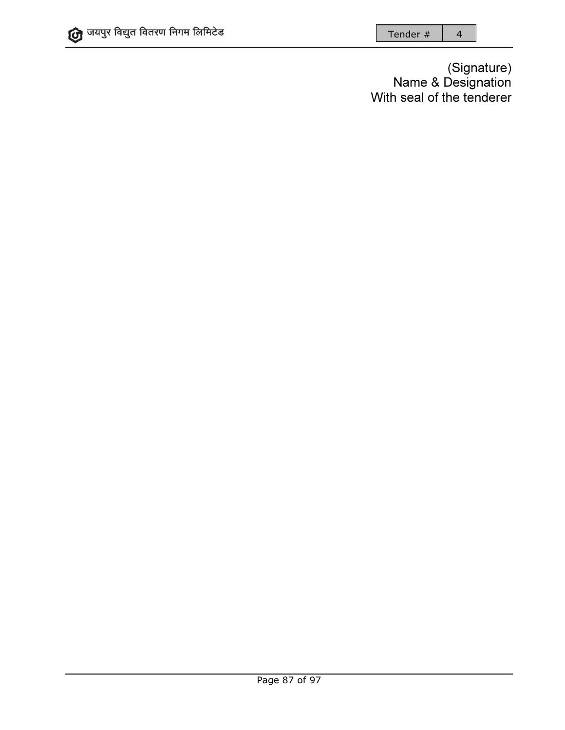Name & Designation With seal of the tenderer (Signature) **Designation** seal of the tenderer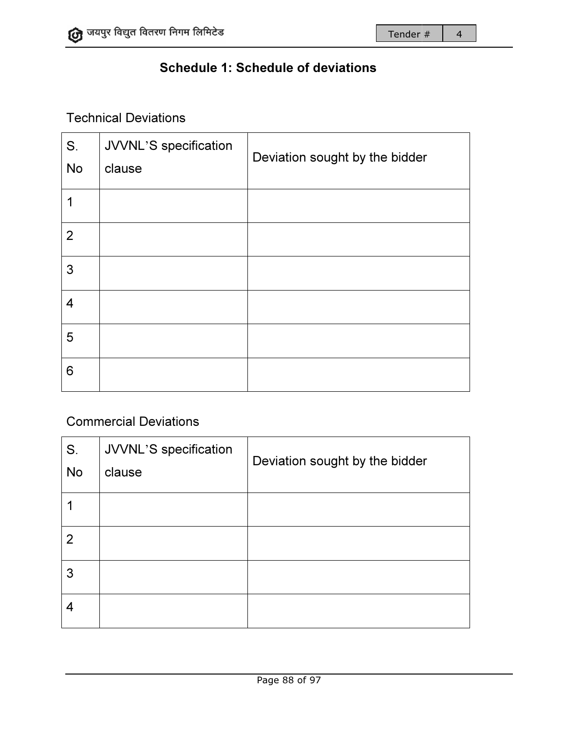# Schedule 1: Schedule of deviations Schedule 1:

# Technical Deviations

| S.<br><b>No</b> | JVVNL'S specification<br>clause | Deviation sought by the bidder |
|-----------------|---------------------------------|--------------------------------|
| 1               |                                 |                                |
| $\overline{2}$  |                                 |                                |
| 3               |                                 |                                |
| 4               |                                 |                                |
| 5               |                                 |                                |
| 6               |                                 |                                |
|                 | <b>Commercial Deviations</b>    |                                |
| S.              | JVVNL'S specification           | Deviation sought by the bidder |

# Commercial Deviations

| S.<br><b>No</b> | JVVNL'S specification<br>clause | Deviation sought by the bidder |
|-----------------|---------------------------------|--------------------------------|
| 1               |                                 |                                |
| $\overline{2}$  |                                 |                                |
| 3               |                                 |                                |
| 4               |                                 |                                |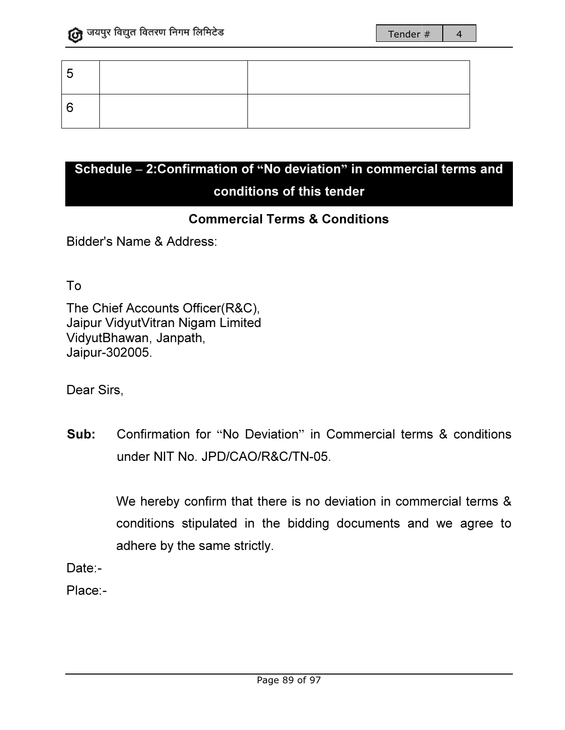$\overline{4}$ 

# Schedule – 2: Confirmation of "No deviation" in commercial terms and conditions of this tender

# Commercial Terms & Conditions

Bidder's Name & Address: Name & Address:

To

The Chief Accounts Officer(R&C), Jaipur VidyutVitran Nigam Limited VidyutBhawan, Janpath, Jaipur-302005.

Dear Sirs,

Sub: Confirmation for "No Deviation" in Commercial terms & conditions under NIT No. JPD/CAO/R&C/TN-05. 4

We hereby confirm that there is no deviation in commercial terms & conditions stipulated in the bidding documents and we agree to adhere by the same strictly.

Date:-

Place:-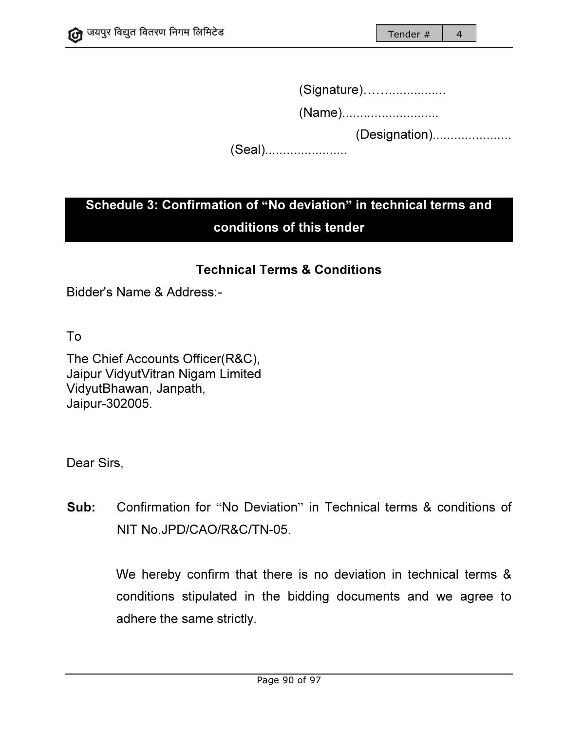(Name)........................... (Name)...........................

(Designation)......................

(Seal).......................

# Schedule 3: Confirmation of "No deviation" in technical terms and conditions of this tender in 4

# Technical Terms Technical Terms & Conditions

Bidder's Name & Address: Name & Address:-

To

The Chief Accounts Officer(R&C), Jaipur VidyutVitran Nigam Limited VidyutBhawan, Janpath, Jaipur-302005.

Dear Sirs,

Sub: Confirmation for "No Deviation" in Technical terms & conditions of NIT No.JPD/CAO CAO/R&C/TN-05.

> We hereby confirm that there is no deviation in technical terms & conditions stipulated in the bidding documents and we agree to adhere the same strictly.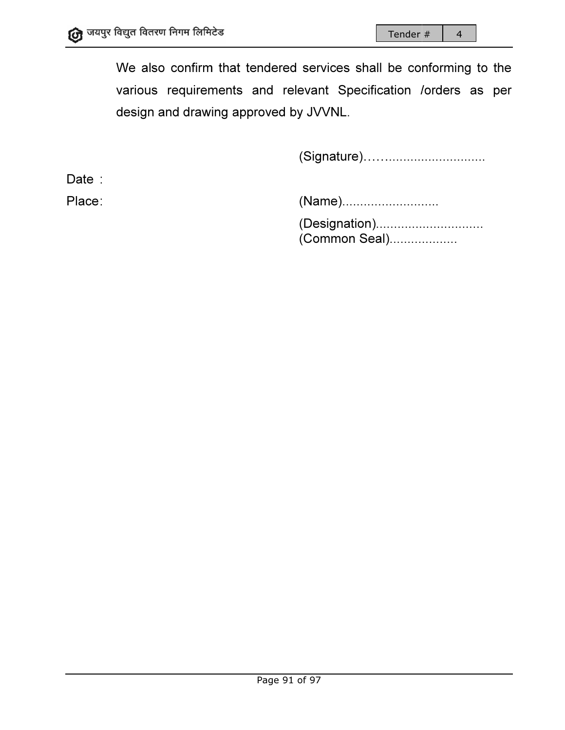We also confirm that tendered services shall be conforming to the various requirements and relevant Specification /orders as per design and drawing approved by JVVNL.

(Signature)……...........................

Date :

Place:

(Name)...........................

(Designation).............................. (Common Seal)................... Seal)...................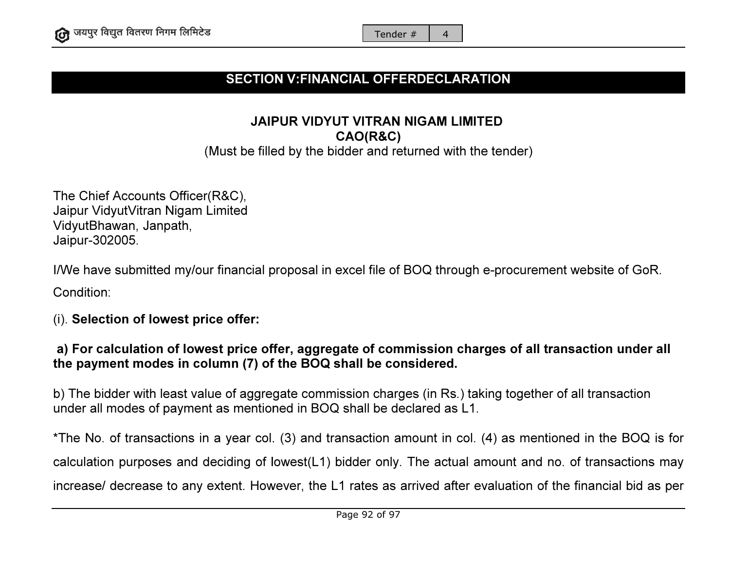# SECTION V:FINANCIAL OFFERDECLARATION

# JAIPUR VIDYUT VITRAN NIGAM LIMITEDCAO(R&C)

(Must be filled by the bidder and returned with the tender)

The Chief Accounts Officer(R&C), Jaipur VidyutVitran Nigam Limited VidyutBhawan, Janpath, Jaipur-302005.

I/We have submitted my/our financial proposal in excel file of BOQ through e-procurement website of GoR. Condition:

# (i). Selection of lowest price offer:

# a) For calculation of lowest price offer, aggregate of commission charges of all transaction under all the payment modes in column (7) of the BOQ shall be considered.

b) The bidder with least value of aggregate commission charges (in Rs.) taking together of under all modes of payment as mentioned in BOQ shall be declared as L1.

\*The No. of transactions in a year col. (3) and transaction amount in col. (4) as mentioned in the BOQ is for calculation purposes and deciding of lowest(L1) bidder only. The actual amount and no. of transactions may increase/ decrease to any extent. However, the L1 rates as arrived after evaluation of the financial bid as per I/We have submitted my/our financial proposal in excel file of BOQ through e-procurement website of GoR.<br>Condition:<br>(i). Selection of lowest price offer;<br>a) For calculation of lowest price offer, aggregate of commission ch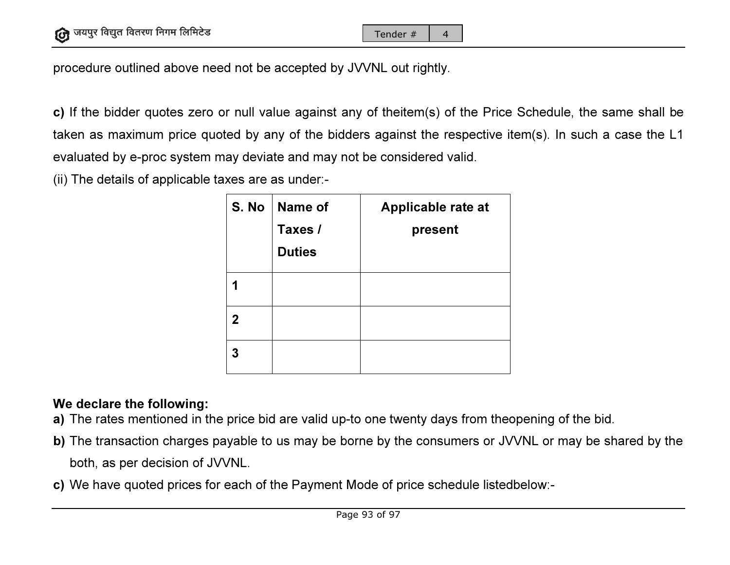procedure outlined above need not be accepted by JVVNL out rightly.

c) If the bidder quotes zero or null value against any of theitem(s) of the Price Schedule, the same shall be taken as maximum price quoted by any of the bidders against the respective item(s). In such a case the L1 evaluated by e-proc system may deviate and may not be considered valid. it be accepted by JVVNL out rightly.<br>Ill value against any of theitem(s) of the Price Schedule, the same<br>by any of the bidders against the respective item(s). In such a case

(ii) The details of applicable taxes are as under:-

|                |                    |                                                                       | ted by any of the bidders against the respective item(s). In such a case the L1 |
|----------------|--------------------|-----------------------------------------------------------------------|---------------------------------------------------------------------------------|
|                |                    | ay deviate and may not be considered valid.                           |                                                                                 |
|                | xes are as under:- |                                                                       |                                                                                 |
| S. No          | Name of            | Applicable rate at                                                    |                                                                                 |
|                | Taxes /            | present                                                               |                                                                                 |
|                | <b>Duties</b>      |                                                                       |                                                                                 |
| 1              |                    |                                                                       |                                                                                 |
| $\overline{2}$ |                    |                                                                       |                                                                                 |
| $\mathbf{3}$   |                    |                                                                       |                                                                                 |
|                |                    |                                                                       |                                                                                 |
|                |                    | price bid are valid up-to one twenty days from theopening of the bid. |                                                                                 |
| VNL.           |                    |                                                                       | ayable to us may be borne by the consumers or JVVNL or may be shared by the     |
|                |                    | each of the Payment Mode of price schedule listedbelow:-              |                                                                                 |

# We declare the following:

- a) The rates mentioned in the price bid are valid up-to one twenty days from theopening of the bid.
- **b)** The transaction charges payable to us may be borne by the consumers or JVVNL or may be shared by the  $\,$ both, as per decision of JVVNL.
- $\,$ c) We have quoted prices for each of the Payment Mode of price schedule listedbelow:-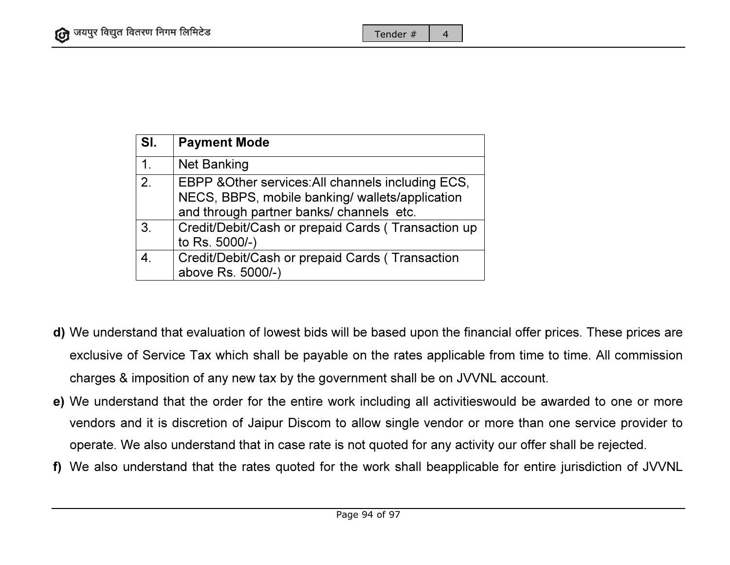| SI.            | <b>Payment Mode</b>                                                                                                                               |
|----------------|---------------------------------------------------------------------------------------------------------------------------------------------------|
| $\mathbf 1$ .  | <b>Net Banking</b>                                                                                                                                |
| 2 <sub>1</sub> | EBPP & Other services: All channels including ECS,<br>NECS, BBPS, mobile banking/ wallets/application<br>and through partner banks/ channels etc. |
| 3.             | Credit/Debit/Cash or prepaid Cards (Transaction up<br>to Rs. 5000/-)                                                                              |
| 4              | Credit/Debit/Cash or prepaid Cards (Transaction<br>above Rs. 5000/-)                                                                              |

- d) We understand that evaluation of lowest bids will be based upon the financial offer prices. These prices are exclusive of Service Tax which shall be payable on the rates applicable from time to time. charges & imposition of any new tax by the government shall be on JVVNL account. stand that evaluation of lowest bids will be based upon the financial offer prices. These prices<br>of Service Tax which shall be payable on the rates applicable from time to time. All commiss<br>imposition of any new tax by the All commission
- e) We understand that the order for the entire work including all activitieswould be awarded to one or more We understand that the order for the entire work including all activitieswould be awarded to one or more<br>vendors and it is discretion of Jaipur Discom to allow single vendor or more than one service provider to operate. We also understand that in case rate is not quoted for any activity our offer shall be rejected.
- **f)** We also understand that the rates quoted for the work shall beapplicable for entire jurisdiction of JVVNL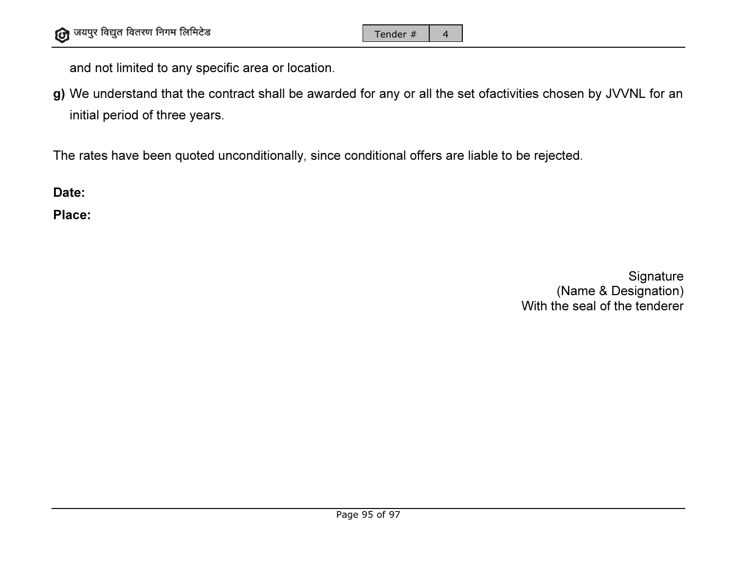and not limited to any specific area or location.

and not limited to any specific area or location.<br>g) We understand that the contract shall be awarded for any or all the set ofactivities chosen by JVVNL for an initial period of three years.

The rates have been quoted unconditionally, since conditional offers are liable to be rejected.

Date:

Place:

With the seal of the tenderer **Signature** (Name & Designation)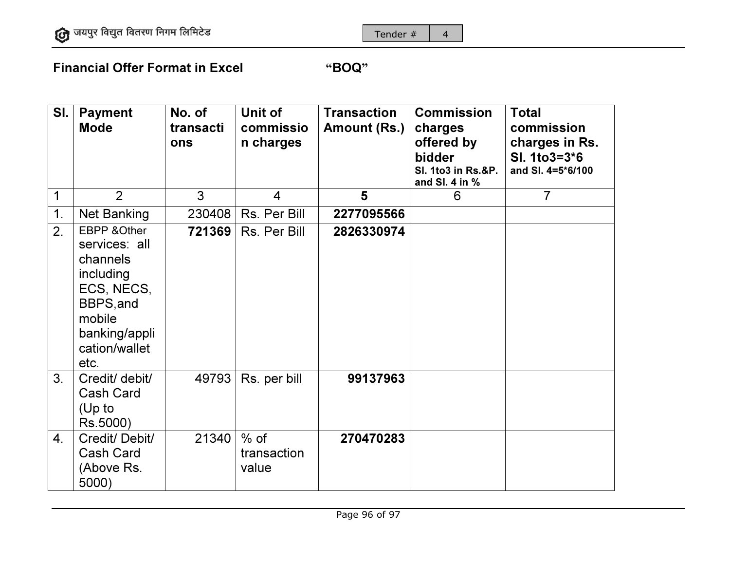Tender #4

Financial Offer Format in Excel Excel "BOQ"

| SI.            | <b>Payment</b><br><b>Mode</b>                                                                                                                    | No. of<br>transacti<br>ons | Unit of<br>commissio<br>n charges | <b>Transaction</b><br><b>Amount (Rs.)</b> | <b>Commission</b><br>charges<br>offered by<br><b>bidder</b><br><b>SI. 1to3 in Rs.&amp;P.</b><br>and SI. 4 in % | <b>Total</b><br>commission<br>charges in Rs.<br>SI. 1to3=3*6<br>and SI. 4=5*6/100 |
|----------------|--------------------------------------------------------------------------------------------------------------------------------------------------|----------------------------|-----------------------------------|-------------------------------------------|----------------------------------------------------------------------------------------------------------------|-----------------------------------------------------------------------------------|
| 1              | $\overline{2}$                                                                                                                                   | 3                          | $\overline{4}$                    | 5                                         | 6                                                                                                              | 7                                                                                 |
| 1.             | <b>Net Banking</b>                                                                                                                               | 230408                     | Rs. Per Bill                      | 2277095566                                |                                                                                                                |                                                                                   |
| 2.             | <b>EBPP &amp; Other</b><br>services: all<br>channels<br>including<br>ECS, NECS,<br>BBPS, and<br>mobile<br>banking/appli<br>cation/wallet<br>etc. | 721369                     | Rs. Per Bill                      | 2826330974                                |                                                                                                                |                                                                                   |
| 3 <sub>1</sub> | Credit/ debit/<br>Cash Card<br>(Up to<br>Rs.5000)                                                                                                | 49793                      | Rs. per bill                      | 99137963                                  |                                                                                                                |                                                                                   |
| 4.             | Credit/Debit/<br>Cash Card<br>(Above Rs.<br>$5000$ )                                                                                             | 21340                      | $%$ of<br>transaction<br>value    | 270470283                                 |                                                                                                                |                                                                                   |